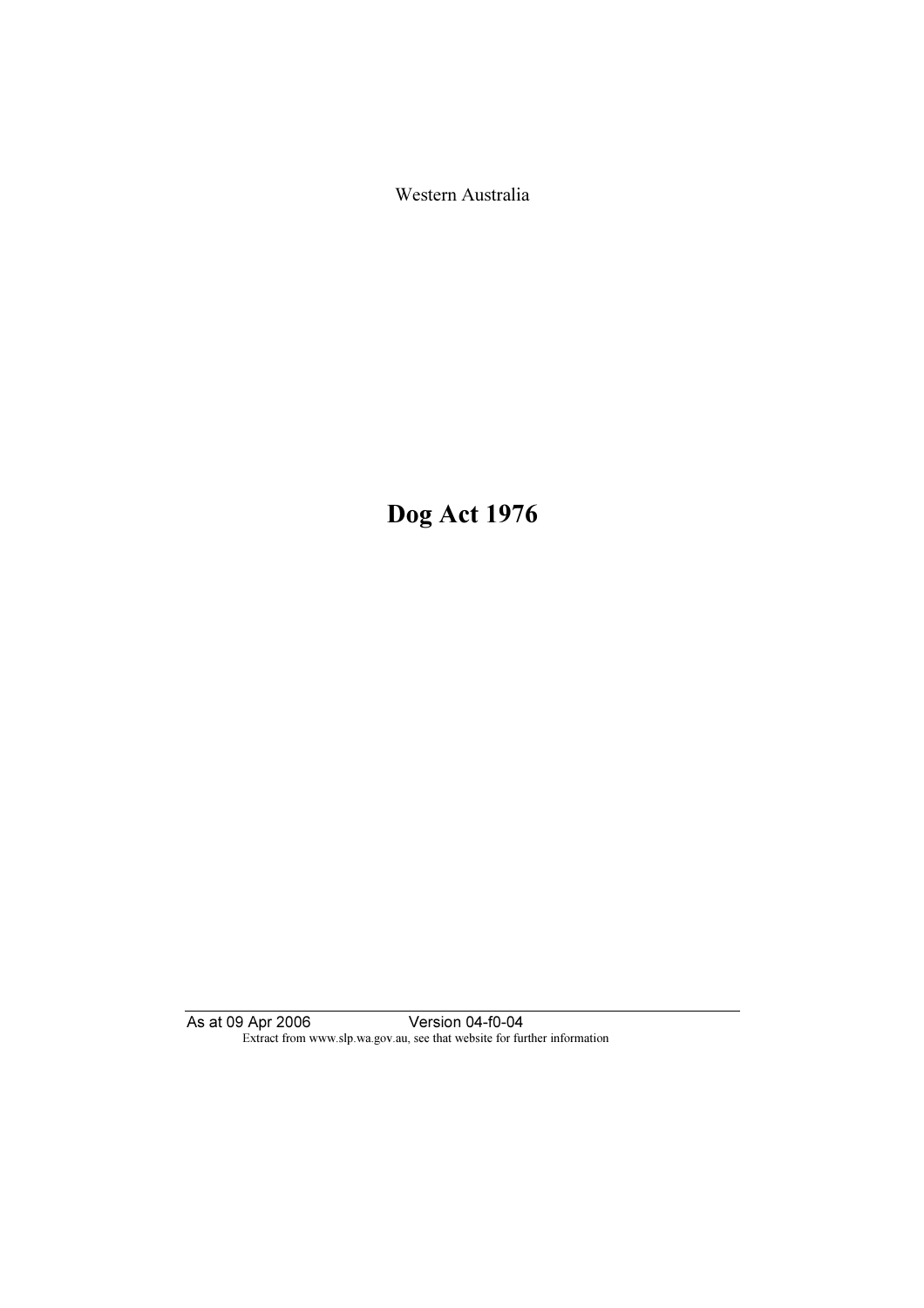Western Australia

Dog Act 1976

As at 09 Apr 2006 Version 04-f0-04 Extract from www.slp.wa.gov.au, see that website for further information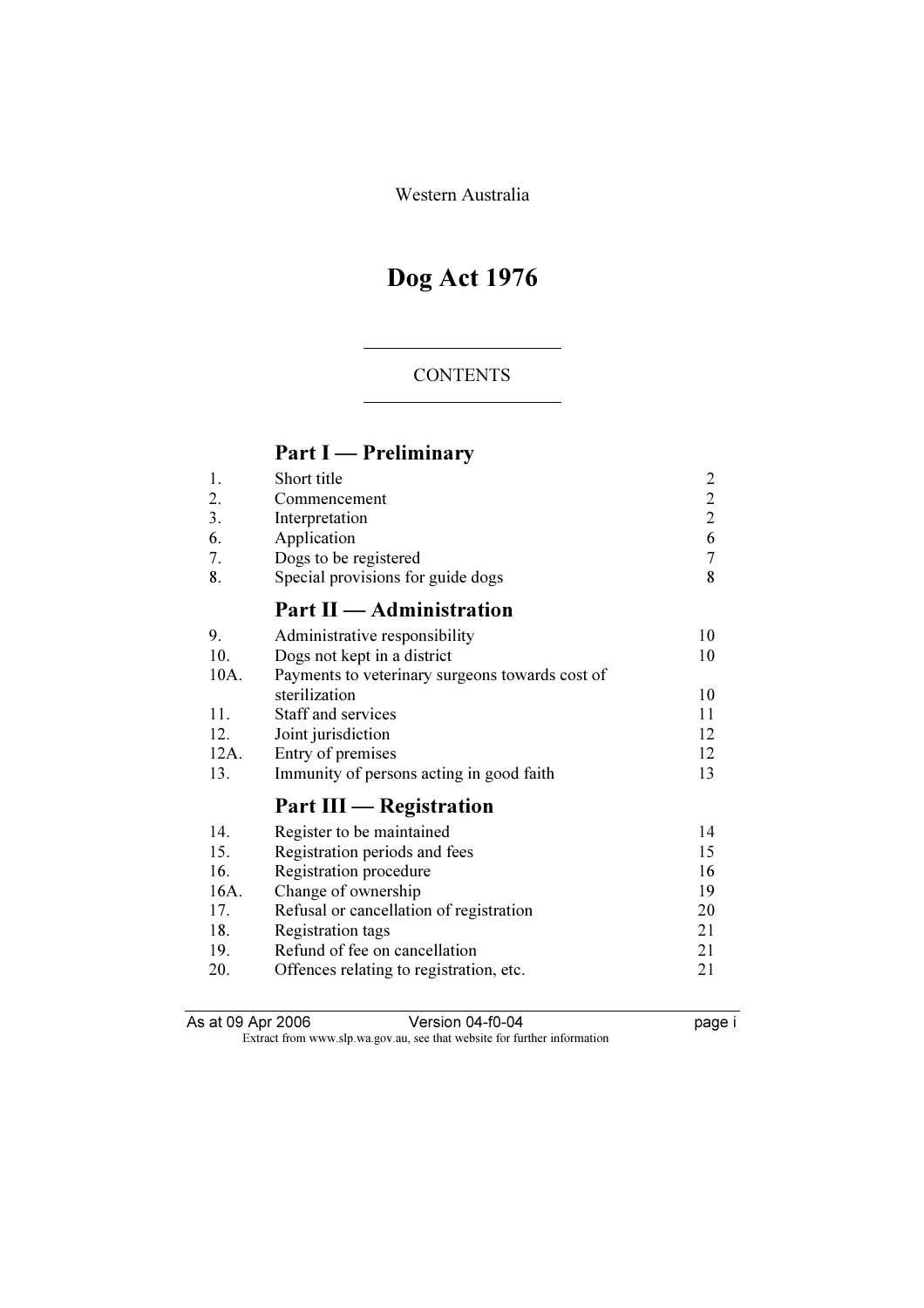Western Australia

# Dog Act 1976

## CONTENTS

# Part I — Preliminary

| 1.   | Short title                                     | $\overline{2}$ |
|------|-------------------------------------------------|----------------|
| 2.   | Commencement                                    | $\overline{c}$ |
| 3.   | Interpretation                                  | $\overline{2}$ |
| 6.   | Application                                     | 6              |
| 7.   | Dogs to be registered                           | $\overline{7}$ |
| 8.   | Special provisions for guide dogs               | 8              |
|      | Part II - Administration                        |                |
| 9.   | Administrative responsibility                   | 10             |
| 10.  | Dogs not kept in a district                     | 10             |
| 10A. | Payments to veterinary surgeons towards cost of |                |
|      | sterilization                                   | 10             |
| 11.  | Staff and services                              | 11             |
| 12.  | Joint jurisdiction                              | 12             |
| 12A. | Entry of premises                               | 12             |
| 13.  | Immunity of persons acting in good faith        | 13             |
|      | Part III — Registration                         |                |
| 14.  | Register to be maintained                       | 14             |
| 15.  | Registration periods and fees                   | 15             |
| 16.  | Registration procedure                          | 16             |
| 16A. | Change of ownership                             | 19             |
| 17.  | Refusal or cancellation of registration         | 20             |
| 18.  | Registration tags                               | 21             |
| 19.  | Refund of fee on cancellation                   | 21             |
| 20.  | Offences relating to registration, etc.         | 21             |

As at 09 Apr 2006 Version 04-f0-04 page i

Extract from www.slp.wa.gov.au, see that website for further information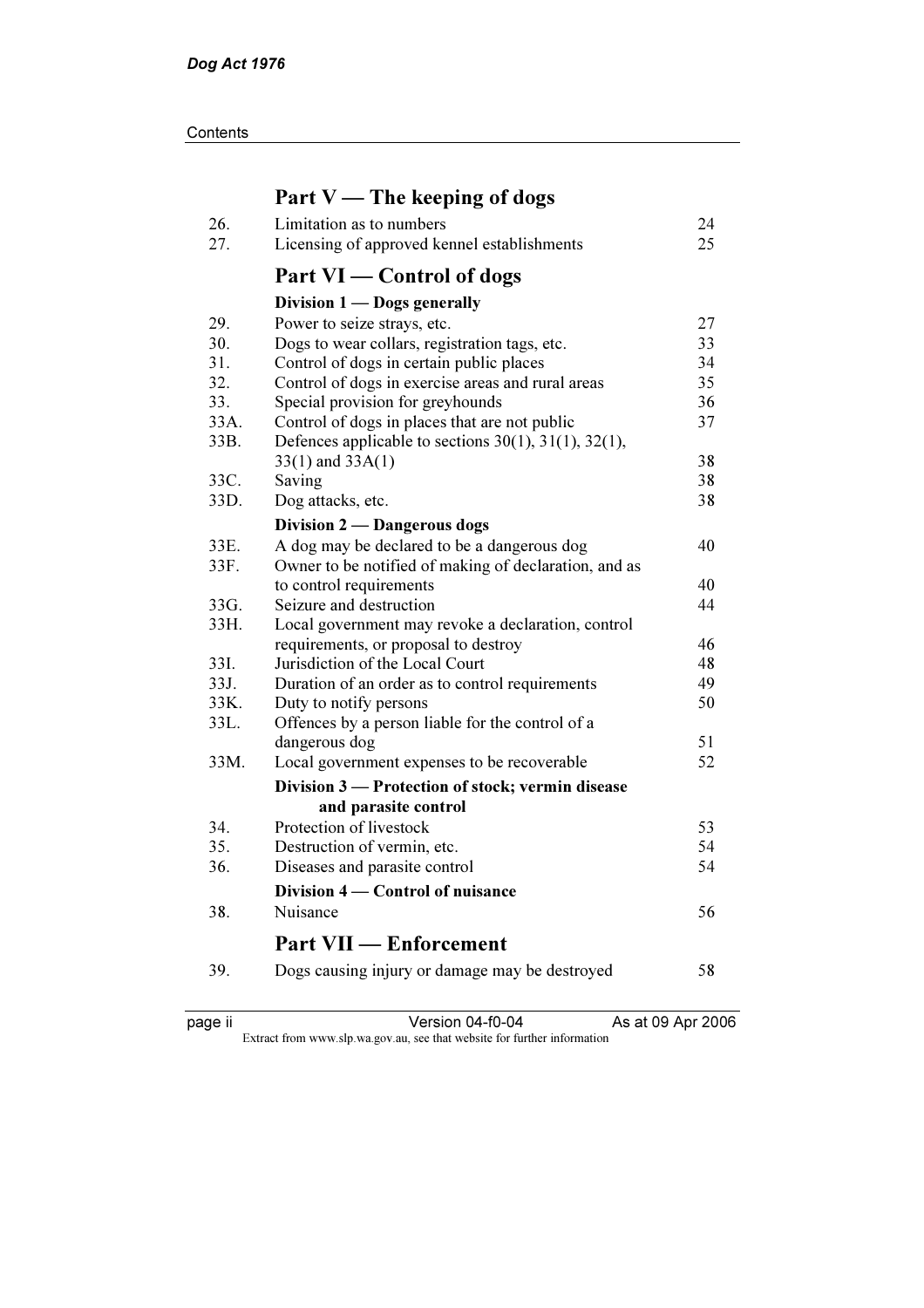**Contents** 

# Part V — The keeping of dogs

| 26.  | Limitation as to numbers                                      | 24 |
|------|---------------------------------------------------------------|----|
| 27.  | Licensing of approved kennel establishments                   | 25 |
|      | Part VI — Control of dogs                                     |    |
|      | Division 1 - Dogs generally                                   |    |
| 29.  | Power to seize strays, etc.                                   | 27 |
| 30.  | Dogs to wear collars, registration tags, etc.                 | 33 |
| 31.  | Control of dogs in certain public places                      | 34 |
| 32.  | Control of dogs in exercise areas and rural areas             | 35 |
| 33.  | Special provision for greyhounds                              | 36 |
| 33A. | Control of dogs in places that are not public                 | 37 |
| 33B. | Defences applicable to sections $30(1)$ , $31(1)$ , $32(1)$ , |    |
|      | $33(1)$ and $33A(1)$                                          | 38 |
| 33C. | Saving                                                        | 38 |
| 33D. | Dog attacks, etc.                                             | 38 |
|      | Division 2 — Dangerous dogs                                   |    |
| 33E. | A dog may be declared to be a dangerous dog                   | 40 |
| 33F. | Owner to be notified of making of declaration, and as         |    |
|      | to control requirements                                       | 40 |
| 33G. | Seizure and destruction                                       | 44 |
| 33H. | Local government may revoke a declaration, control            |    |
|      | requirements, or proposal to destroy                          | 46 |
| 33I. | Jurisdiction of the Local Court                               | 48 |
| 33J. | Duration of an order as to control requirements               | 49 |
| 33K. | Duty to notify persons                                        | 50 |
| 33L. | Offences by a person liable for the control of a              |    |
|      | dangerous dog                                                 | 51 |
| 33M. | Local government expenses to be recoverable                   | 52 |
|      | Division 3 — Protection of stock; vermin disease              |    |
|      | and parasite control                                          |    |
| 34.  | Protection of livestock                                       | 53 |
| 35.  | Destruction of vermin, etc.                                   | 54 |
| 36.  | Diseases and parasite control                                 | 54 |
|      | Division 4 – Control of nuisance                              |    |
| 38.  | Nuisance                                                      | 56 |
|      | <b>Part VII — Enforcement</b>                                 |    |
| 39.  | Dogs causing injury or damage may be destroyed                | 58 |
|      |                                                               |    |

page ii Version 04-f0-04 As at 09 Apr 2006

Extract from www.slp.wa.gov.au, see that website for further information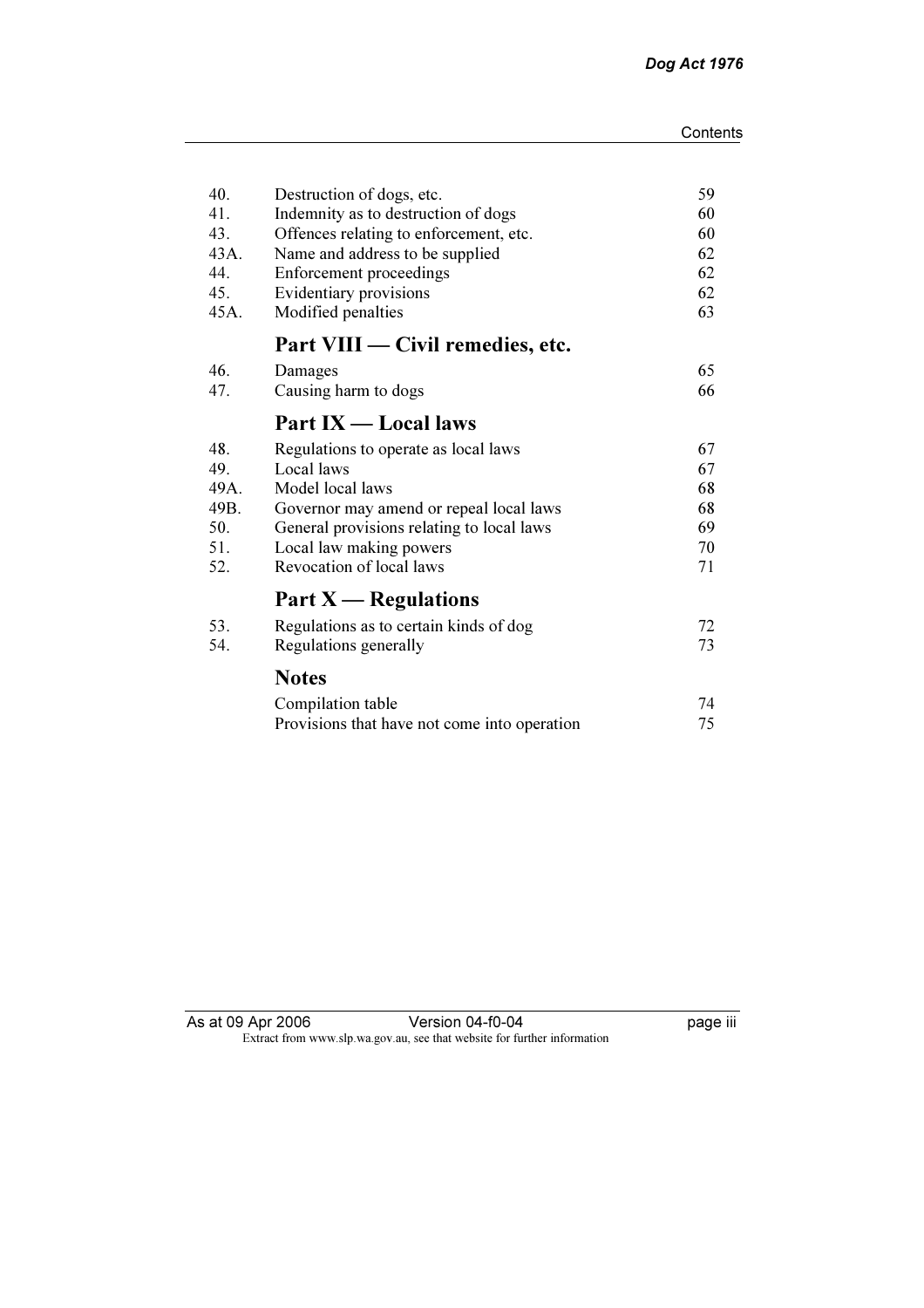| 40.  | Destruction of dogs, etc.                    | 59 |
|------|----------------------------------------------|----|
| 41.  | Indemnity as to destruction of dogs          | 60 |
| 43.  | Offences relating to enforcement, etc.       | 60 |
| 43A. | Name and address to be supplied              | 62 |
| 44.  | <b>Enforcement proceedings</b>               | 62 |
| 45.  | Evidentiary provisions                       | 62 |
| 45A. | Modified penalties                           | 63 |
|      | Part VIII — Civil remedies, etc.             |    |
| 46.  | Damages                                      | 65 |
| 47.  | Causing harm to dogs                         | 66 |
|      | Part IX - Local laws                         |    |
| 48.  | Regulations to operate as local laws         | 67 |
| 49.  | Local laws                                   | 67 |
| 49A. | Model local laws                             | 68 |
| 49B. | Governor may amend or repeal local laws      | 68 |
| 50.  | General provisions relating to local laws    | 69 |
| 51.  | Local law making powers                      | 70 |
| 52.  | Revocation of local laws                     | 71 |
|      | Part $X$ — Regulations                       |    |
| 53.  | Regulations as to certain kinds of dog       | 72 |
| 54.  | Regulations generally                        | 73 |
|      | <b>Notes</b>                                 |    |
|      | Compilation table                            | 74 |
|      | Provisions that have not come into operation | 75 |

| As at 09 Apr 2006 | Version 04-f0-04                                                         |
|-------------------|--------------------------------------------------------------------------|
|                   | Extract from www.slp.wa.gov.au, see that website for further information |

 $\overline{p}$  page iii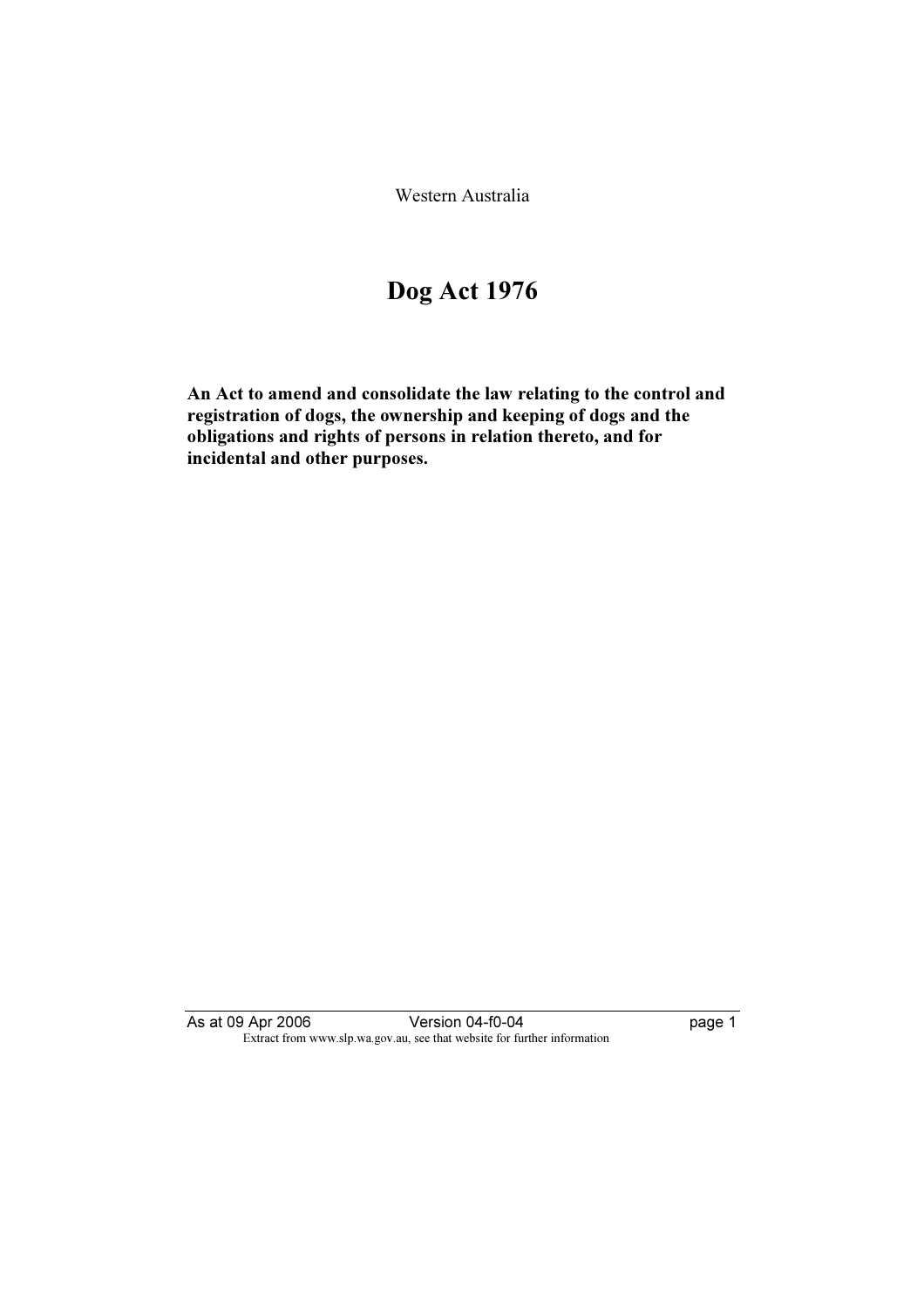Western Australia

# Dog Act 1976

An Act to amend and consolidate the law relating to the control and registration of dogs, the ownership and keeping of dogs and the obligations and rights of persons in relation thereto, and for incidental and other purposes.

As at 09 Apr 2006 Version 04-f0-04 page 1 Extract from www.slp.wa.gov.au, see that website for further information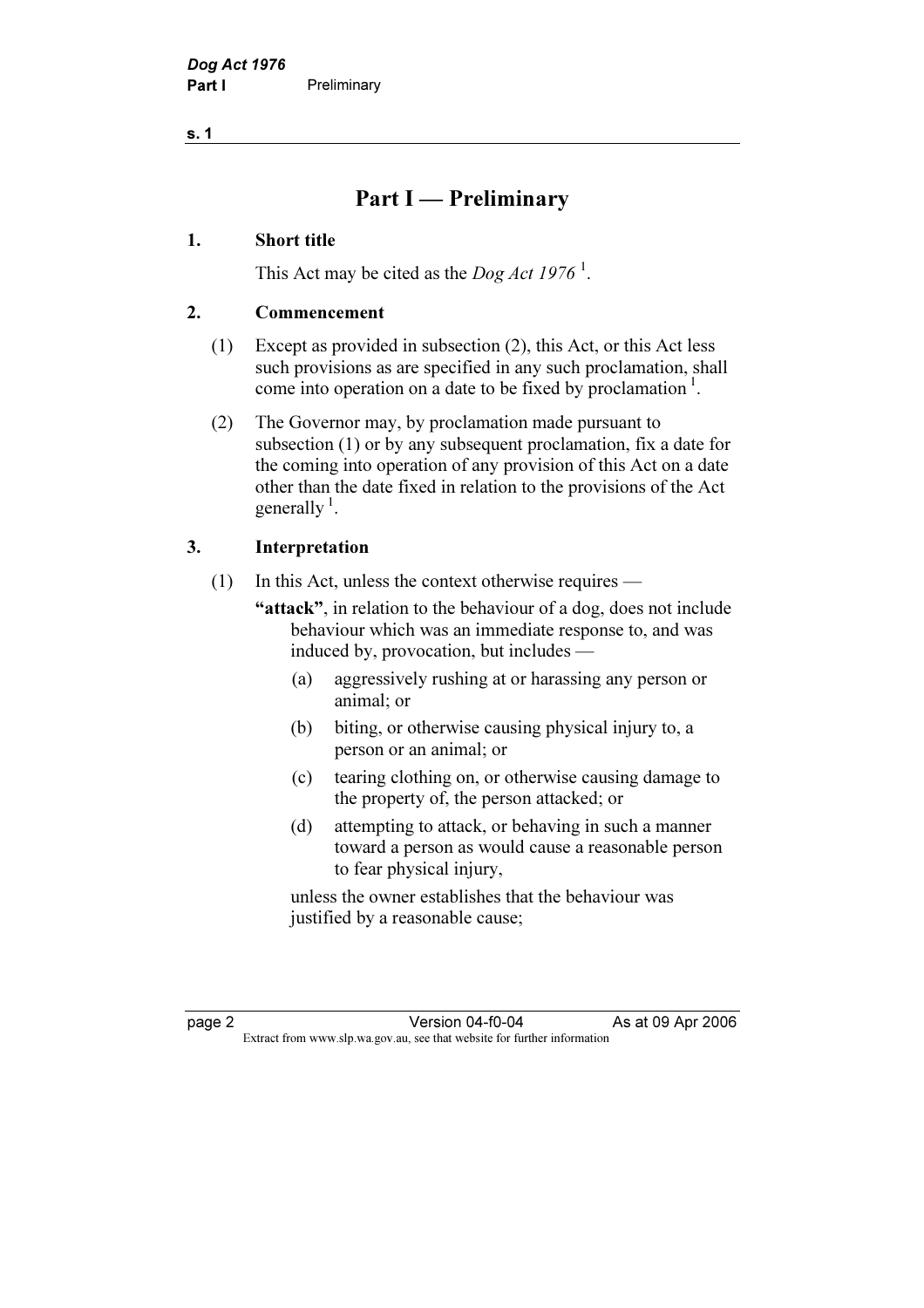s. 1

## Part I — Preliminary

## 1. Short title

This Act may be cited as the *Dog Act* 1976<sup> $\frac{1}{2}$ </sup>.

## 2. Commencement

- (1) Except as provided in subsection (2), this Act, or this Act less such provisions as are specified in any such proclamation, shall come into operation on a date to be fixed by proclamation<sup>1</sup>.
- (2) The Governor may, by proclamation made pursuant to subsection (1) or by any subsequent proclamation, fix a date for the coming into operation of any provision of this Act on a date other than the date fixed in relation to the provisions of the Act generally  $\frac{1}{2}$ .

## 3. Interpretation

- (1) In this Act, unless the context otherwise requires
	- "attack", in relation to the behaviour of a dog, does not include behaviour which was an immediate response to, and was induced by, provocation, but includes —
		- (a) aggressively rushing at or harassing any person or animal; or
		- (b) biting, or otherwise causing physical injury to, a person or an animal; or
		- (c) tearing clothing on, or otherwise causing damage to the property of, the person attacked; or
		- (d) attempting to attack, or behaving in such a manner toward a person as would cause a reasonable person to fear physical injury,

 unless the owner establishes that the behaviour was justified by a reasonable cause;

page 2 Version 04-f0-04 As at 09 Apr 2006<br>Extract from www.slp.wa.gov.au, see that website for further information Extract from www.slp.wa.gov.au, see that website for further information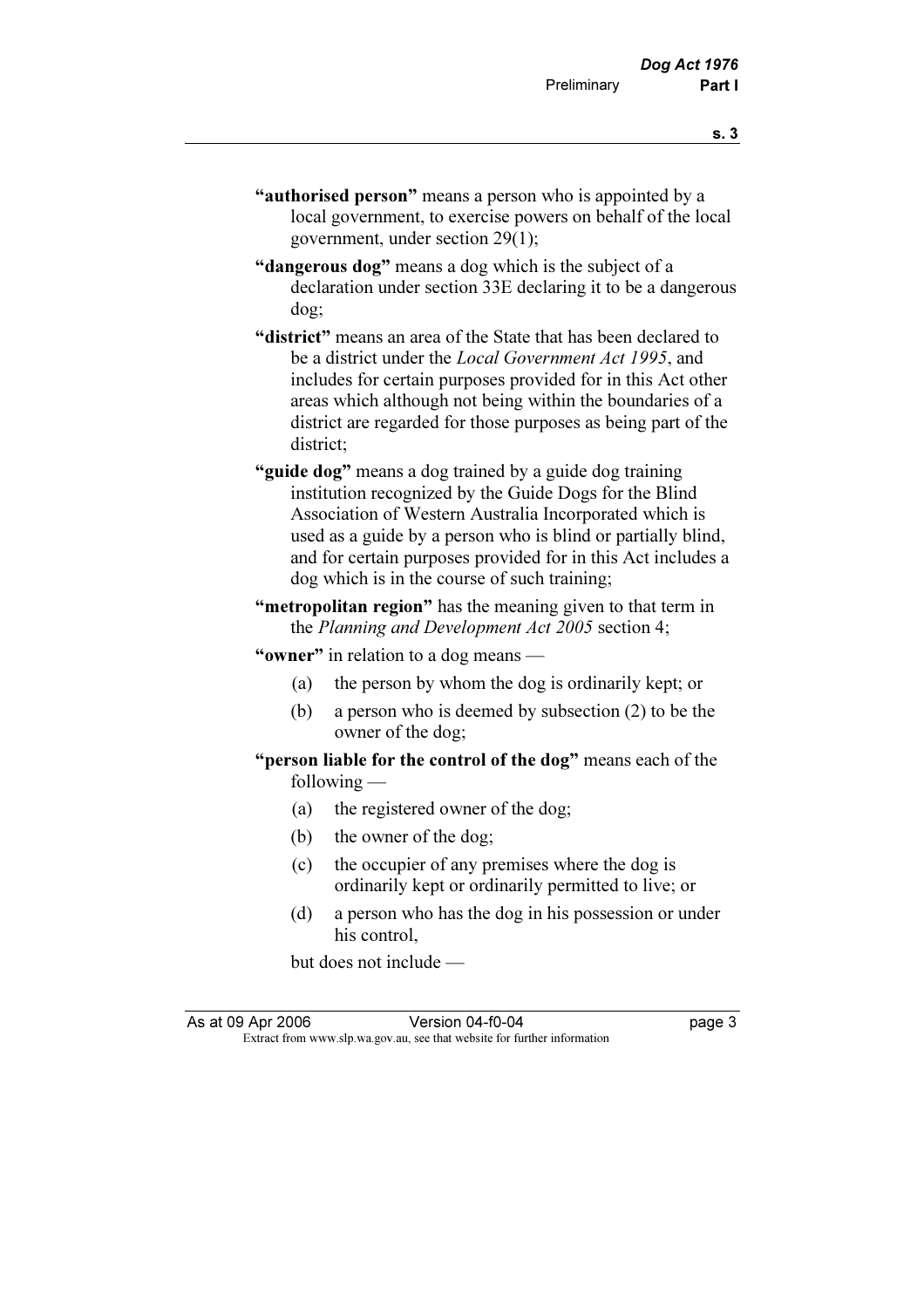"dangerous dog" means a dog which is the subject of a declaration under section 33E declaring it to be a dangerous dog;

government, under section 29(1);

- "district" means an area of the State that has been declared to be a district under the Local Government Act 1995, and includes for certain purposes provided for in this Act other areas which although not being within the boundaries of a district are regarded for those purposes as being part of the district;
- "guide dog" means a dog trained by a guide dog training institution recognized by the Guide Dogs for the Blind Association of Western Australia Incorporated which is used as a guide by a person who is blind or partially blind, and for certain purposes provided for in this Act includes a dog which is in the course of such training;
- "metropolitan region" has the meaning given to that term in the Planning and Development Act 2005 section 4;

"owner" in relation to a dog means —

- (a) the person by whom the dog is ordinarily kept; or
- (b) a person who is deemed by subsection (2) to be the owner of the dog;
- "person liable for the control of the dog" means each of the following —
	- (a) the registered owner of the dog;
	- (b) the owner of the dog;
	- (c) the occupier of any premises where the dog is ordinarily kept or ordinarily permitted to live; or
	- (d) a person who has the dog in his possession or under his control,

but does not include —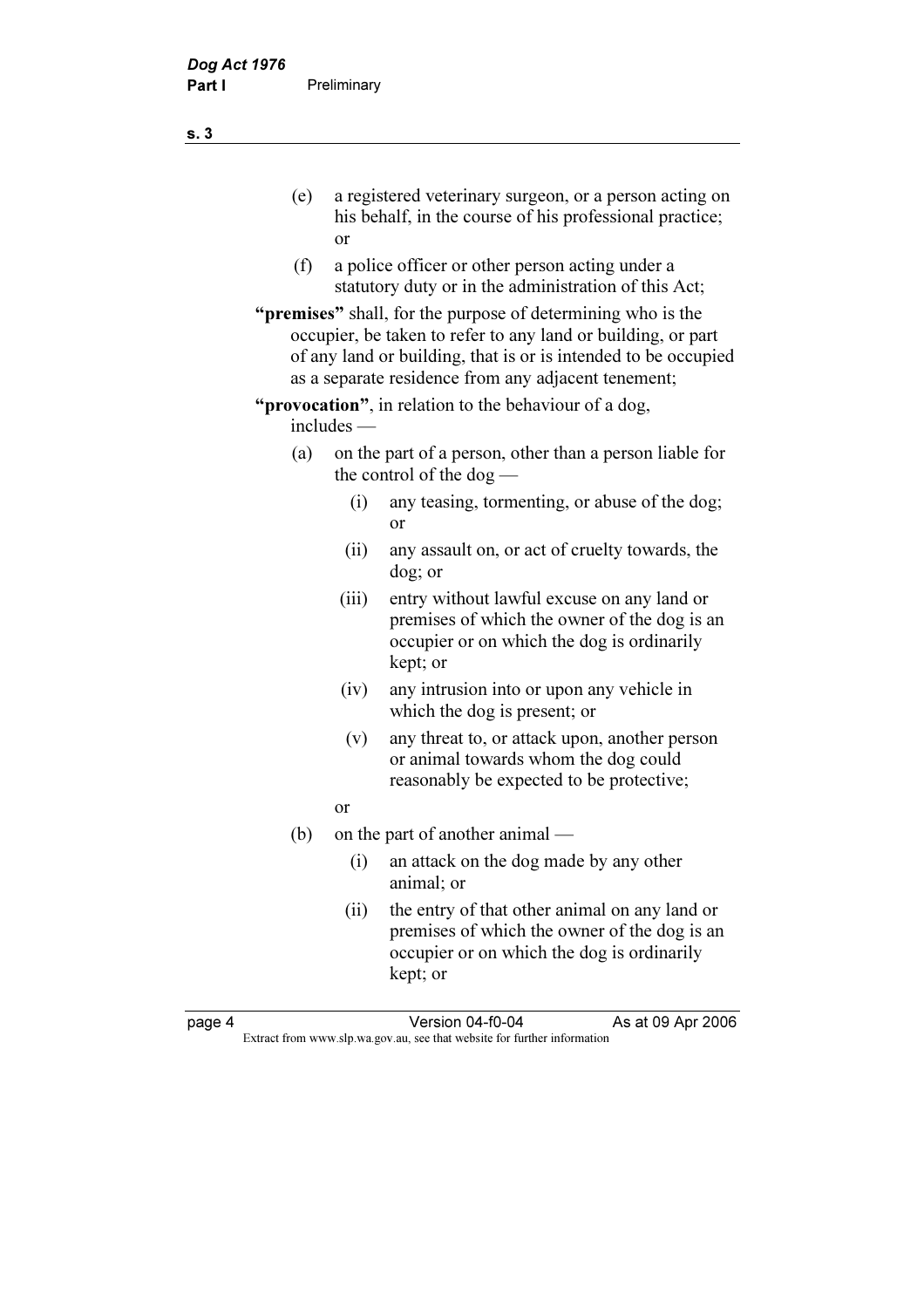- (e) a registered veterinary surgeon, or a person acting on his behalf, in the course of his professional practice; or
- (f) a police officer or other person acting under a statutory duty or in the administration of this Act;
- "**premises**" shall, for the purpose of determining who is the occupier, be taken to refer to any land or building, or part of any land or building, that is or is intended to be occupied as a separate residence from any adjacent tenement;
- "**provocation**", in relation to the behaviour of a dog, includes —
	- (a) on the part of a person, other than a person liable for the control of the dog —
		- (i) any teasing, tormenting, or abuse of the dog; or
		- (ii) any assault on, or act of cruelty towards, the dog; or
		- (iii) entry without lawful excuse on any land or premises of which the owner of the dog is an occupier or on which the dog is ordinarily kept; or
		- (iv) any intrusion into or upon any vehicle in which the dog is present; or
		- (v) any threat to, or attack upon, another person or animal towards whom the dog could reasonably be expected to be protective;
- or
	- (b) on the part of another animal
		- (i) an attack on the dog made by any other animal; or
		- (ii) the entry of that other animal on any land or premises of which the owner of the dog is an occupier or on which the dog is ordinarily kept; or

page 4 Version 04-f0-04 As at 09 Apr 2006<br>Extract from www.slp.wa.gov.au, see that website for further information Extract from www.slp.wa.gov.au, see that website for further information

s. 3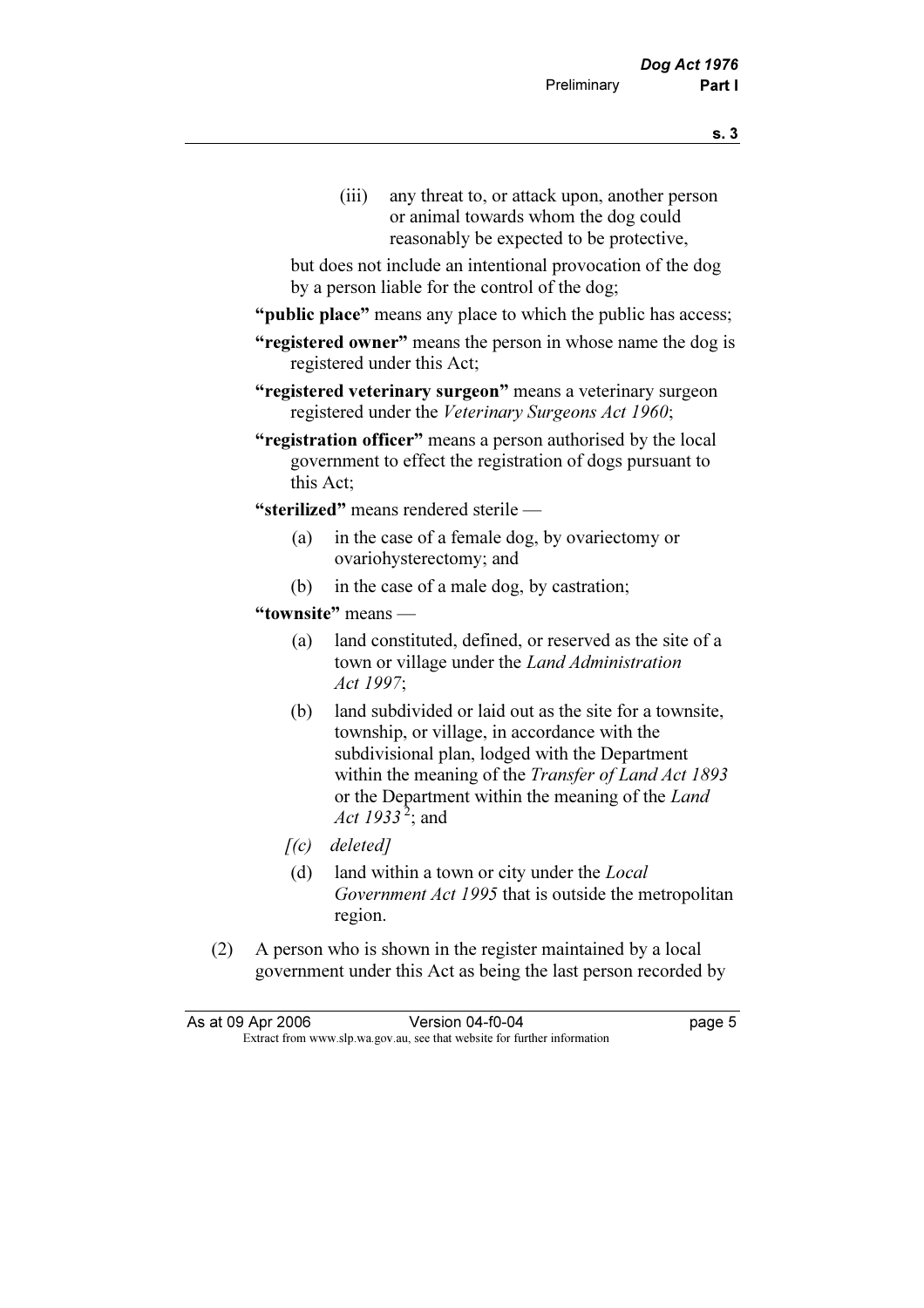- 
- (iii) any threat to, or attack upon, another person or animal towards whom the dog could reasonably be expected to be protective,

 but does not include an intentional provocation of the dog by a person liable for the control of the dog;

- "**public place**" means any place to which the public has access;
- "registered owner" means the person in whose name the dog is registered under this Act;
- "registered veterinary surgeon" means a veterinary surgeon registered under the Veterinary Surgeons Act 1960;
- "registration officer" means a person authorised by the local government to effect the registration of dogs pursuant to this Act;

"sterilized" means rendered sterile —

- (a) in the case of a female dog, by ovariectomy or ovariohysterectomy; and
- (b) in the case of a male dog, by castration;
- "townsite" means
	- (a) land constituted, defined, or reserved as the site of a town or village under the Land Administration Act 1997;
	- (b) land subdivided or laid out as the site for a townsite, township, or village, in accordance with the subdivisional plan, lodged with the Department within the meaning of the *Transfer of Land Act 1893* or the Department within the meaning of the Land Act 1933<sup>2</sup>; and
	- $[(c)$  deleted]
	- (d) land within a town or city under the Local Government Act 1995 that is outside the metropolitan region.
- (2) A person who is shown in the register maintained by a local government under this Act as being the last person recorded by

| As at 09 Apr 2006 | Version 04-f0-04                                                         | page 5 |
|-------------------|--------------------------------------------------------------------------|--------|
|                   | Extract from www.slp.wa.gov.au, see that website for further information |        |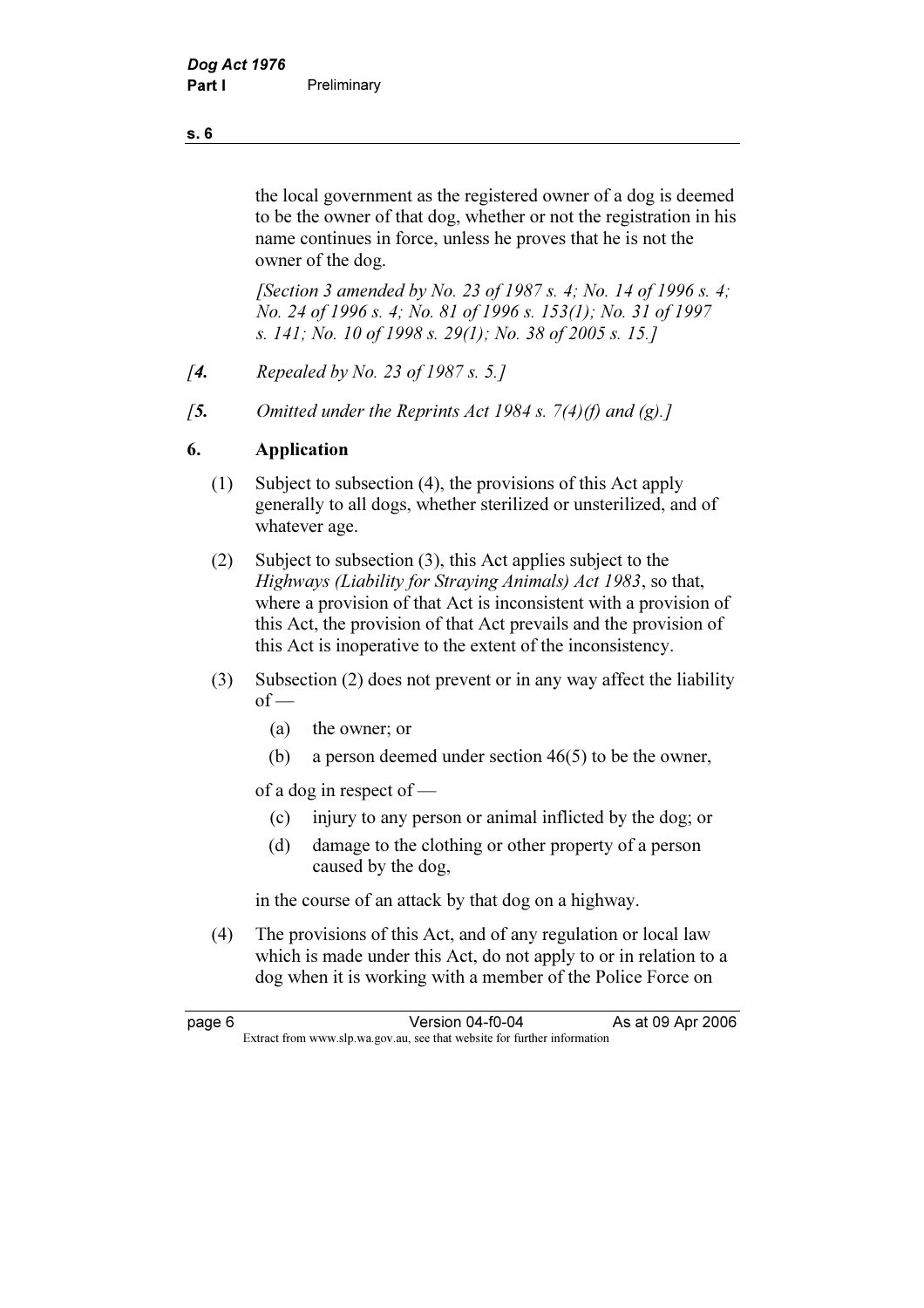the local government as the registered owner of a dog is deemed to be the owner of that dog, whether or not the registration in his name continues in force, unless he proves that he is not the owner of the dog.

 [Section 3 amended by No. 23 of 1987 s. 4; No. 14 of 1996 s. 4; No. 24 of 1996 s. 4; No. 81 of 1996 s. 153(1); No. 31 of 1997 s. 141; No. 10 of 1998 s. 29(1); No. 38 of 2005 s. 15.]

- [**4.** Repealed by No. 23 of 1987 s. 5.]
- [5. Omitted under the Reprints Act 1984 s.  $7(4)(f)$  and (g).]

## 6. Application

- (1) Subject to subsection (4), the provisions of this Act apply generally to all dogs, whether sterilized or unsterilized, and of whatever age.
- (2) Subject to subsection (3), this Act applies subject to the Highways (Liability for Straying Animals) Act 1983, so that, where a provision of that Act is inconsistent with a provision of this Act, the provision of that Act prevails and the provision of this Act is inoperative to the extent of the inconsistency.
- (3) Subsection (2) does not prevent or in any way affect the liability  $of -$ 
	- (a) the owner; or
	- (b) a person deemed under section 46(5) to be the owner,

of a dog in respect of —

- (c) injury to any person or animal inflicted by the dog; or
- (d) damage to the clothing or other property of a person caused by the dog,

in the course of an attack by that dog on a highway.

 (4) The provisions of this Act, and of any regulation or local law which is made under this Act, do not apply to or in relation to a dog when it is working with a member of the Police Force on

| page 6 | Version 04-f0-04                                                         | As at 09 Apr 2006 |
|--------|--------------------------------------------------------------------------|-------------------|
|        | Extract from www.slp.wa.gov.au, see that website for further information |                   |

#### s. 6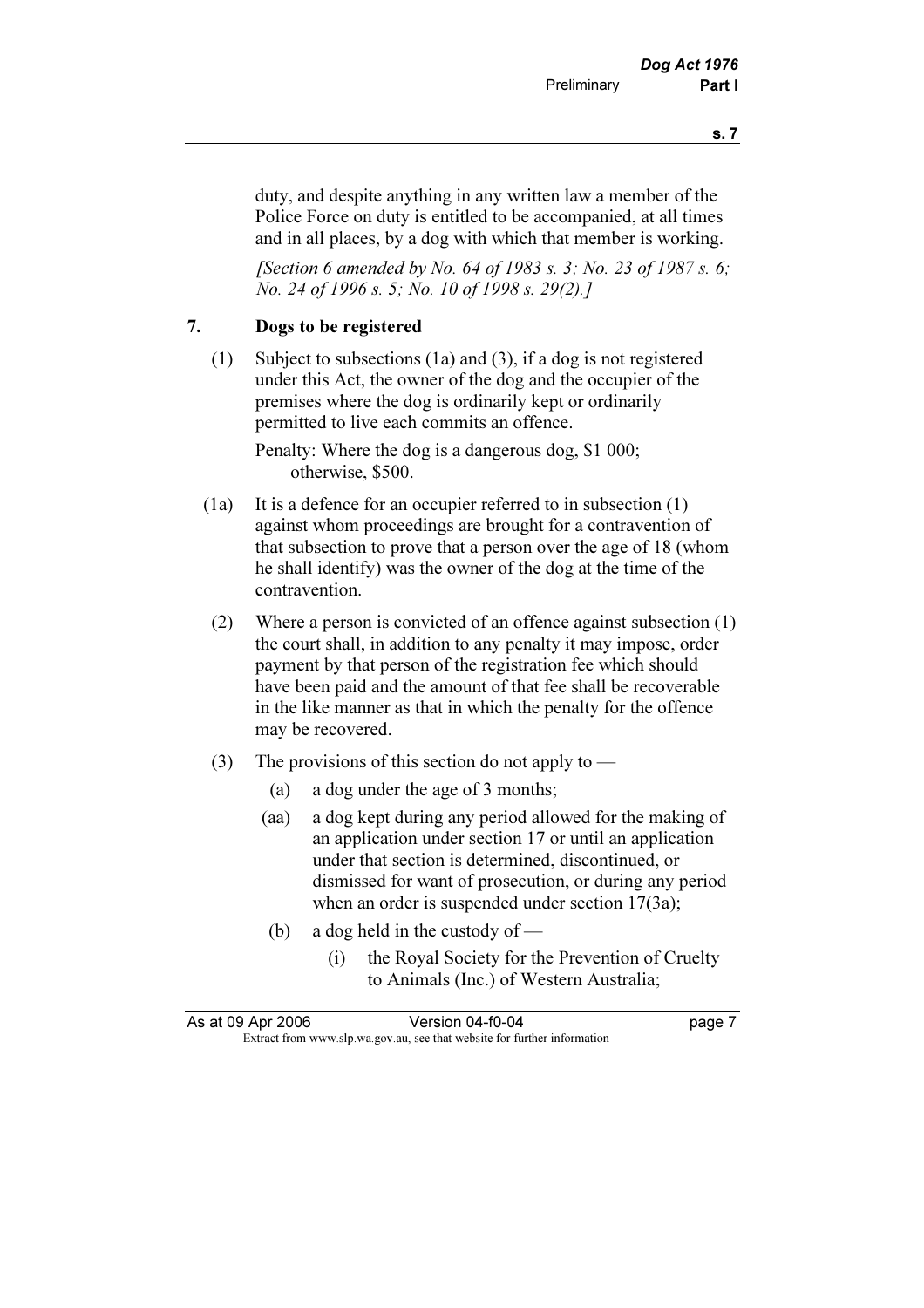duty, and despite anything in any written law a member of the Police Force on duty is entitled to be accompanied, at all times and in all places, by a dog with which that member is working.

[Section 6 amended by No. 64 of 1983 s. 3; No. 23 of 1987 s. 6; No. 24 of 1996 s. 5; No. 10 of 1998 s. 29(2).]

## 7. Dogs to be registered

 (1) Subject to subsections (1a) and (3), if a dog is not registered under this Act, the owner of the dog and the occupier of the premises where the dog is ordinarily kept or ordinarily permitted to live each commits an offence.

 Penalty: Where the dog is a dangerous dog, \$1 000; otherwise, \$500.

- (1a) It is a defence for an occupier referred to in subsection (1) against whom proceedings are brought for a contravention of that subsection to prove that a person over the age of 18 (whom he shall identify) was the owner of the dog at the time of the contravention.
- (2) Where a person is convicted of an offence against subsection (1) the court shall, in addition to any penalty it may impose, order payment by that person of the registration fee which should have been paid and the amount of that fee shall be recoverable in the like manner as that in which the penalty for the offence may be recovered.
- (3) The provisions of this section do not apply to  $-$ 
	- (a) a dog under the age of 3 months;
	- (aa) a dog kept during any period allowed for the making of an application under section 17 or until an application under that section is determined, discontinued, or dismissed for want of prosecution, or during any period when an order is suspended under section 17(3a);
	- (b) a dog held in the custody of
		- (i) the Royal Society for the Prevention of Cruelty to Animals (Inc.) of Western Australia;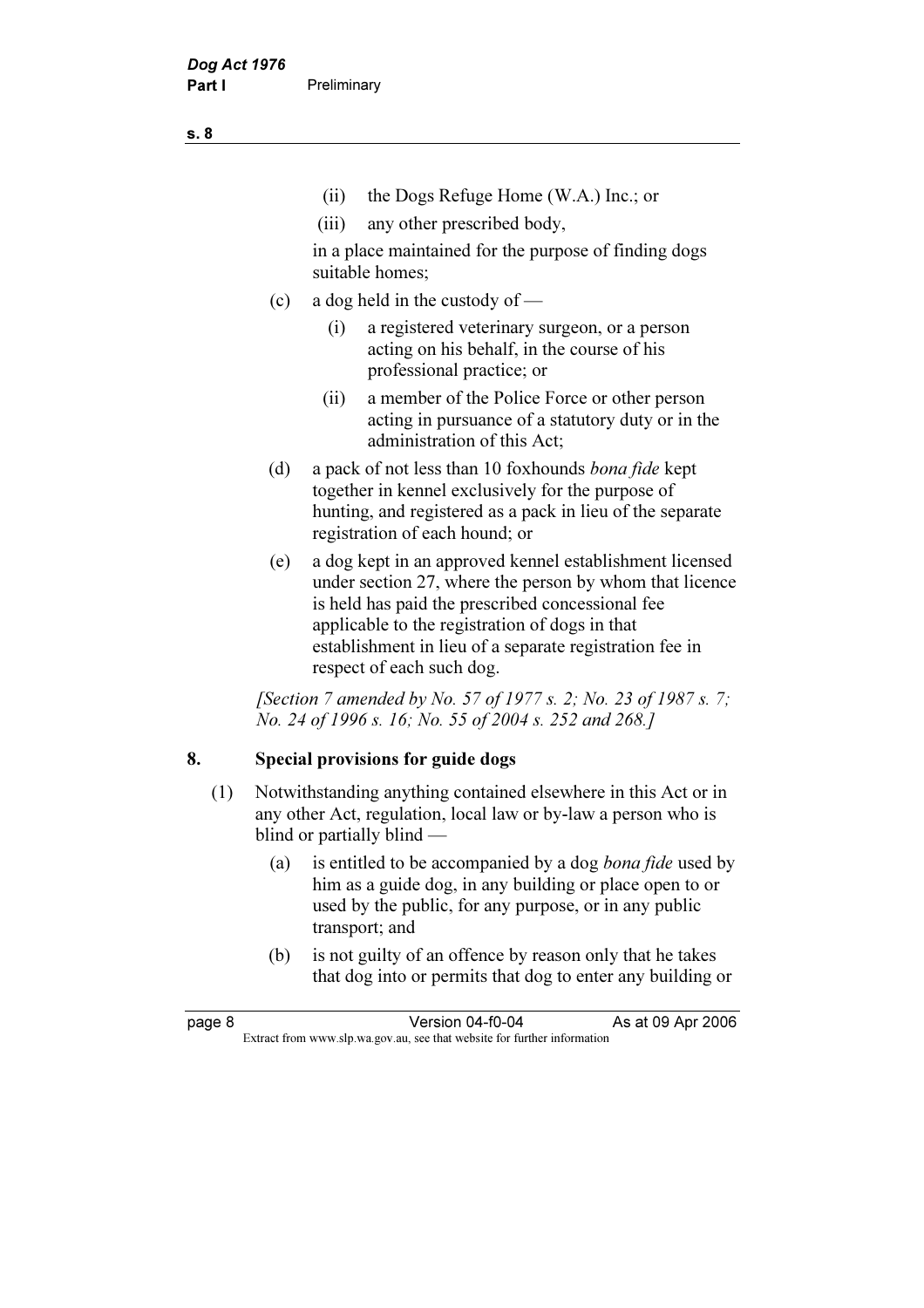- (ii) the Dogs Refuge Home (W.A.) Inc.; or
- (iii) any other prescribed body,

 in a place maintained for the purpose of finding dogs suitable homes;

- (c) a dog held in the custody of
	- (i) a registered veterinary surgeon, or a person acting on his behalf, in the course of his professional practice; or
	- (ii) a member of the Police Force or other person acting in pursuance of a statutory duty or in the administration of this Act;
- (d) a pack of not less than 10 foxhounds bona fide kept together in kennel exclusively for the purpose of hunting, and registered as a pack in lieu of the separate registration of each hound; or
- (e) a dog kept in an approved kennel establishment licensed under section 27, where the person by whom that licence is held has paid the prescribed concessional fee applicable to the registration of dogs in that establishment in lieu of a separate registration fee in respect of each such dog.

[Section 7 amended by No. 57 of 1977 s. 2; No. 23 of 1987 s. 7; No. 24 of 1996 s. 16; No. 55 of 2004 s. 252 and 268.]

## 8. Special provisions for guide dogs

- (1) Notwithstanding anything contained elsewhere in this Act or in any other Act, regulation, local law or by-law a person who is blind or partially blind —
	- (a) is entitled to be accompanied by a dog bona fide used by him as a guide dog, in any building or place open to or used by the public, for any purpose, or in any public transport; and
	- (b) is not guilty of an offence by reason only that he takes that dog into or permits that dog to enter any building or

s. 8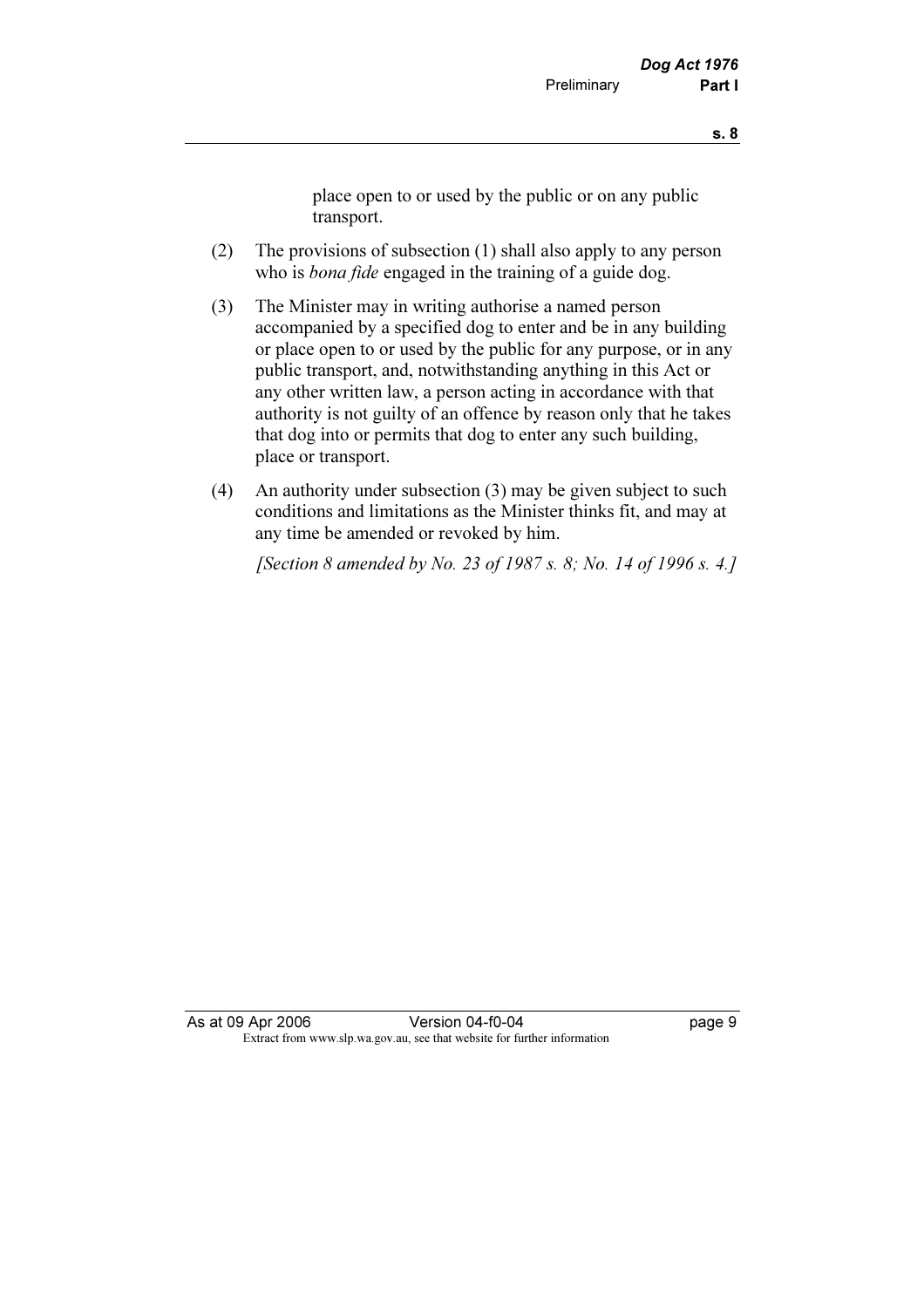place open to or used by the public or on any public transport.

- (2) The provisions of subsection (1) shall also apply to any person who is *bona fide* engaged in the training of a guide dog.
- (3) The Minister may in writing authorise a named person accompanied by a specified dog to enter and be in any building or place open to or used by the public for any purpose, or in any public transport, and, notwithstanding anything in this Act or any other written law, a person acting in accordance with that authority is not guilty of an offence by reason only that he takes that dog into or permits that dog to enter any such building, place or transport.
- (4) An authority under subsection (3) may be given subject to such conditions and limitations as the Minister thinks fit, and may at any time be amended or revoked by him.

[Section 8 amended by No. 23 of 1987 s. 8; No. 14 of 1996 s. 4.]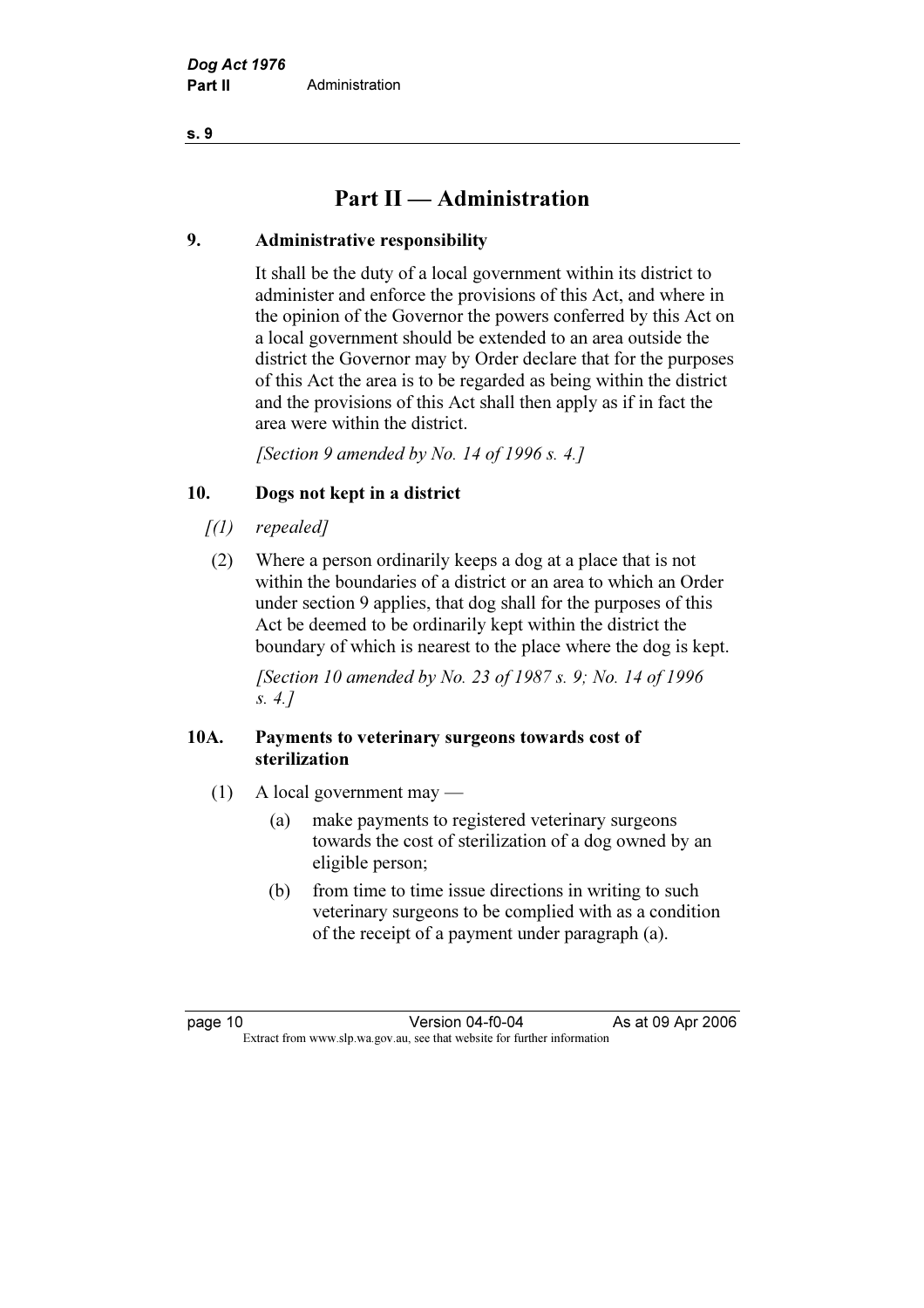## Part II — Administration

## 9. Administrative responsibility

 It shall be the duty of a local government within its district to administer and enforce the provisions of this Act, and where in the opinion of the Governor the powers conferred by this Act on a local government should be extended to an area outside the district the Governor may by Order declare that for the purposes of this Act the area is to be regarded as being within the district and the provisions of this Act shall then apply as if in fact the area were within the district.

[Section 9 amended by No. 14 of 1996 s. 4.]

## 10. Dogs not kept in a district

- $[1]$  repealed]
- (2) Where a person ordinarily keeps a dog at a place that is not within the boundaries of a district or an area to which an Order under section 9 applies, that dog shall for the purposes of this Act be deemed to be ordinarily kept within the district the boundary of which is nearest to the place where the dog is kept.

 [Section 10 amended by No. 23 of 1987 s. 9; No. 14 of 1996 s. 4.]

## 10A. Payments to veterinary surgeons towards cost of sterilization

- (1) A local government may
	- (a) make payments to registered veterinary surgeons towards the cost of sterilization of a dog owned by an eligible person;
	- (b) from time to time issue directions in writing to such veterinary surgeons to be complied with as a condition of the receipt of a payment under paragraph (a).

page 10 Version 04-f0-04 As at 09 Apr 2006<br>Extract from www.slp.wa.gov.au, see that website for further information Extract from www.slp.wa.gov.au, see that website for further information

s. 9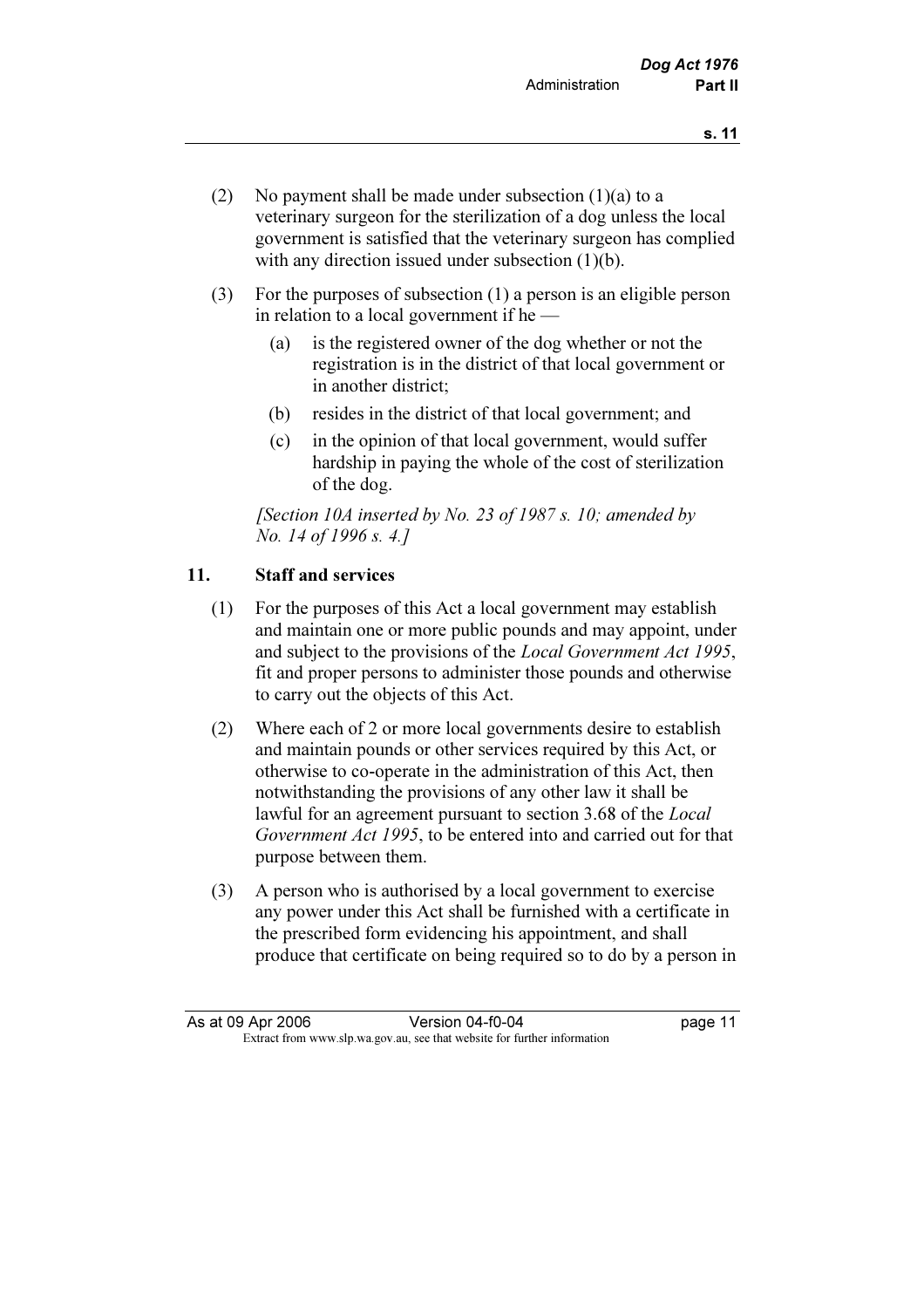- (2) No payment shall be made under subsection (1)(a) to a veterinary surgeon for the sterilization of a dog unless the local government is satisfied that the veterinary surgeon has complied with any direction issued under subsection (1)(b).
- (3) For the purposes of subsection (1) a person is an eligible person in relation to a local government if he —
	- (a) is the registered owner of the dog whether or not the registration is in the district of that local government or in another district;
	- (b) resides in the district of that local government; and
	- (c) in the opinion of that local government, would suffer hardship in paying the whole of the cost of sterilization of the dog.

[Section 10A inserted by No. 23 of 1987 s. 10; amended by No. 14 of 1996 s. 4.]

## 11. Staff and services

- (1) For the purposes of this Act a local government may establish and maintain one or more public pounds and may appoint, under and subject to the provisions of the Local Government Act 1995, fit and proper persons to administer those pounds and otherwise to carry out the objects of this Act.
- (2) Where each of 2 or more local governments desire to establish and maintain pounds or other services required by this Act, or otherwise to co-operate in the administration of this Act, then notwithstanding the provisions of any other law it shall be lawful for an agreement pursuant to section 3.68 of the *Local* Government Act 1995, to be entered into and carried out for that purpose between them.
- (3) A person who is authorised by a local government to exercise any power under this Act shall be furnished with a certificate in the prescribed form evidencing his appointment, and shall produce that certificate on being required so to do by a person in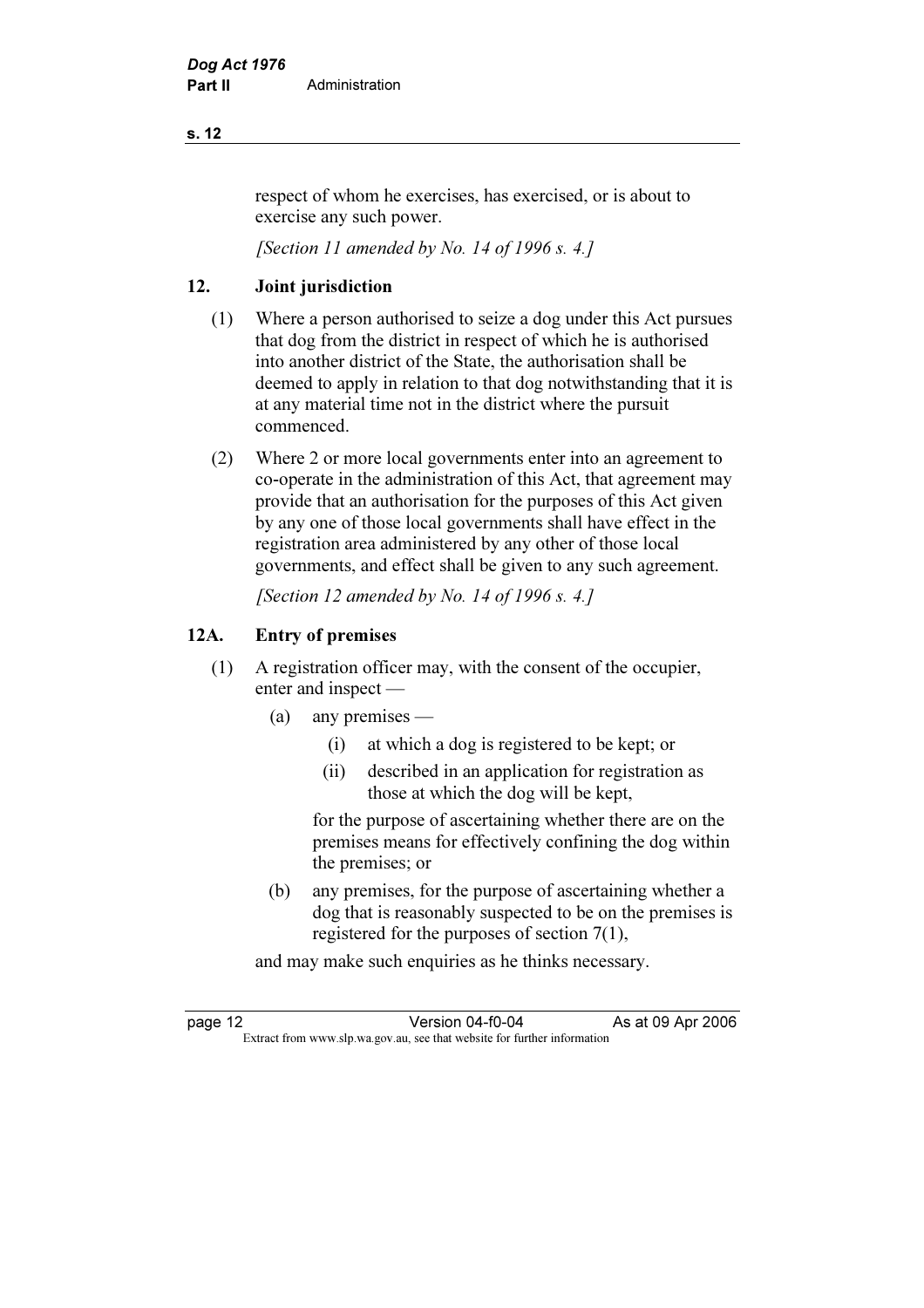## s. 12

respect of whom he exercises, has exercised, or is about to exercise any such power.

[Section 11 amended by No. 14 of 1996 s. 4.]

## 12. Joint jurisdiction

- (1) Where a person authorised to seize a dog under this Act pursues that dog from the district in respect of which he is authorised into another district of the State, the authorisation shall be deemed to apply in relation to that dog notwithstanding that it is at any material time not in the district where the pursuit commenced.
- (2) Where 2 or more local governments enter into an agreement to co-operate in the administration of this Act, that agreement may provide that an authorisation for the purposes of this Act given by any one of those local governments shall have effect in the registration area administered by any other of those local governments, and effect shall be given to any such agreement.

[Section 12 amended by No. 14 of 1996 s. 4.]

## 12A. Entry of premises

- (1) A registration officer may, with the consent of the occupier, enter and inspect —
	- (a) any premises
		- (i) at which a dog is registered to be kept; or
		- (ii) described in an application for registration as those at which the dog will be kept,

 for the purpose of ascertaining whether there are on the premises means for effectively confining the dog within the premises; or

 (b) any premises, for the purpose of ascertaining whether a dog that is reasonably suspected to be on the premises is registered for the purposes of section 7(1),

and may make such enquiries as he thinks necessary.

page 12 Version 04-f0-04 As at 09 Apr 2006<br>Extract from www.slp.wa.gov.au, see that website for further information Extract from www.slp.wa.gov.au, see that website for further information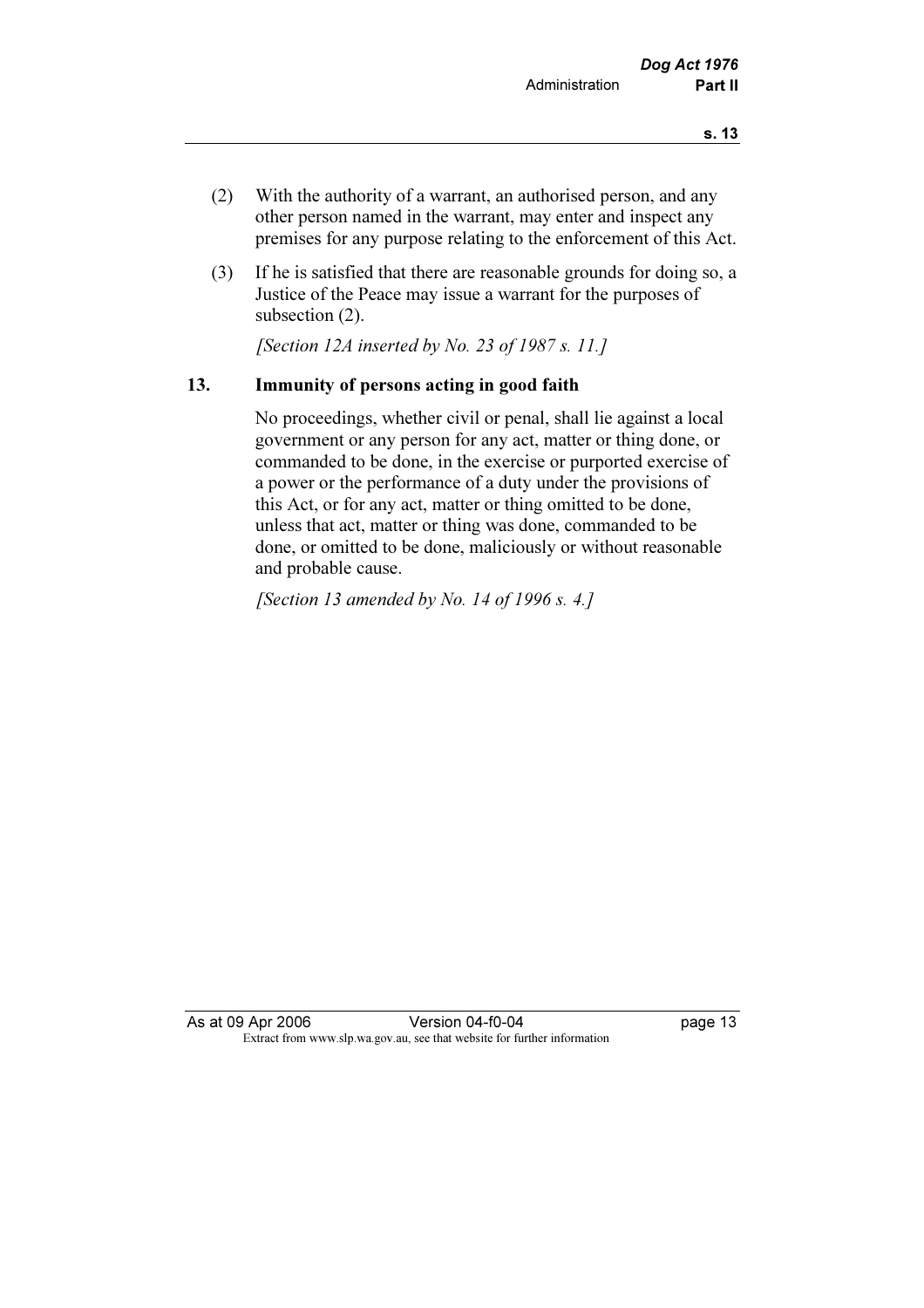- (2) With the authority of a warrant, an authorised person, and any other person named in the warrant, may enter and inspect any premises for any purpose relating to the enforcement of this Act.
- (3) If he is satisfied that there are reasonable grounds for doing so, a Justice of the Peace may issue a warrant for the purposes of subsection (2).

[Section 12A inserted by No. 23 of 1987 s. 11.]

## 13. Immunity of persons acting in good faith

 No proceedings, whether civil or penal, shall lie against a local government or any person for any act, matter or thing done, or commanded to be done, in the exercise or purported exercise of a power or the performance of a duty under the provisions of this Act, or for any act, matter or thing omitted to be done, unless that act, matter or thing was done, commanded to be done, or omitted to be done, maliciously or without reasonable and probable cause.

[Section 13 amended by No. 14 of 1996 s. 4.]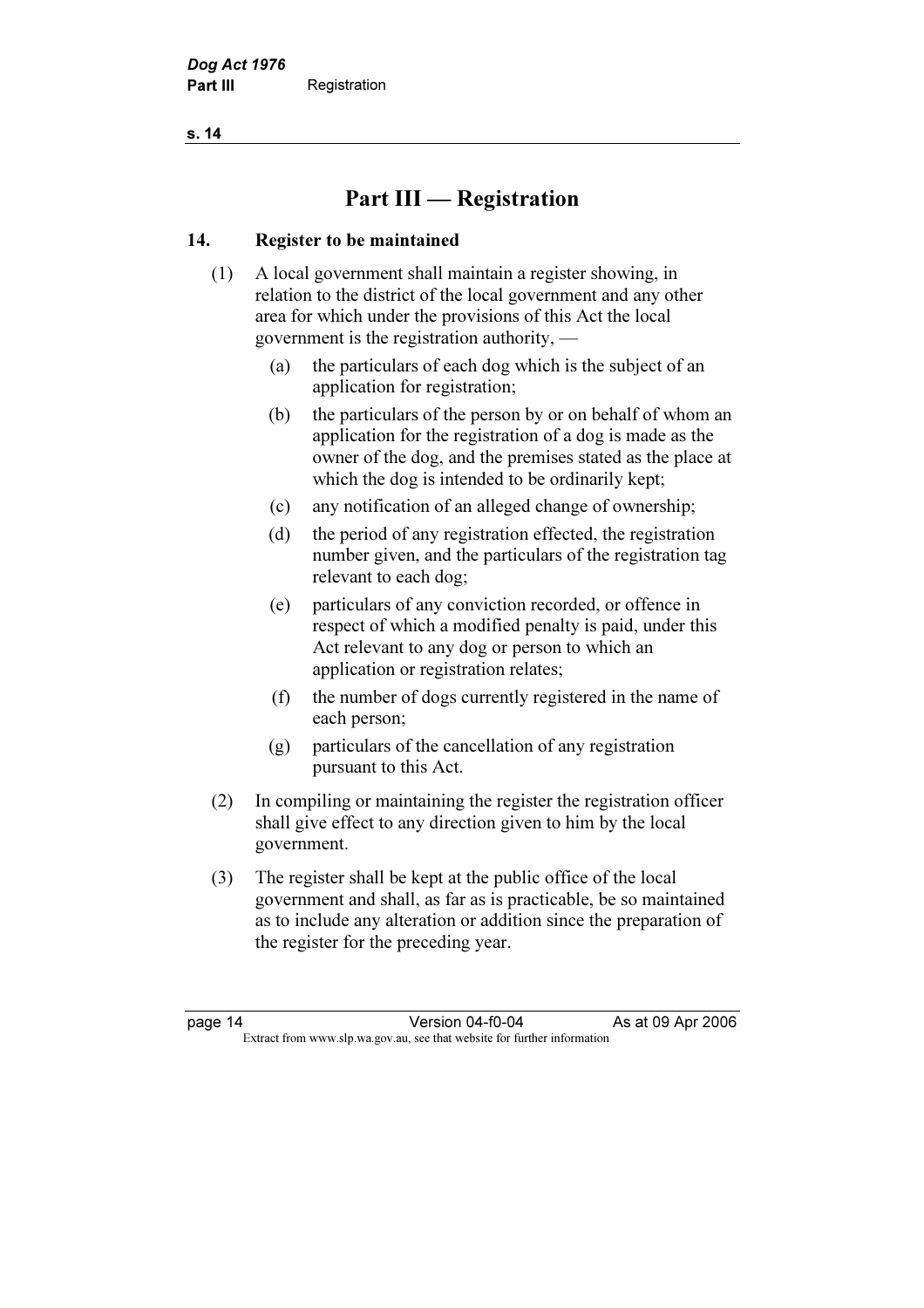s. 14

# Part III — Registration

## 14. Register to be maintained

- (1) A local government shall maintain a register showing, in relation to the district of the local government and any other area for which under the provisions of this Act the local government is the registration authority, —
	- (a) the particulars of each dog which is the subject of an application for registration;
	- (b) the particulars of the person by or on behalf of whom an application for the registration of a dog is made as the owner of the dog, and the premises stated as the place at which the dog is intended to be ordinarily kept;
	- (c) any notification of an alleged change of ownership;
	- (d) the period of any registration effected, the registration number given, and the particulars of the registration tag relevant to each dog;
	- (e) particulars of any conviction recorded, or offence in respect of which a modified penalty is paid, under this Act relevant to any dog or person to which an application or registration relates;
	- (f) the number of dogs currently registered in the name of each person;
	- (g) particulars of the cancellation of any registration pursuant to this Act.
- (2) In compiling or maintaining the register the registration officer shall give effect to any direction given to him by the local government.
- (3) The register shall be kept at the public office of the local government and shall, as far as is practicable, be so maintained as to include any alteration or addition since the preparation of the register for the preceding year.

page 14 Version 04-f0-04 As at 09 Apr 2006<br>Extract from www.slp.wa.gov.au, see that website for further information Extract from www.slp.wa.gov.au, see that website for further information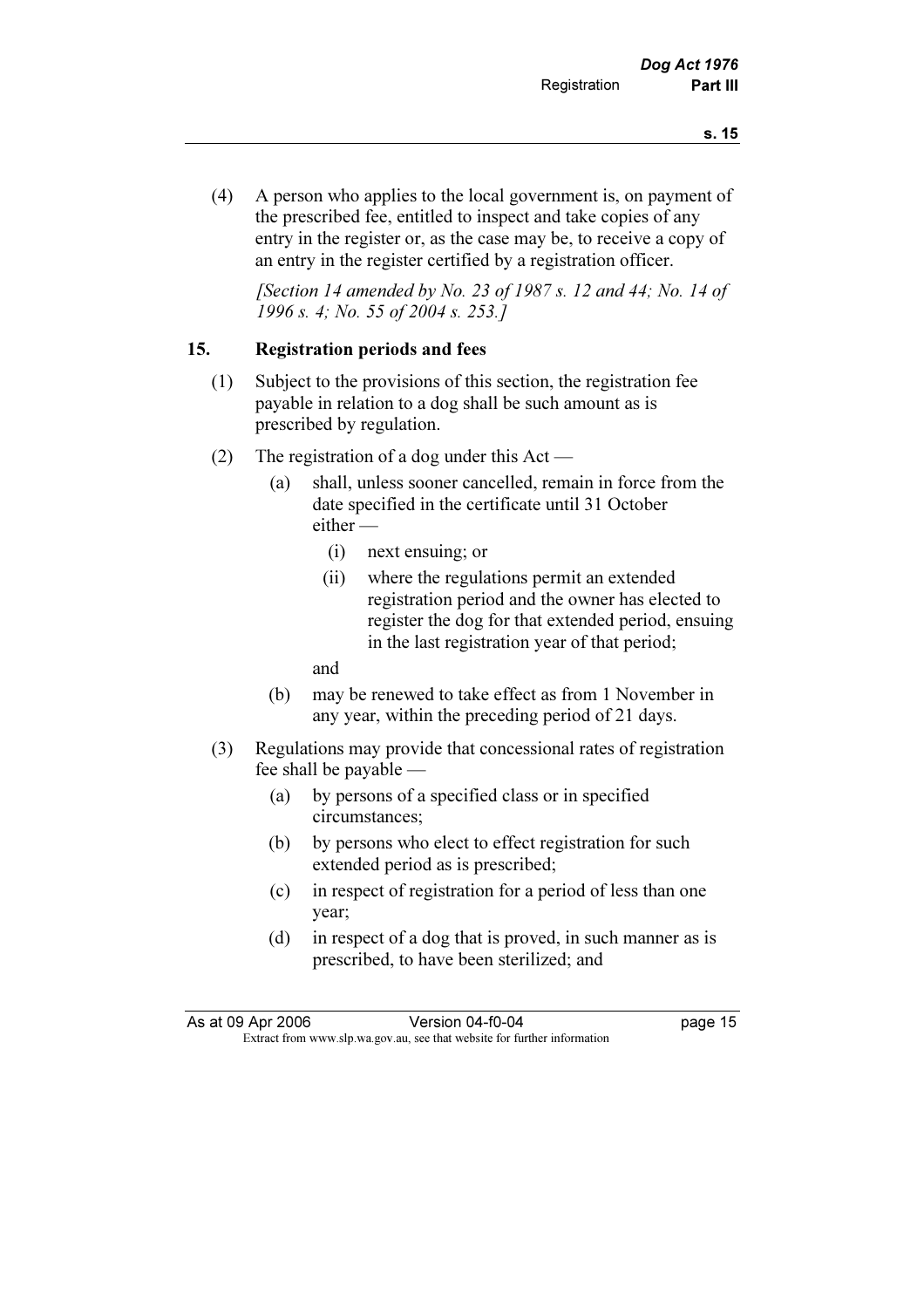(4) A person who applies to the local government is, on payment of the prescribed fee, entitled to inspect and take copies of any entry in the register or, as the case may be, to receive a copy of an entry in the register certified by a registration officer.

[Section 14 amended by No. 23 of 1987 s. 12 and 44; No. 14 of 1996 s. 4; No. 55 of 2004 s. 253.]

## 15. Registration periods and fees

- (1) Subject to the provisions of this section, the registration fee payable in relation to a dog shall be such amount as is prescribed by regulation.
- (2) The registration of a dog under this Act
	- (a) shall, unless sooner cancelled, remain in force from the date specified in the certificate until 31 October either —
		- (i) next ensuing; or
		- (ii) where the regulations permit an extended registration period and the owner has elected to register the dog for that extended period, ensuing in the last registration year of that period;

and

- (b) may be renewed to take effect as from 1 November in any year, within the preceding period of 21 days.
- (3) Regulations may provide that concessional rates of registration fee shall be payable —
	- (a) by persons of a specified class or in specified circumstances;
	- (b) by persons who elect to effect registration for such extended period as is prescribed;
	- (c) in respect of registration for a period of less than one year;
	- (d) in respect of a dog that is proved, in such manner as is prescribed, to have been sterilized; and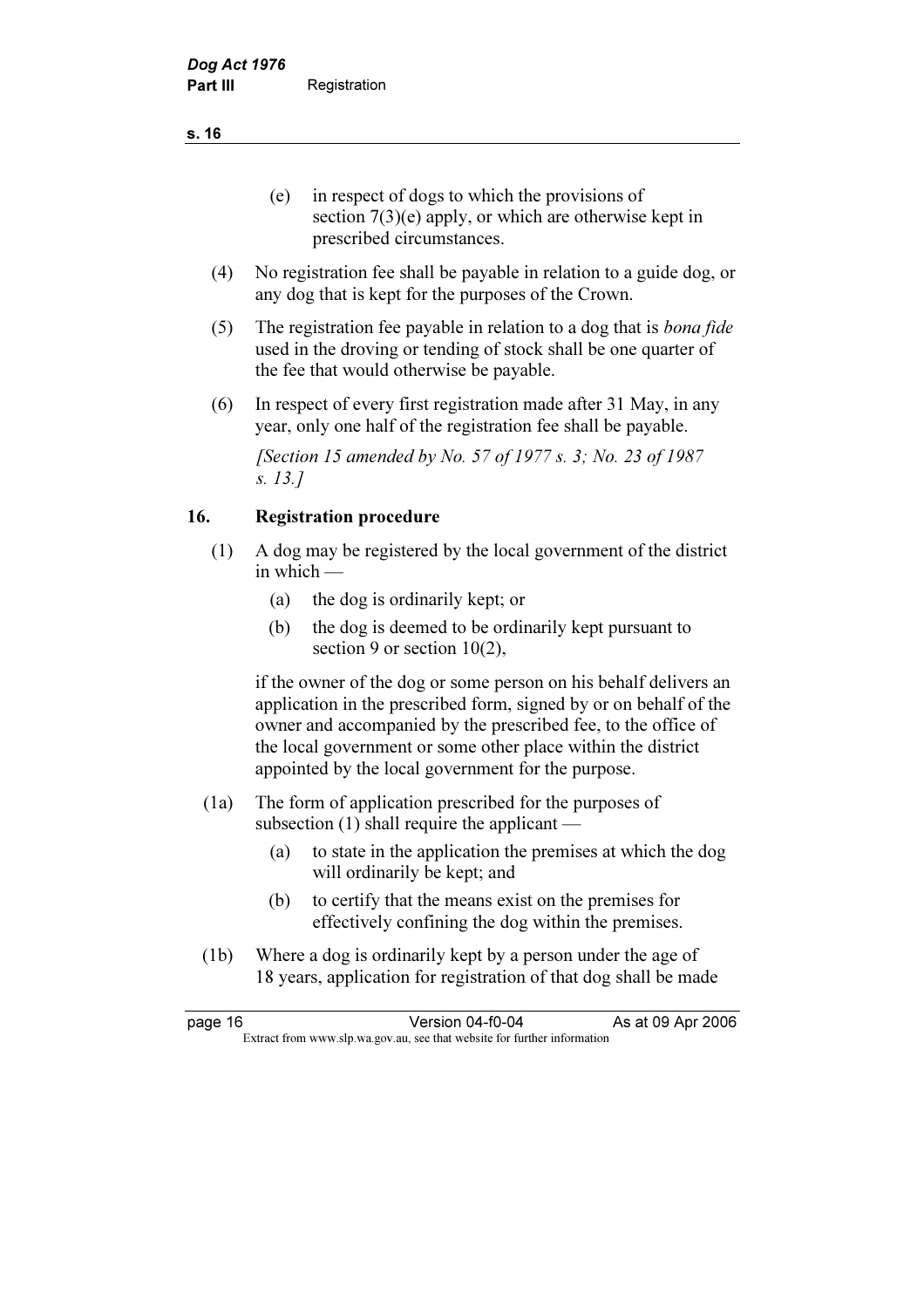(e) in respect of dogs to which the provisions of section  $7(3)(e)$  apply, or which are otherwise kept in prescribed circumstances.

- (4) No registration fee shall be payable in relation to a guide dog, or any dog that is kept for the purposes of the Crown.
- (5) The registration fee payable in relation to a dog that is bona fide used in the droving or tending of stock shall be one quarter of the fee that would otherwise be payable.
- (6) In respect of every first registration made after 31 May, in any year, only one half of the registration fee shall be payable.

 [Section 15 amended by No. 57 of 1977 s. 3; No. 23 of 1987 s. 13.]

## 16. Registration procedure

- (1) A dog may be registered by the local government of the district in which —
	- (a) the dog is ordinarily kept; or
	- (b) the dog is deemed to be ordinarily kept pursuant to section 9 or section 10(2),

 if the owner of the dog or some person on his behalf delivers an application in the prescribed form, signed by or on behalf of the owner and accompanied by the prescribed fee, to the office of the local government or some other place within the district appointed by the local government for the purpose.

- (1a) The form of application prescribed for the purposes of subsection (1) shall require the applicant —
	- (a) to state in the application the premises at which the dog will ordinarily be kept; and
	- (b) to certify that the means exist on the premises for effectively confining the dog within the premises.
- (1b) Where a dog is ordinarily kept by a person under the age of 18 years, application for registration of that dog shall be made

| page 16 | Version 04-f0-04                                                         | As at 09 Apr 2006 |
|---------|--------------------------------------------------------------------------|-------------------|
|         | Extract from www.slp.wa.gov.au, see that website for further information |                   |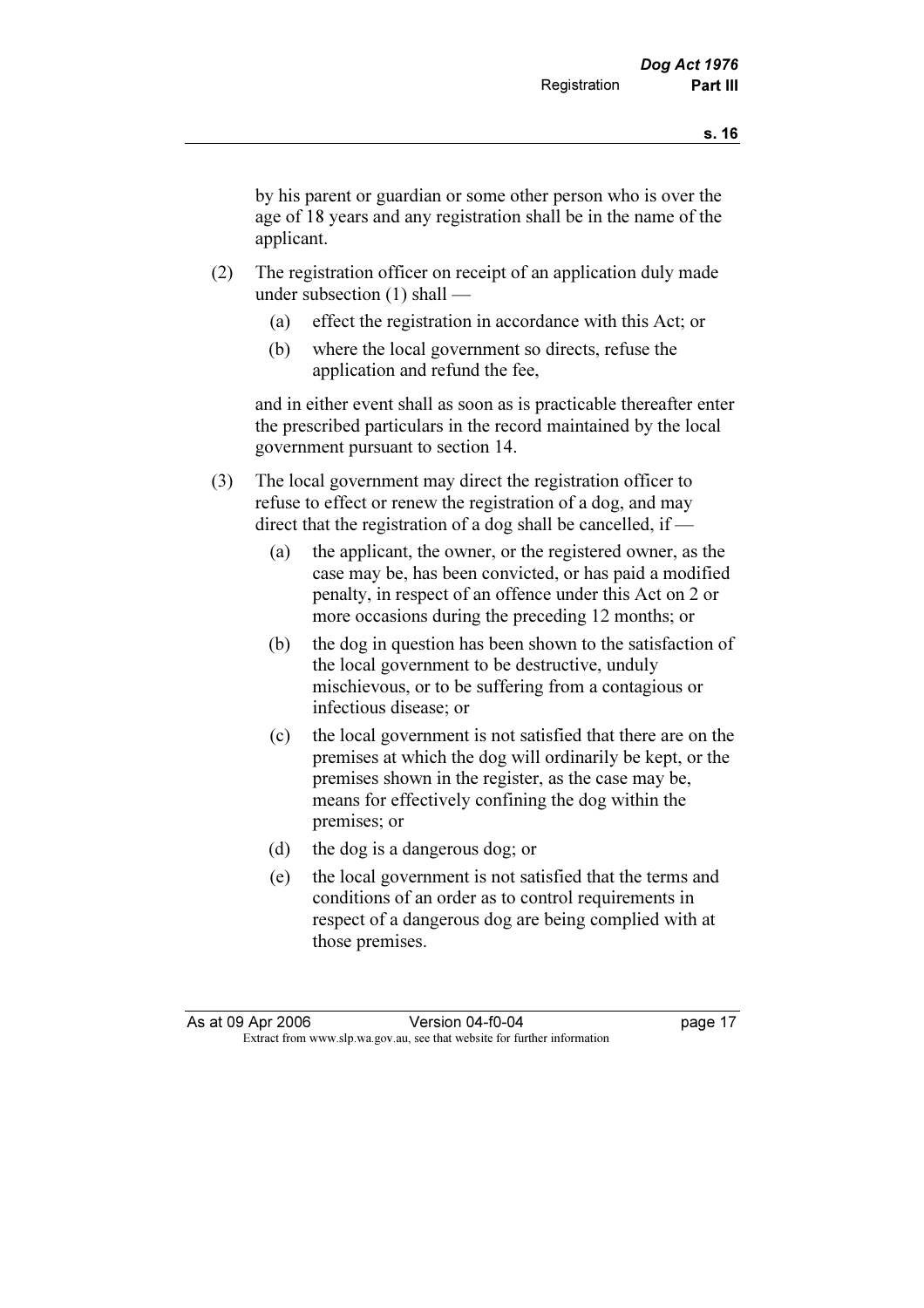by his parent or guardian or some other person who is over the age of 18 years and any registration shall be in the name of the applicant.

- (2) The registration officer on receipt of an application duly made under subsection (1) shall —
	- (a) effect the registration in accordance with this Act; or
	- (b) where the local government so directs, refuse the application and refund the fee,

 and in either event shall as soon as is practicable thereafter enter the prescribed particulars in the record maintained by the local government pursuant to section 14.

- (3) The local government may direct the registration officer to refuse to effect or renew the registration of a dog, and may direct that the registration of a dog shall be cancelled, if —
	- (a) the applicant, the owner, or the registered owner, as the case may be, has been convicted, or has paid a modified penalty, in respect of an offence under this Act on 2 or more occasions during the preceding 12 months; or
	- (b) the dog in question has been shown to the satisfaction of the local government to be destructive, unduly mischievous, or to be suffering from a contagious or infectious disease; or
	- (c) the local government is not satisfied that there are on the premises at which the dog will ordinarily be kept, or the premises shown in the register, as the case may be, means for effectively confining the dog within the premises; or
	- (d) the dog is a dangerous dog; or
	- (e) the local government is not satisfied that the terms and conditions of an order as to control requirements in respect of a dangerous dog are being complied with at those premises.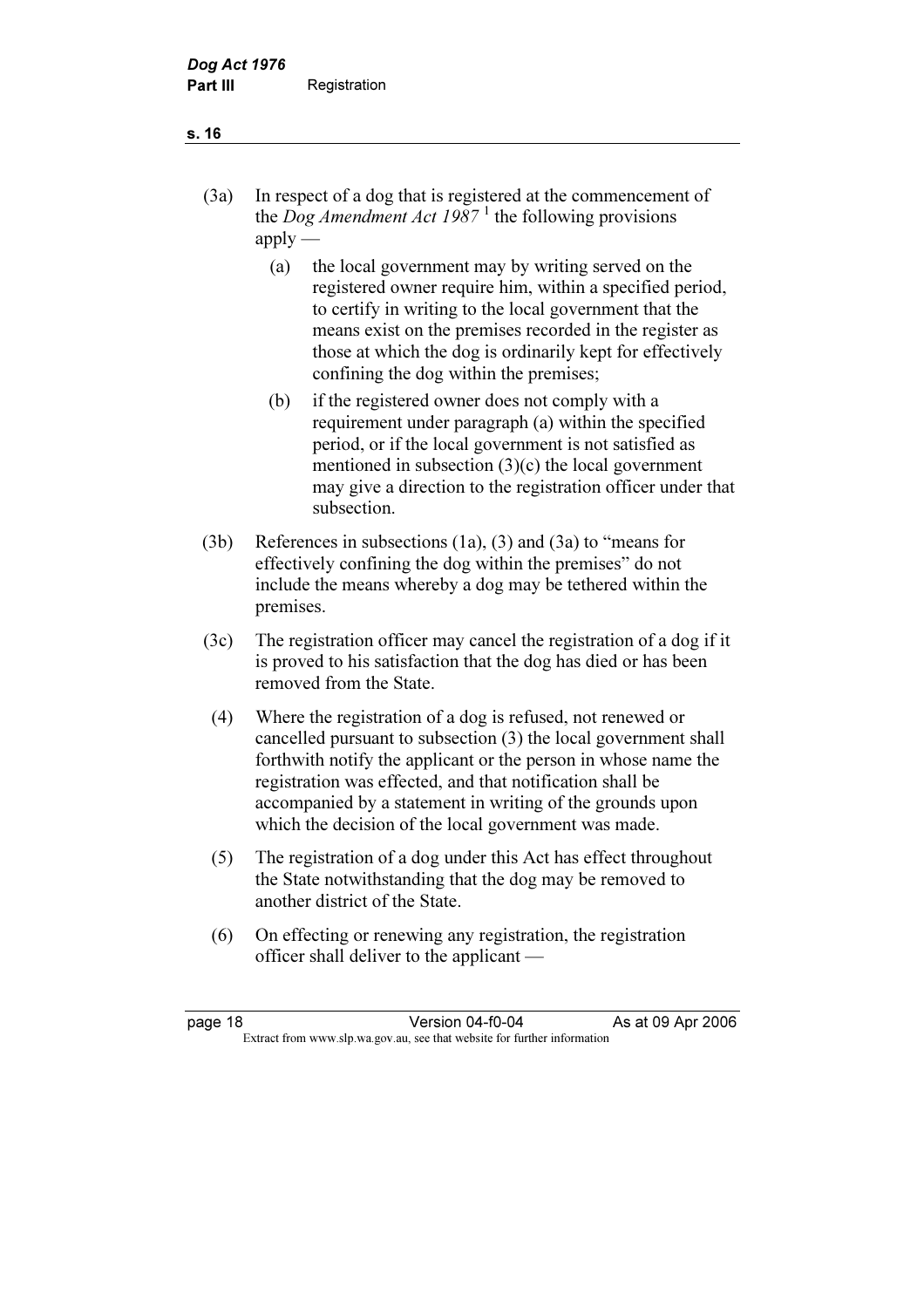## (3a) In respect of a dog that is registered at the commencement of the *Dog Amendment Act 1987*<sup>1</sup> the following provisions  $apply$

- (a) the local government may by writing served on the registered owner require him, within a specified period, to certify in writing to the local government that the means exist on the premises recorded in the register as those at which the dog is ordinarily kept for effectively confining the dog within the premises;
- (b) if the registered owner does not comply with a requirement under paragraph (a) within the specified period, or if the local government is not satisfied as mentioned in subsection (3)(c) the local government may give a direction to the registration officer under that subsection.
- (3b) References in subsections (1a), (3) and (3a) to "means for effectively confining the dog within the premises" do not include the means whereby a dog may be tethered within the premises.
- (3c) The registration officer may cancel the registration of a dog if it is proved to his satisfaction that the dog has died or has been removed from the State.
- (4) Where the registration of a dog is refused, not renewed or cancelled pursuant to subsection (3) the local government shall forthwith notify the applicant or the person in whose name the registration was effected, and that notification shall be accompanied by a statement in writing of the grounds upon which the decision of the local government was made.
- (5) The registration of a dog under this Act has effect throughout the State notwithstanding that the dog may be removed to another district of the State.
- (6) On effecting or renewing any registration, the registration officer shall deliver to the applicant —

#### s. 16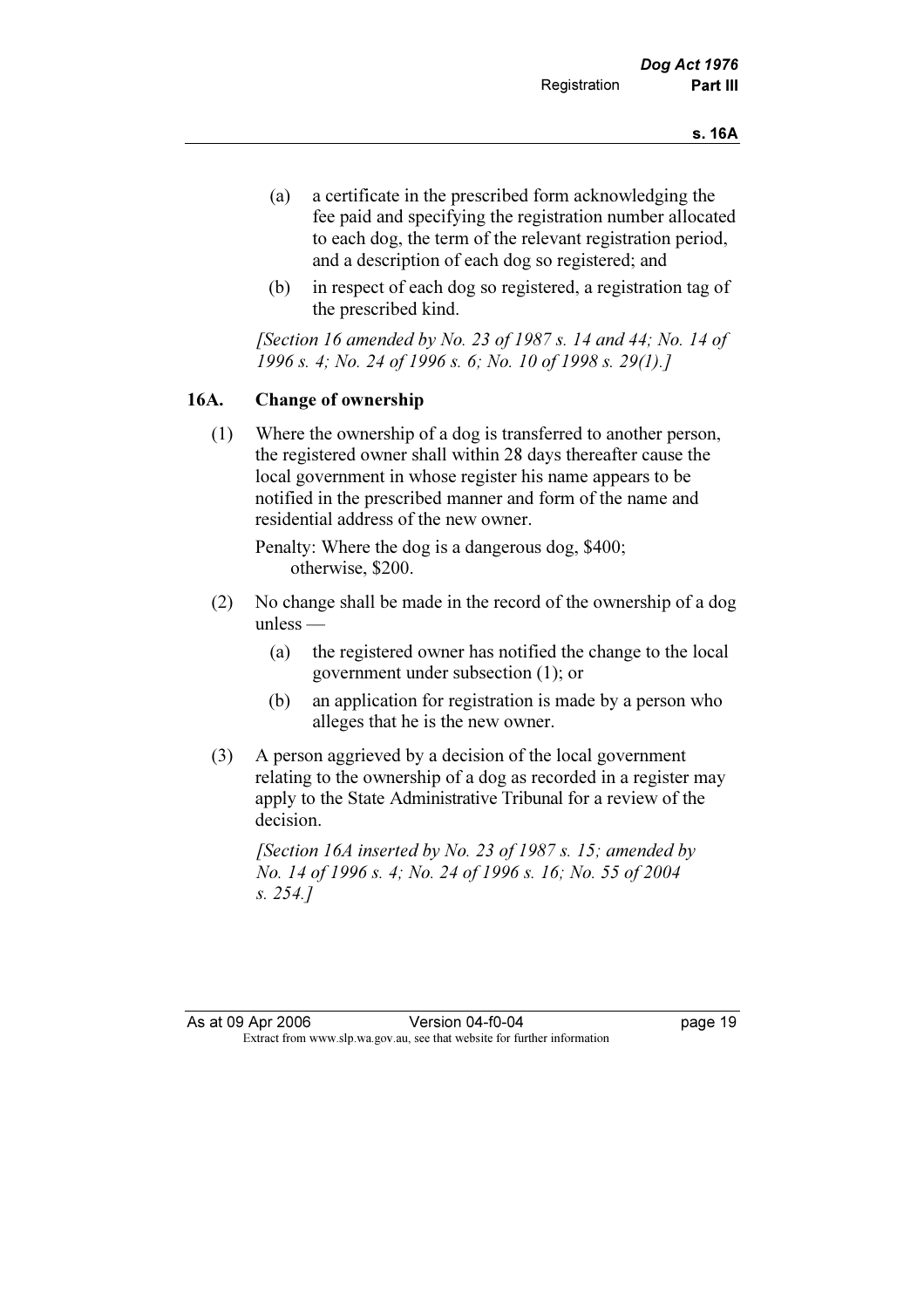- (a) a certificate in the prescribed form acknowledging the fee paid and specifying the registration number allocated to each dog, the term of the relevant registration period, and a description of each dog so registered; and
- (b) in respect of each dog so registered, a registration tag of the prescribed kind.

[Section 16 amended by No. 23 of 1987 s. 14 and 44; No. 14 of 1996 s. 4; No. 24 of 1996 s. 6; No. 10 of 1998 s. 29(1).]

## 16A. Change of ownership

 (1) Where the ownership of a dog is transferred to another person, the registered owner shall within 28 days thereafter cause the local government in whose register his name appears to be notified in the prescribed manner and form of the name and residential address of the new owner.

 Penalty: Where the dog is a dangerous dog, \$400; otherwise, \$200.

- (2) No change shall be made in the record of the ownership of a dog unless —
	- (a) the registered owner has notified the change to the local government under subsection (1); or
	- (b) an application for registration is made by a person who alleges that he is the new owner.
- (3) A person aggrieved by a decision of the local government relating to the ownership of a dog as recorded in a register may apply to the State Administrative Tribunal for a review of the decision.

[Section 16A inserted by No. 23 of 1987 s. 15; amended by No. 14 of 1996 s. 4; No. 24 of 1996 s. 16; No. 55 of 2004 s. 254.]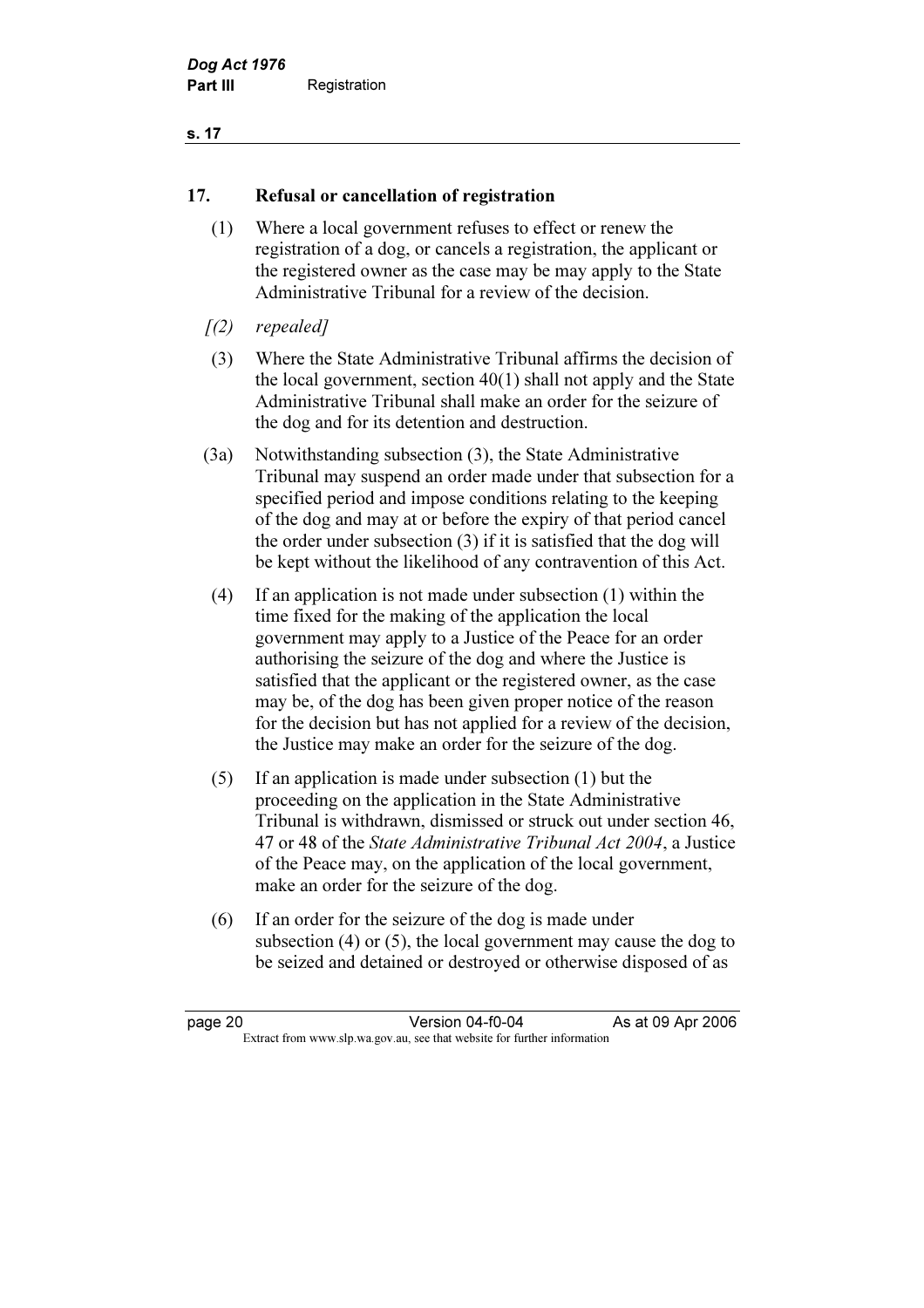### s. 17

## 17. Refusal or cancellation of registration

- (1) Where a local government refuses to effect or renew the registration of a dog, or cancels a registration, the applicant or the registered owner as the case may be may apply to the State Administrative Tribunal for a review of the decision.
- $(2)$  repealed]
- (3) Where the State Administrative Tribunal affirms the decision of the local government, section 40(1) shall not apply and the State Administrative Tribunal shall make an order for the seizure of the dog and for its detention and destruction.
- (3a) Notwithstanding subsection (3), the State Administrative Tribunal may suspend an order made under that subsection for a specified period and impose conditions relating to the keeping of the dog and may at or before the expiry of that period cancel the order under subsection (3) if it is satisfied that the dog will be kept without the likelihood of any contravention of this Act.
- (4) If an application is not made under subsection (1) within the time fixed for the making of the application the local government may apply to a Justice of the Peace for an order authorising the seizure of the dog and where the Justice is satisfied that the applicant or the registered owner, as the case may be, of the dog has been given proper notice of the reason for the decision but has not applied for a review of the decision, the Justice may make an order for the seizure of the dog.
- (5) If an application is made under subsection (1) but the proceeding on the application in the State Administrative Tribunal is withdrawn, dismissed or struck out under section 46, 47 or 48 of the State Administrative Tribunal Act 2004, a Justice of the Peace may, on the application of the local government, make an order for the seizure of the dog.
- (6) If an order for the seizure of the dog is made under subsection (4) or (5), the local government may cause the dog to be seized and detained or destroyed or otherwise disposed of as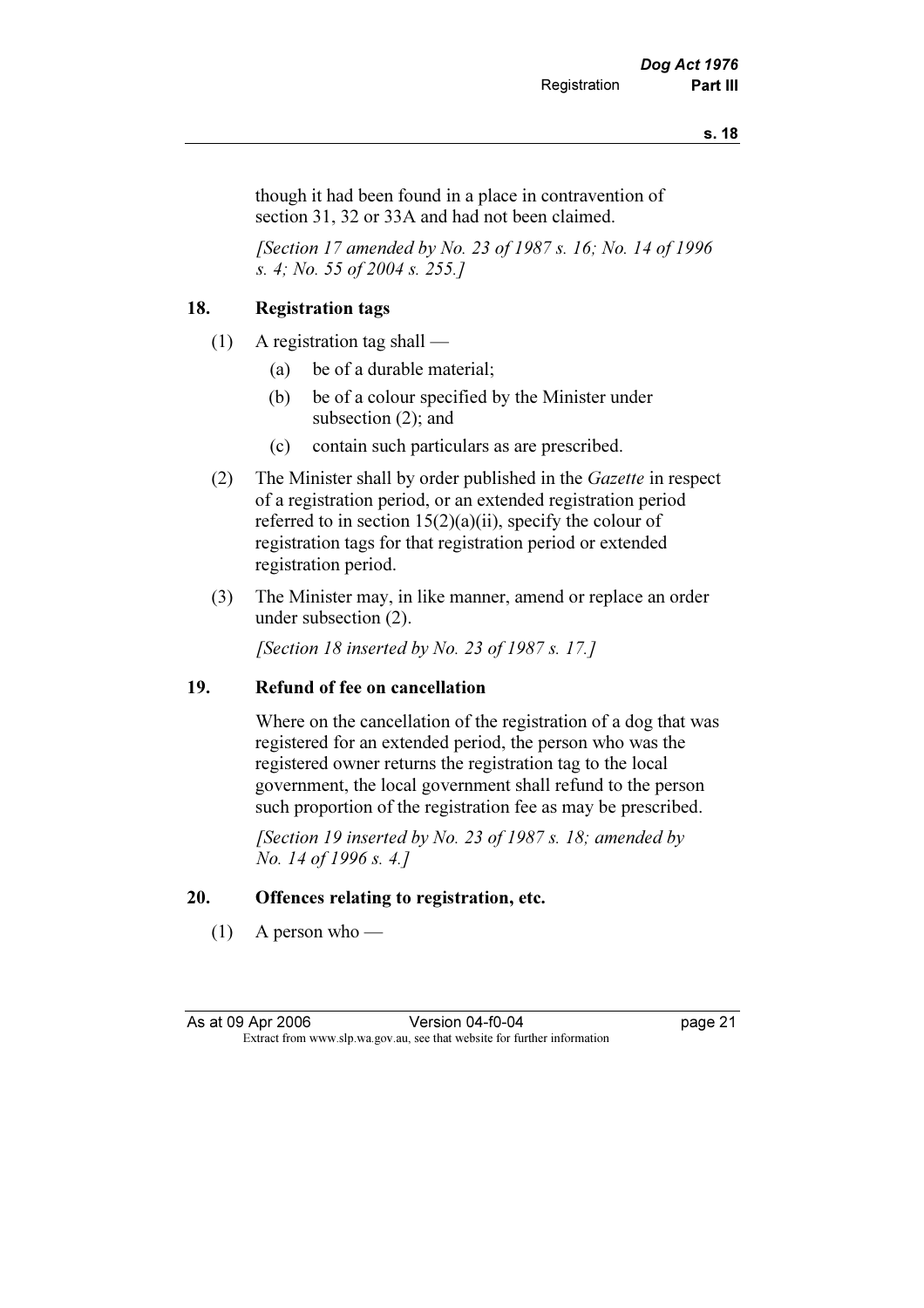though it had been found in a place in contravention of section 31, 32 or 33A and had not been claimed.

[Section 17 amended by No. 23 of 1987 s. 16; No. 14 of 1996] s. 4; No. 55 of 2004 s. 255.]

## 18. Registration tags

- (1) A registration tag shall
	- (a) be of a durable material;
	- (b) be of a colour specified by the Minister under subsection (2); and
	- (c) contain such particulars as are prescribed.
- (2) The Minister shall by order published in the Gazette in respect of a registration period, or an extended registration period referred to in section  $15(2)(a)(ii)$ , specify the colour of registration tags for that registration period or extended registration period.
- (3) The Minister may, in like manner, amend or replace an order under subsection (2).

[Section 18 inserted by No. 23 of 1987 s. 17.]

## 19. Refund of fee on cancellation

 Where on the cancellation of the registration of a dog that was registered for an extended period, the person who was the registered owner returns the registration tag to the local government, the local government shall refund to the person such proportion of the registration fee as may be prescribed.

[Section 19 inserted by No. 23 of 1987 s. 18; amended by No. 14 of 1996 s. 4.]

## 20. Offences relating to registration, etc.

 $(1)$  A person who —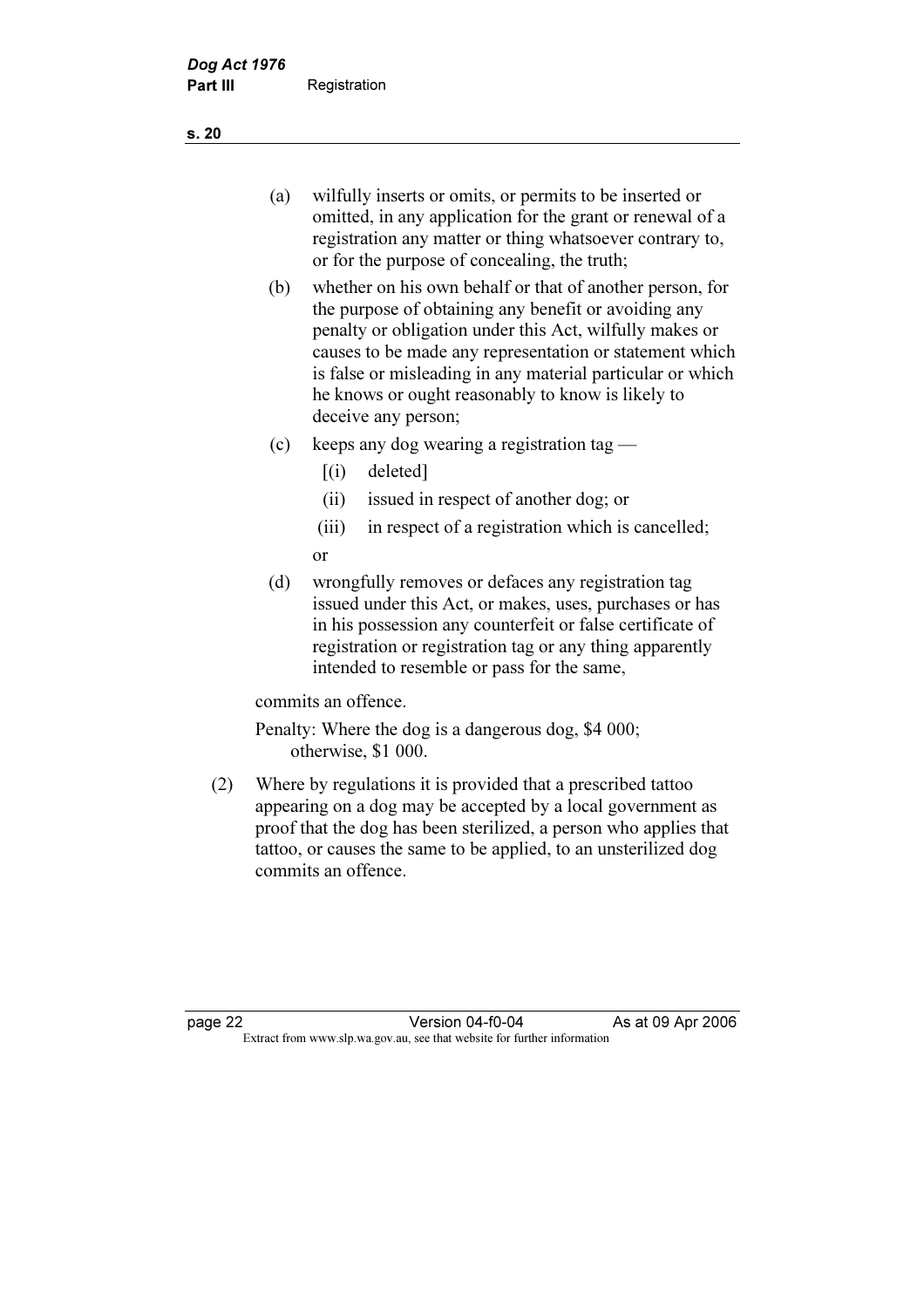- (a) wilfully inserts or omits, or permits to be inserted or omitted, in any application for the grant or renewal of a registration any matter or thing whatsoever contrary to, or for the purpose of concealing, the truth;
- (b) whether on his own behalf or that of another person, for the purpose of obtaining any benefit or avoiding any penalty or obligation under this Act, wilfully makes or causes to be made any representation or statement which is false or misleading in any material particular or which he knows or ought reasonably to know is likely to deceive any person;
- (c) keeps any dog wearing a registration tag
	- $[(i)$  deleted]
	- (ii) issued in respect of another dog; or
	- (iii) in respect of a registration which is cancelled; or
- (d) wrongfully removes or defaces any registration tag issued under this Act, or makes, uses, purchases or has in his possession any counterfeit or false certificate of registration or registration tag or any thing apparently intended to resemble or pass for the same,

commits an offence.

 Penalty: Where the dog is a dangerous dog, \$4 000; otherwise, \$1 000.

 (2) Where by regulations it is provided that a prescribed tattoo appearing on a dog may be accepted by a local government as proof that the dog has been sterilized, a person who applies that tattoo, or causes the same to be applied, to an unsterilized dog commits an offence.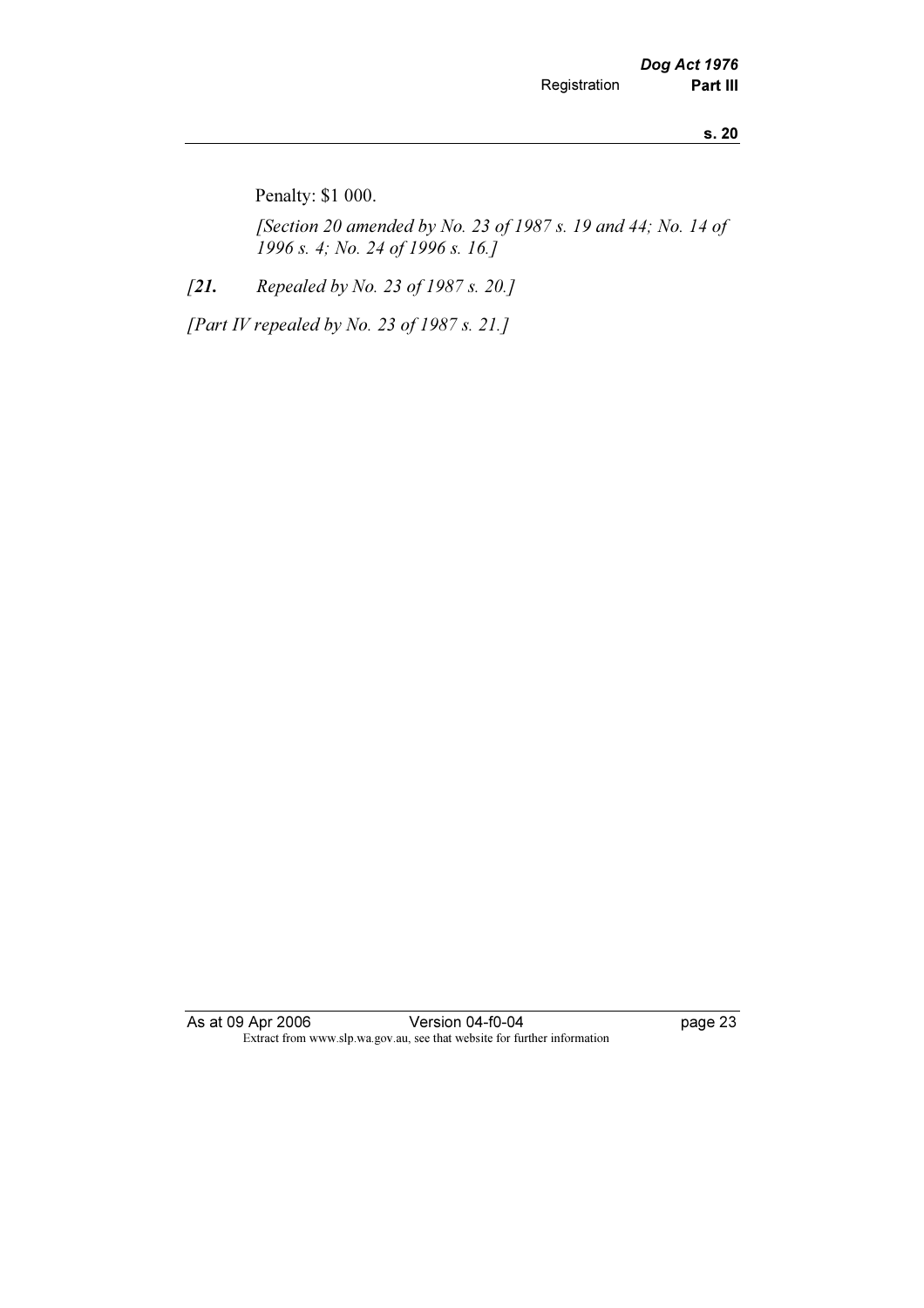Penalty: \$1 000.

 [Section 20 amended by No. 23 of 1987 s. 19 and 44; No. 14 of 1996 s. 4; No. 24 of 1996 s. 16.]

[21. Repealed by No. 23 of 1987 s. 20.]

[Part IV repealed by No. 23 of 1987 s. 21.]

As at 09 Apr 2006 Version 04-f0-04 page 23 Extract from www.slp.wa.gov.au, see that website for further information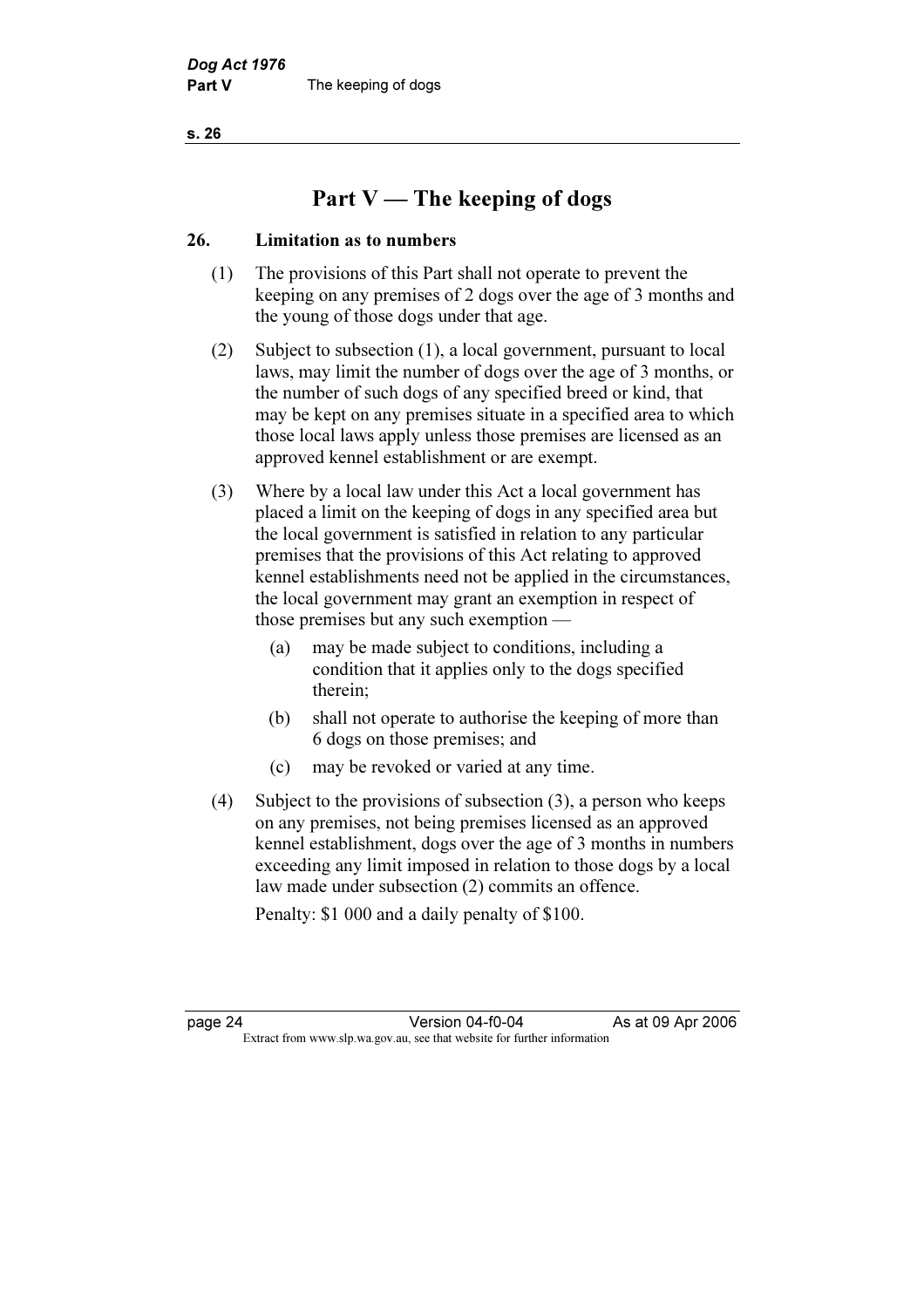s. 26

# Part V — The keeping of dogs

## 26. Limitation as to numbers

- (1) The provisions of this Part shall not operate to prevent the keeping on any premises of 2 dogs over the age of 3 months and the young of those dogs under that age.
- (2) Subject to subsection (1), a local government, pursuant to local laws, may limit the number of dogs over the age of 3 months, or the number of such dogs of any specified breed or kind, that may be kept on any premises situate in a specified area to which those local laws apply unless those premises are licensed as an approved kennel establishment or are exempt.
- (3) Where by a local law under this Act a local government has placed a limit on the keeping of dogs in any specified area but the local government is satisfied in relation to any particular premises that the provisions of this Act relating to approved kennel establishments need not be applied in the circumstances, the local government may grant an exemption in respect of those premises but any such exemption —
	- (a) may be made subject to conditions, including a condition that it applies only to the dogs specified therein;
	- (b) shall not operate to authorise the keeping of more than 6 dogs on those premises; and
	- (c) may be revoked or varied at any time.
- (4) Subject to the provisions of subsection (3), a person who keeps on any premises, not being premises licensed as an approved kennel establishment, dogs over the age of 3 months in numbers exceeding any limit imposed in relation to those dogs by a local law made under subsection (2) commits an offence.

Penalty: \$1 000 and a daily penalty of \$100.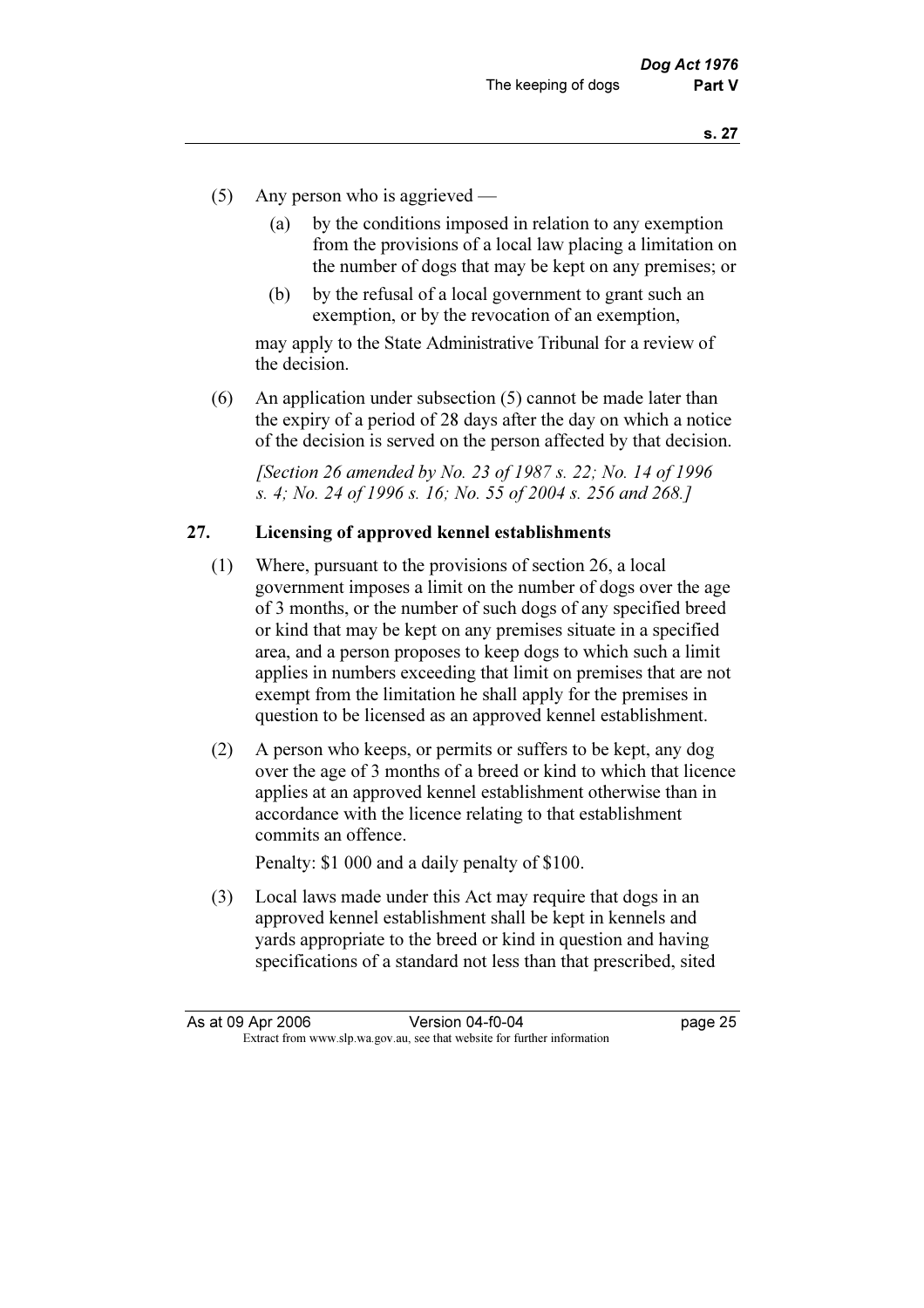- (5) Any person who is aggrieved
	- (a) by the conditions imposed in relation to any exemption from the provisions of a local law placing a limitation on the number of dogs that may be kept on any premises; or
	- (b) by the refusal of a local government to grant such an exemption, or by the revocation of an exemption,

 may apply to the State Administrative Tribunal for a review of the decision.

 (6) An application under subsection (5) cannot be made later than the expiry of a period of 28 days after the day on which a notice of the decision is served on the person affected by that decision.

 [Section 26 amended by No. 23 of 1987 s. 22; No. 14 of 1996 s. 4; No. 24 of 1996 s. 16; No. 55 of 2004 s. 256 and 268.]

## 27. Licensing of approved kennel establishments

- (1) Where, pursuant to the provisions of section 26, a local government imposes a limit on the number of dogs over the age of 3 months, or the number of such dogs of any specified breed or kind that may be kept on any premises situate in a specified area, and a person proposes to keep dogs to which such a limit applies in numbers exceeding that limit on premises that are not exempt from the limitation he shall apply for the premises in question to be licensed as an approved kennel establishment.
- (2) A person who keeps, or permits or suffers to be kept, any dog over the age of 3 months of a breed or kind to which that licence applies at an approved kennel establishment otherwise than in accordance with the licence relating to that establishment commits an offence.

Penalty: \$1 000 and a daily penalty of \$100.

 (3) Local laws made under this Act may require that dogs in an approved kennel establishment shall be kept in kennels and yards appropriate to the breed or kind in question and having specifications of a standard not less than that prescribed, sited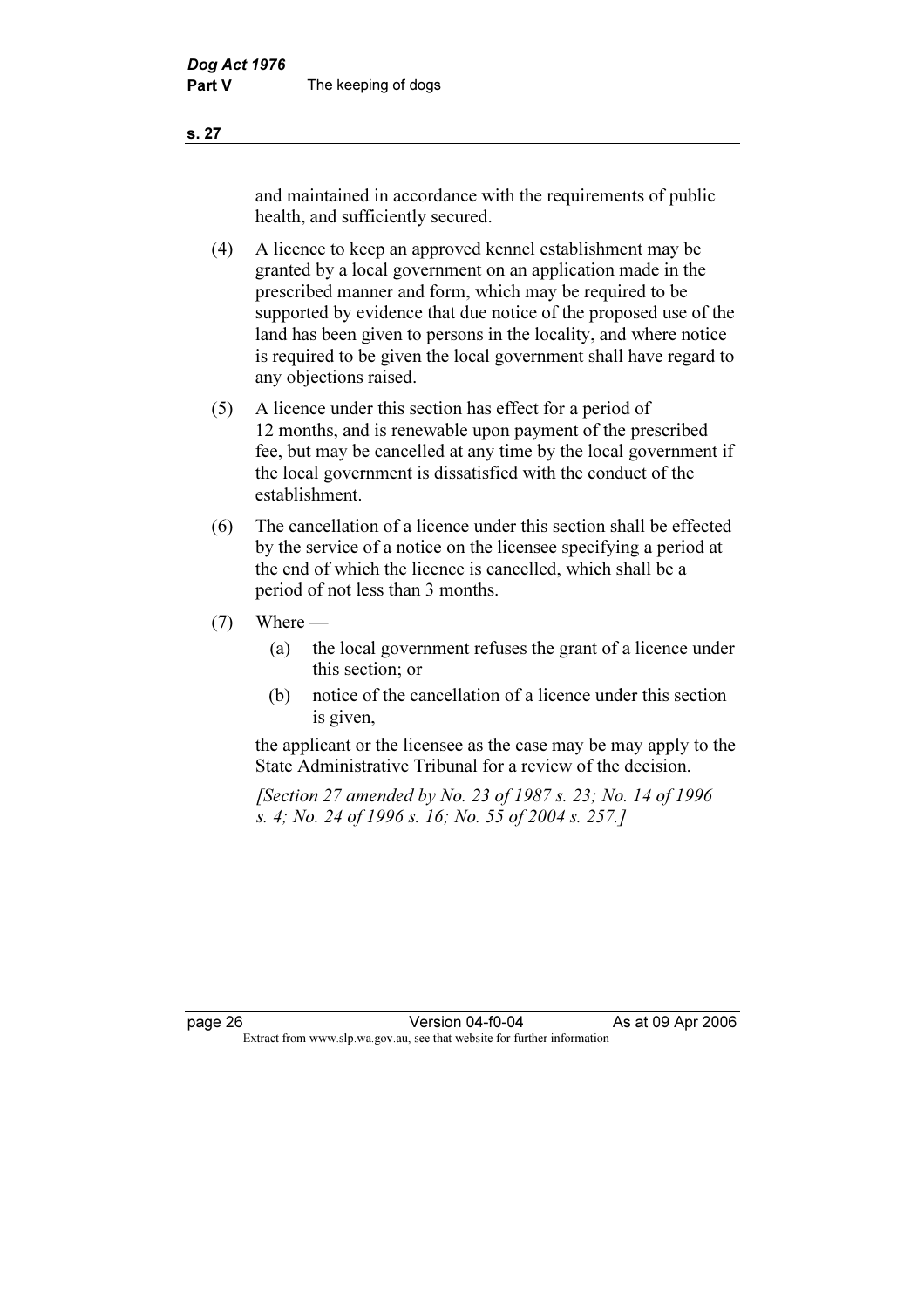and maintained in accordance with the requirements of public health, and sufficiently secured.

- (4) A licence to keep an approved kennel establishment may be granted by a local government on an application made in the prescribed manner and form, which may be required to be supported by evidence that due notice of the proposed use of the land has been given to persons in the locality, and where notice is required to be given the local government shall have regard to any objections raised.
- (5) A licence under this section has effect for a period of 12 months, and is renewable upon payment of the prescribed fee, but may be cancelled at any time by the local government if the local government is dissatisfied with the conduct of the establishment.
- (6) The cancellation of a licence under this section shall be effected by the service of a notice on the licensee specifying a period at the end of which the licence is cancelled, which shall be a period of not less than 3 months.
- $(7)$  Where
	- (a) the local government refuses the grant of a licence under this section; or
	- (b) notice of the cancellation of a licence under this section is given,

 the applicant or the licensee as the case may be may apply to the State Administrative Tribunal for a review of the decision.

 [Section 27 amended by No. 23 of 1987 s. 23; No. 14 of 1996 s. 4; No. 24 of 1996 s. 16; No. 55 of 2004 s. 257.]

page 26 Version 04-f0-04 As at 09 Apr 2006<br>Extract from www.slp.wa.gov.au, see that website for further information Extract from www.slp.wa.gov.au, see that website for further information

s. 27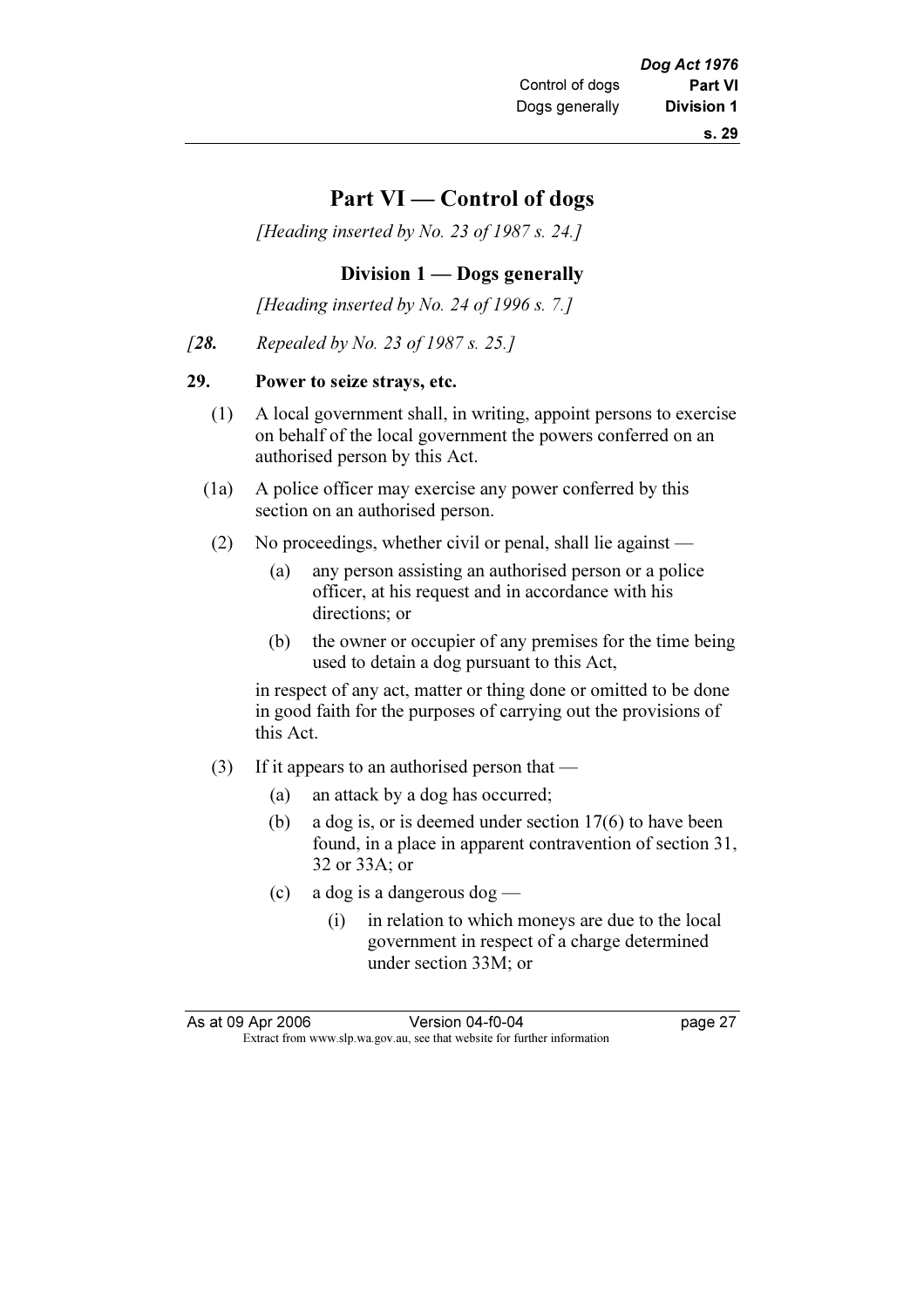## Part VI — Control of dogs

[Heading inserted by No. 23 of 1987 s. 24.]

## Division 1 — Dogs generally

[Heading inserted by No. 24 of 1996 s. 7.]

[28. Repealed by No. 23 of 1987 s. 25.]

## 29. Power to seize strays, etc.

- (1) A local government shall, in writing, appoint persons to exercise on behalf of the local government the powers conferred on an authorised person by this Act.
- (1a) A police officer may exercise any power conferred by this section on an authorised person.
- (2) No proceedings, whether civil or penal, shall lie against
	- (a) any person assisting an authorised person or a police officer, at his request and in accordance with his directions; or
	- (b) the owner or occupier of any premises for the time being used to detain a dog pursuant to this Act,

 in respect of any act, matter or thing done or omitted to be done in good faith for the purposes of carrying out the provisions of this Act.

- (3) If it appears to an authorised person that
	- (a) an attack by a dog has occurred;
	- (b) a dog is, or is deemed under section 17(6) to have been found, in a place in apparent contravention of section 31, 32 or 33A; or
	- (c) a dog is a dangerous dog
		- (i) in relation to which moneys are due to the local government in respect of a charge determined under section 33M; or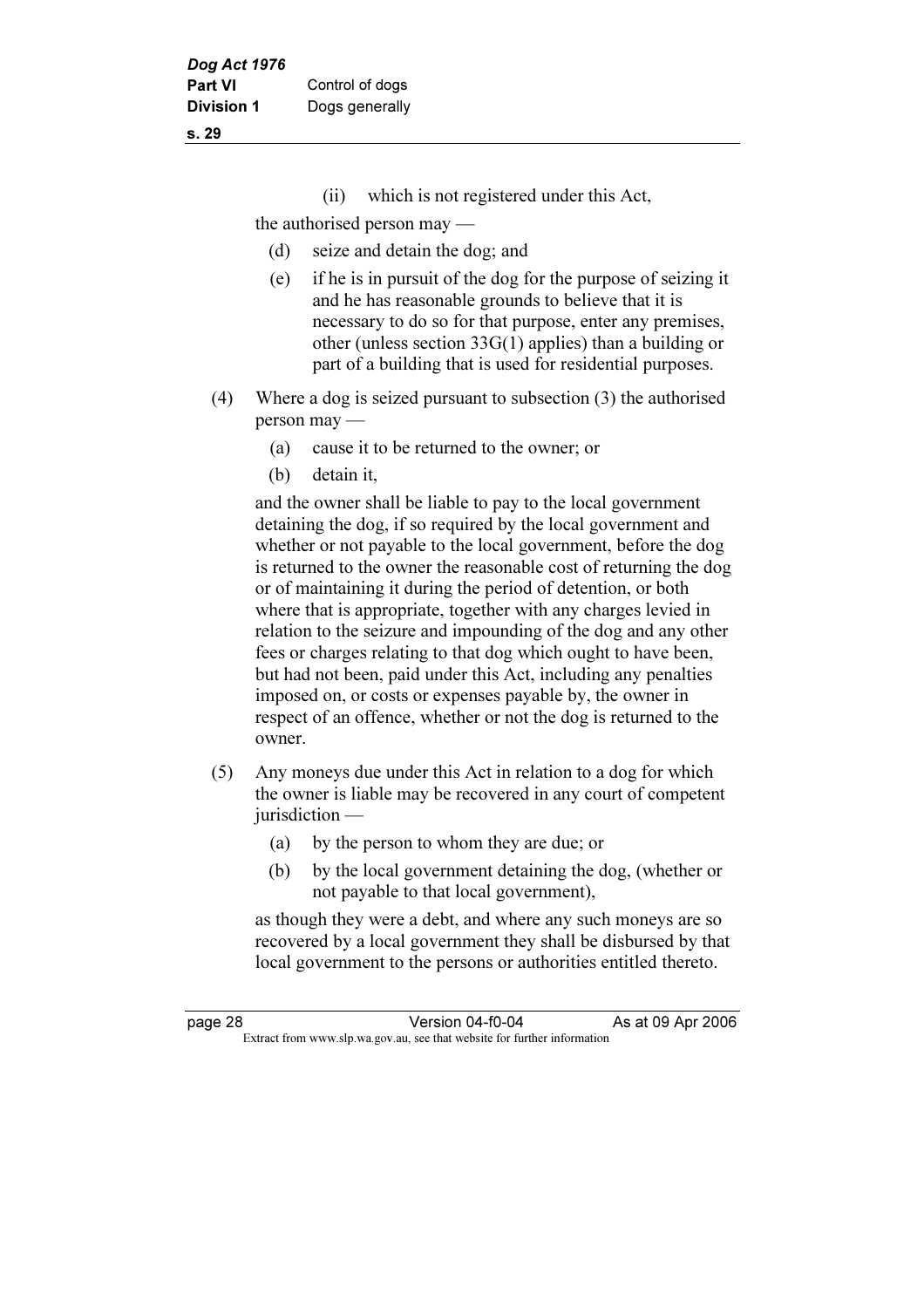- s. 29
- (ii) which is not registered under this Act,

the authorised person may —

- (d) seize and detain the dog; and
- (e) if he is in pursuit of the dog for the purpose of seizing it and he has reasonable grounds to believe that it is necessary to do so for that purpose, enter any premises, other (unless section 33G(1) applies) than a building or part of a building that is used for residential purposes.
- (4) Where a dog is seized pursuant to subsection (3) the authorised person may —
	- (a) cause it to be returned to the owner; or
	- (b) detain it,

 and the owner shall be liable to pay to the local government detaining the dog, if so required by the local government and whether or not payable to the local government, before the dog is returned to the owner the reasonable cost of returning the dog or of maintaining it during the period of detention, or both where that is appropriate, together with any charges levied in relation to the seizure and impounding of the dog and any other fees or charges relating to that dog which ought to have been, but had not been, paid under this Act, including any penalties imposed on, or costs or expenses payable by, the owner in respect of an offence, whether or not the dog is returned to the owner.

- (5) Any moneys due under this Act in relation to a dog for which the owner is liable may be recovered in any court of competent jurisdiction —
	- (a) by the person to whom they are due; or
	- (b) by the local government detaining the dog, (whether or not payable to that local government),

 as though they were a debt, and where any such moneys are so recovered by a local government they shall be disbursed by that local government to the persons or authorities entitled thereto.

| page 28 | Version 04-f0-04                                                         | As at 09 Apr 2006 |
|---------|--------------------------------------------------------------------------|-------------------|
|         | Extract from www.slp.wa.gov.au, see that website for further information |                   |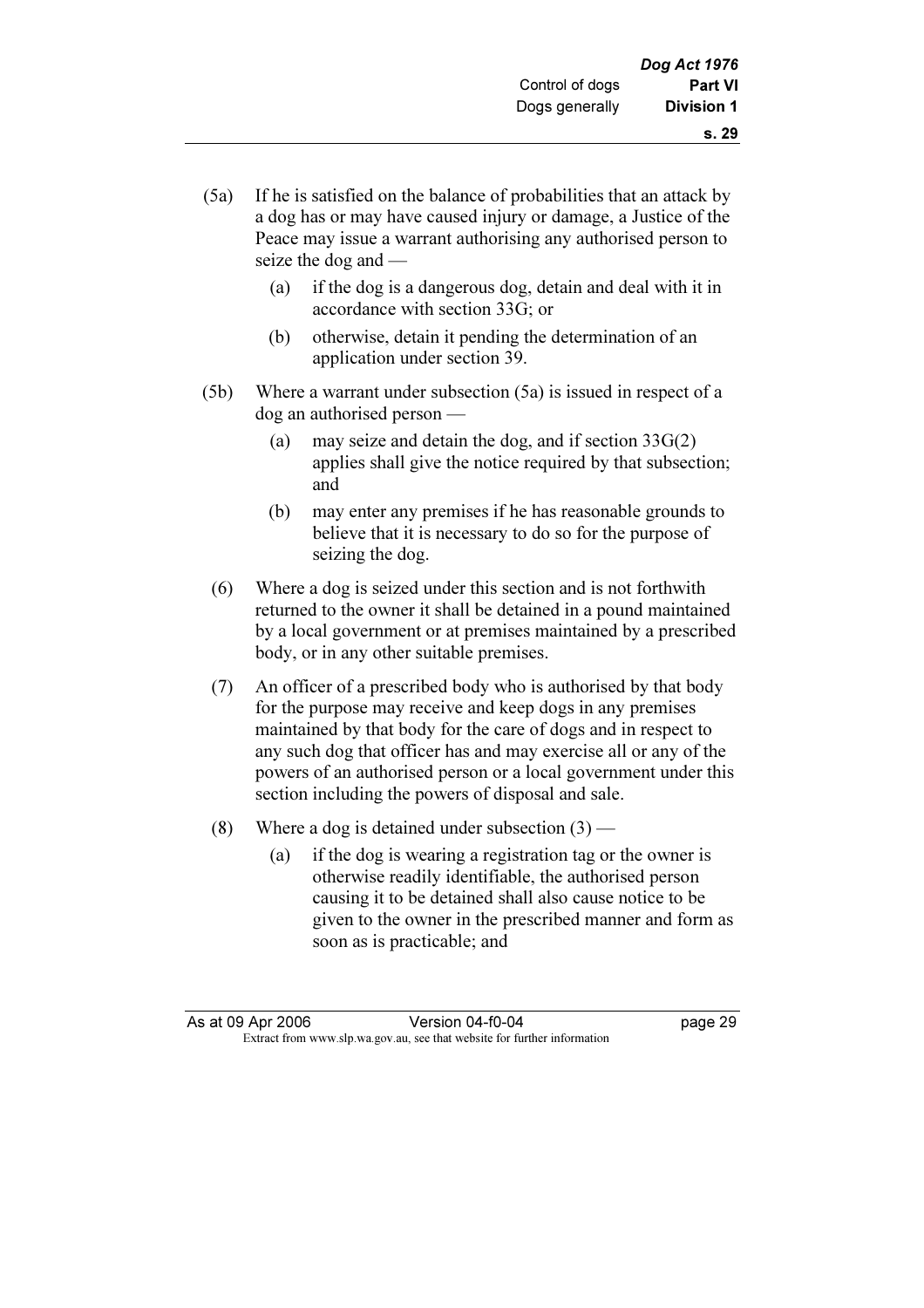- (5a) If he is satisfied on the balance of probabilities that an attack by a dog has or may have caused injury or damage, a Justice of the Peace may issue a warrant authorising any authorised person to seize the dog and —
	- (a) if the dog is a dangerous dog, detain and deal with it in accordance with section 33G; or
	- (b) otherwise, detain it pending the determination of an application under section 39.
- (5b) Where a warrant under subsection (5a) is issued in respect of a dog an authorised person —
	- (a) may seize and detain the dog, and if section  $33G(2)$ applies shall give the notice required by that subsection; and
	- (b) may enter any premises if he has reasonable grounds to believe that it is necessary to do so for the purpose of seizing the dog.
	- (6) Where a dog is seized under this section and is not forthwith returned to the owner it shall be detained in a pound maintained by a local government or at premises maintained by a prescribed body, or in any other suitable premises.
	- (7) An officer of a prescribed body who is authorised by that body for the purpose may receive and keep dogs in any premises maintained by that body for the care of dogs and in respect to any such dog that officer has and may exercise all or any of the powers of an authorised person or a local government under this section including the powers of disposal and sale.
	- (8) Where a dog is detained under subsection  $(3)$ 
		- (a) if the dog is wearing a registration tag or the owner is otherwise readily identifiable, the authorised person causing it to be detained shall also cause notice to be given to the owner in the prescribed manner and form as soon as is practicable; and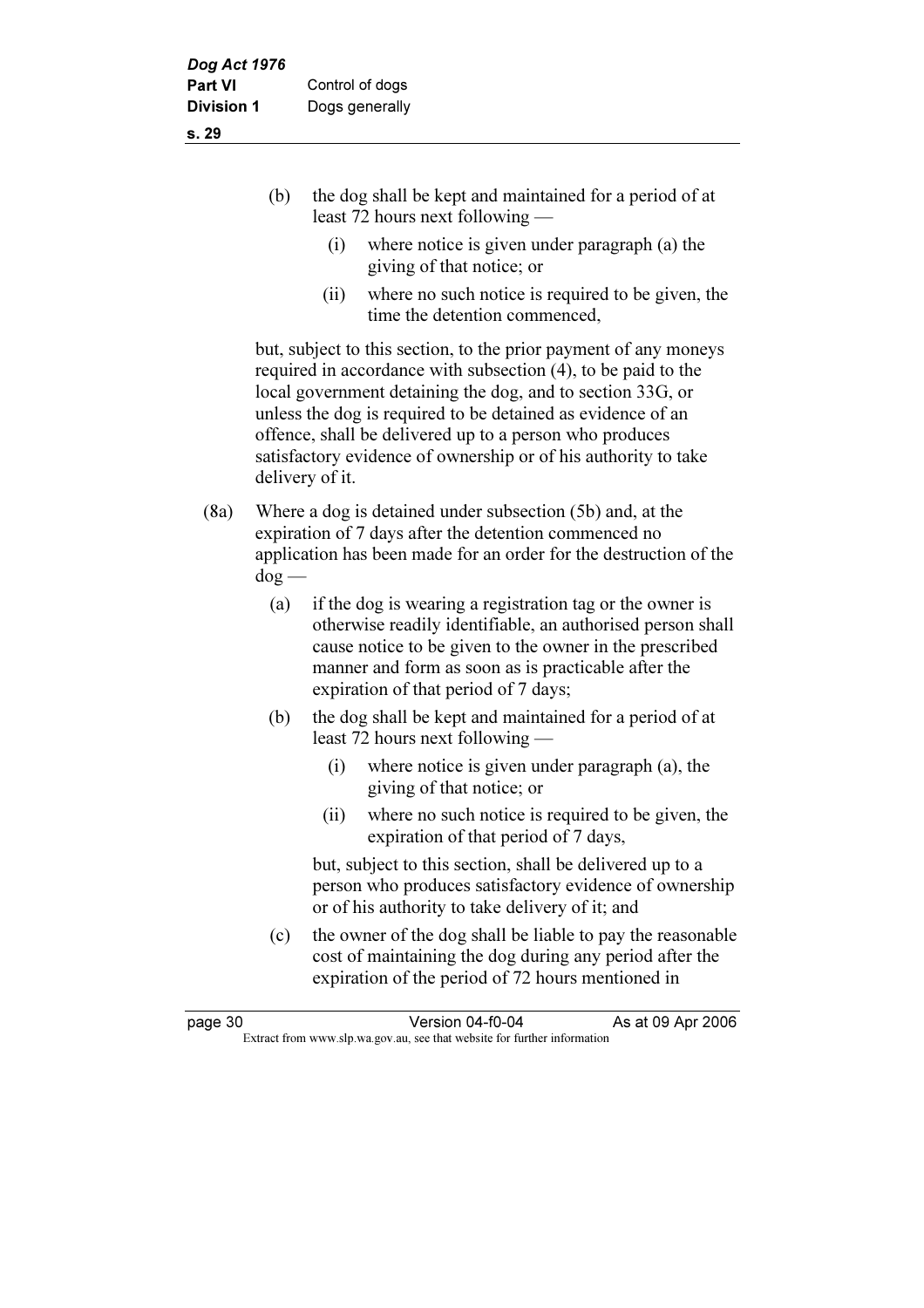|  | the dog shall be kept and maintained for a period of at<br>least 72 hours next following $-$ |  |
|--|----------------------------------------------------------------------------------------------|--|
|  | where notice is given under paragraph (a) the                                                |  |

- giving of that notice; or
- (ii) where no such notice is required to be given, the time the detention commenced,

 but, subject to this section, to the prior payment of any moneys required in accordance with subsection (4), to be paid to the local government detaining the dog, and to section 33G, or unless the dog is required to be detained as evidence of an offence, shall be delivered up to a person who produces satisfactory evidence of ownership or of his authority to take delivery of it.

- (8a) Where a dog is detained under subsection (5b) and, at the expiration of 7 days after the detention commenced no application has been made for an order for the destruction of the dog —
	- (a) if the dog is wearing a registration tag or the owner is otherwise readily identifiable, an authorised person shall cause notice to be given to the owner in the prescribed manner and form as soon as is practicable after the expiration of that period of 7 days;
	- (b) the dog shall be kept and maintained for a period of at least 72 hours next following —
		- (i) where notice is given under paragraph (a), the giving of that notice; or
		- (ii) where no such notice is required to be given, the expiration of that period of 7 days,

 but, subject to this section, shall be delivered up to a person who produces satisfactory evidence of ownership or of his authority to take delivery of it; and

 (c) the owner of the dog shall be liable to pay the reasonable cost of maintaining the dog during any period after the expiration of the period of 72 hours mentioned in

| page 30 | Version 04-f0-04                                                         | As at 09 Apr 2006 |
|---------|--------------------------------------------------------------------------|-------------------|
|         | Extract from www.slp.wa.gov.au, see that website for further information |                   |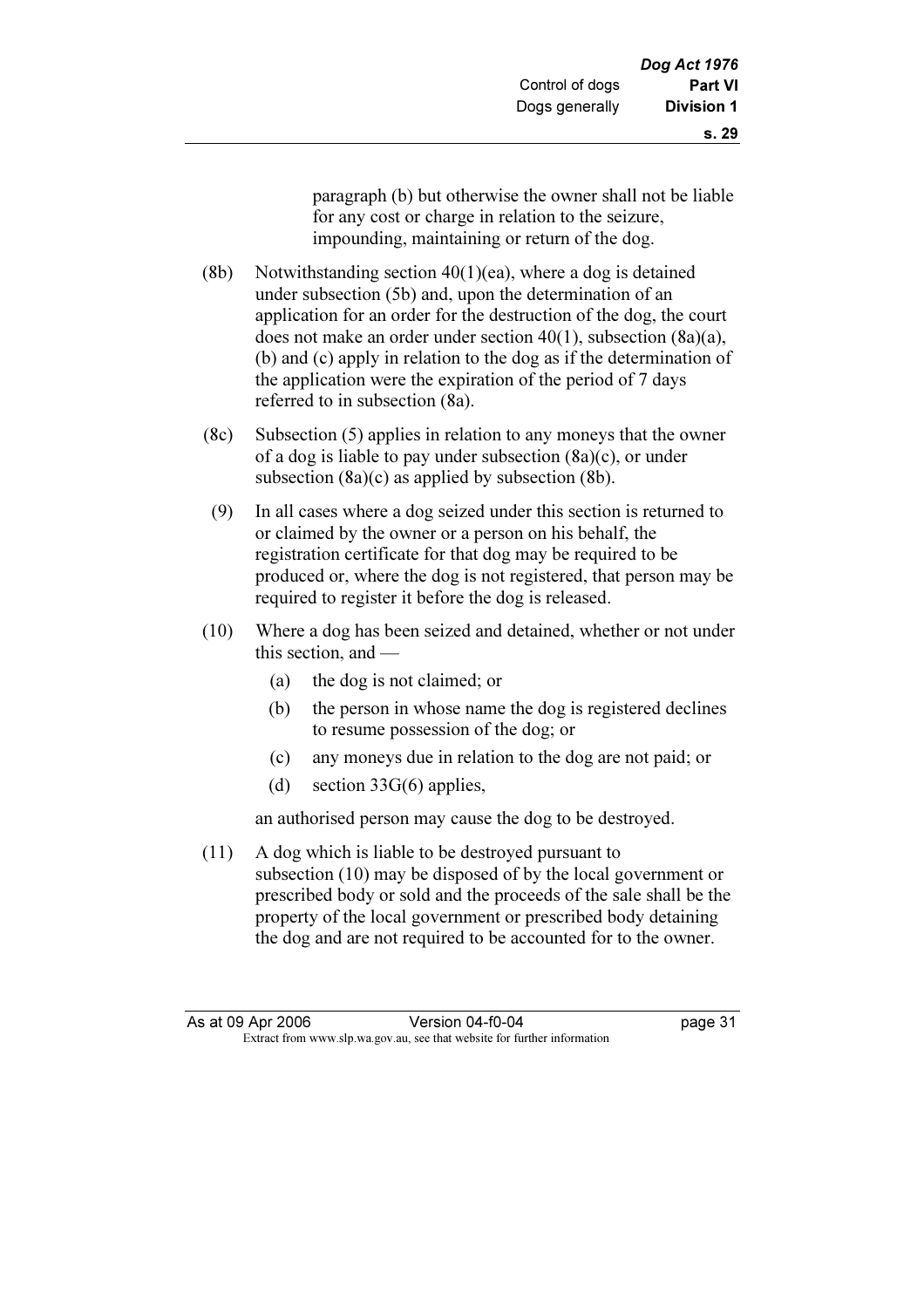- (8b) Notwithstanding section  $40(1)(ea)$ , where a dog is detained under subsection (5b) and, upon the determination of an application for an order for the destruction of the dog, the court does not make an order under section 40(1), subsection (8a)(a), (b) and (c) apply in relation to the dog as if the determination of the application were the expiration of the period of 7 days referred to in subsection (8a).
- (8c) Subsection (5) applies in relation to any moneys that the owner of a dog is liable to pay under subsection (8a)(c), or under subsection (8a)(c) as applied by subsection (8b).
- (9) In all cases where a dog seized under this section is returned to or claimed by the owner or a person on his behalf, the registration certificate for that dog may be required to be produced or, where the dog is not registered, that person may be required to register it before the dog is released.
- (10) Where a dog has been seized and detained, whether or not under this section, and —
	- (a) the dog is not claimed; or
	- (b) the person in whose name the dog is registered declines to resume possession of the dog; or
	- (c) any moneys due in relation to the dog are not paid; or
	- (d) section 33G(6) applies,

an authorised person may cause the dog to be destroyed.

 (11) A dog which is liable to be destroyed pursuant to subsection (10) may be disposed of by the local government or prescribed body or sold and the proceeds of the sale shall be the property of the local government or prescribed body detaining the dog and are not required to be accounted for to the owner.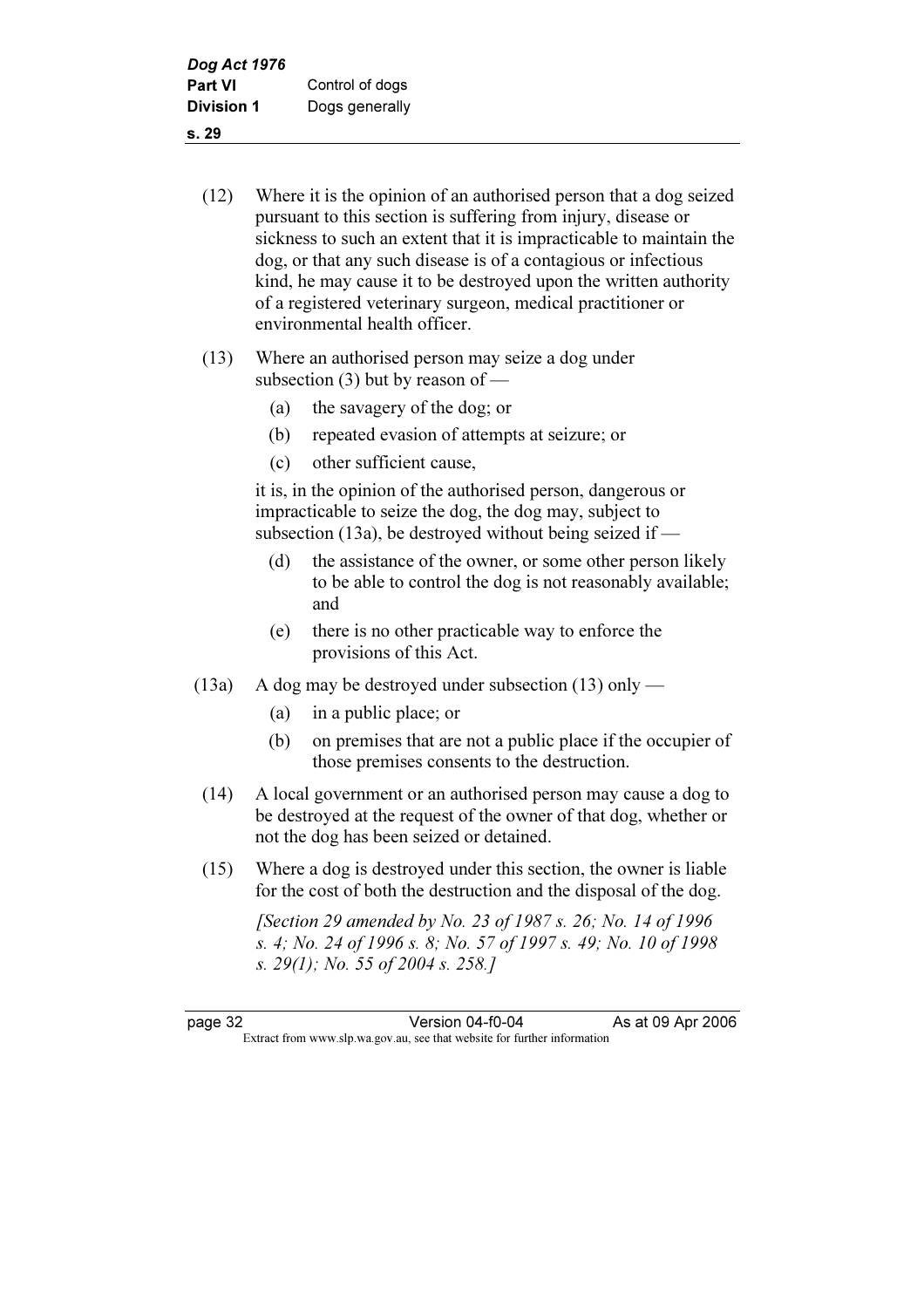(12) Where it is the opinion of an authorised person that a dog seized pursuant to this section is suffering from injury, disease or sickness to such an extent that it is impracticable to maintain the dog, or that any such disease is of a contagious or infectious kind, he may cause it to be destroyed upon the written authority of a registered veterinary surgeon, medical practitioner or environmental health officer.

- (13) Where an authorised person may seize a dog under subsection (3) but by reason of —
	- (a) the savagery of the dog; or
	- (b) repeated evasion of attempts at seizure; or
	- (c) other sufficient cause,

 it is, in the opinion of the authorised person, dangerous or impracticable to seize the dog, the dog may, subject to subsection (13a), be destroyed without being seized if —

- (d) the assistance of the owner, or some other person likely to be able to control the dog is not reasonably available; and
- (e) there is no other practicable way to enforce the provisions of this Act.
- (13a) A dog may be destroyed under subsection (13) only
	- (a) in a public place; or
	- (b) on premises that are not a public place if the occupier of those premises consents to the destruction.
- (14) A local government or an authorised person may cause a dog to be destroyed at the request of the owner of that dog, whether or not the dog has been seized or detained.
- (15) Where a dog is destroyed under this section, the owner is liable for the cost of both the destruction and the disposal of the dog.

[Section 29 amended by No. 23 of 1987 s. 26; No. 14 of 1996] s. 4; No. 24 of 1996 s. 8; No. 57 of 1997 s. 49; No. 10 of 1998 s. 29(1); No. 55 of 2004 s. 258.]

page 32 Version 04-f0-04<br>Extract from www.slp.wa.gov.au, see that website for further information Extract from www.slp.wa.gov.au, see that website for further information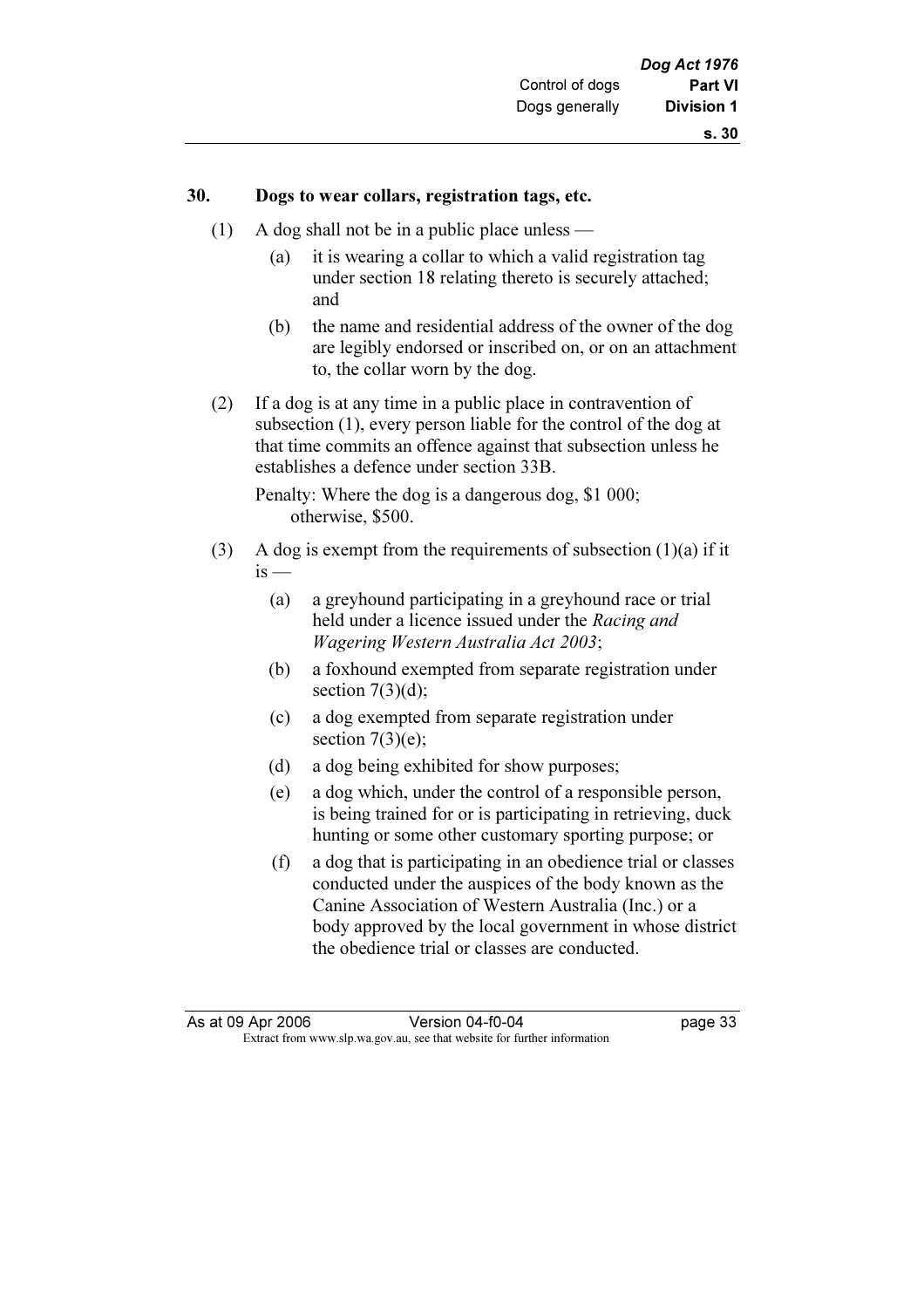#### 30. Dogs to wear collars, registration tags, etc.

- (1) A dog shall not be in a public place unless
	- (a) it is wearing a collar to which a valid registration tag under section 18 relating thereto is securely attached; and
	- (b) the name and residential address of the owner of the dog are legibly endorsed or inscribed on, or on an attachment to, the collar worn by the dog.
- (2) If a dog is at any time in a public place in contravention of subsection (1), every person liable for the control of the dog at that time commits an offence against that subsection unless he establishes a defence under section 33B.

 Penalty: Where the dog is a dangerous dog, \$1 000; otherwise, \$500.

- (3) A dog is exempt from the requirements of subsection  $(1)(a)$  if it  $i<sub>s</sub>$  —
	- (a) a greyhound participating in a greyhound race or trial held under a licence issued under the Racing and Wagering Western Australia Act 2003;
	- (b) a foxhound exempted from separate registration under section  $7(3)(d)$ ;
	- (c) a dog exempted from separate registration under section  $7(3)(e)$ ;
	- (d) a dog being exhibited for show purposes;
	- (e) a dog which, under the control of a responsible person, is being trained for or is participating in retrieving, duck hunting or some other customary sporting purpose; or
	- (f) a dog that is participating in an obedience trial or classes conducted under the auspices of the body known as the Canine Association of Western Australia (Inc.) or a body approved by the local government in whose district the obedience trial or classes are conducted.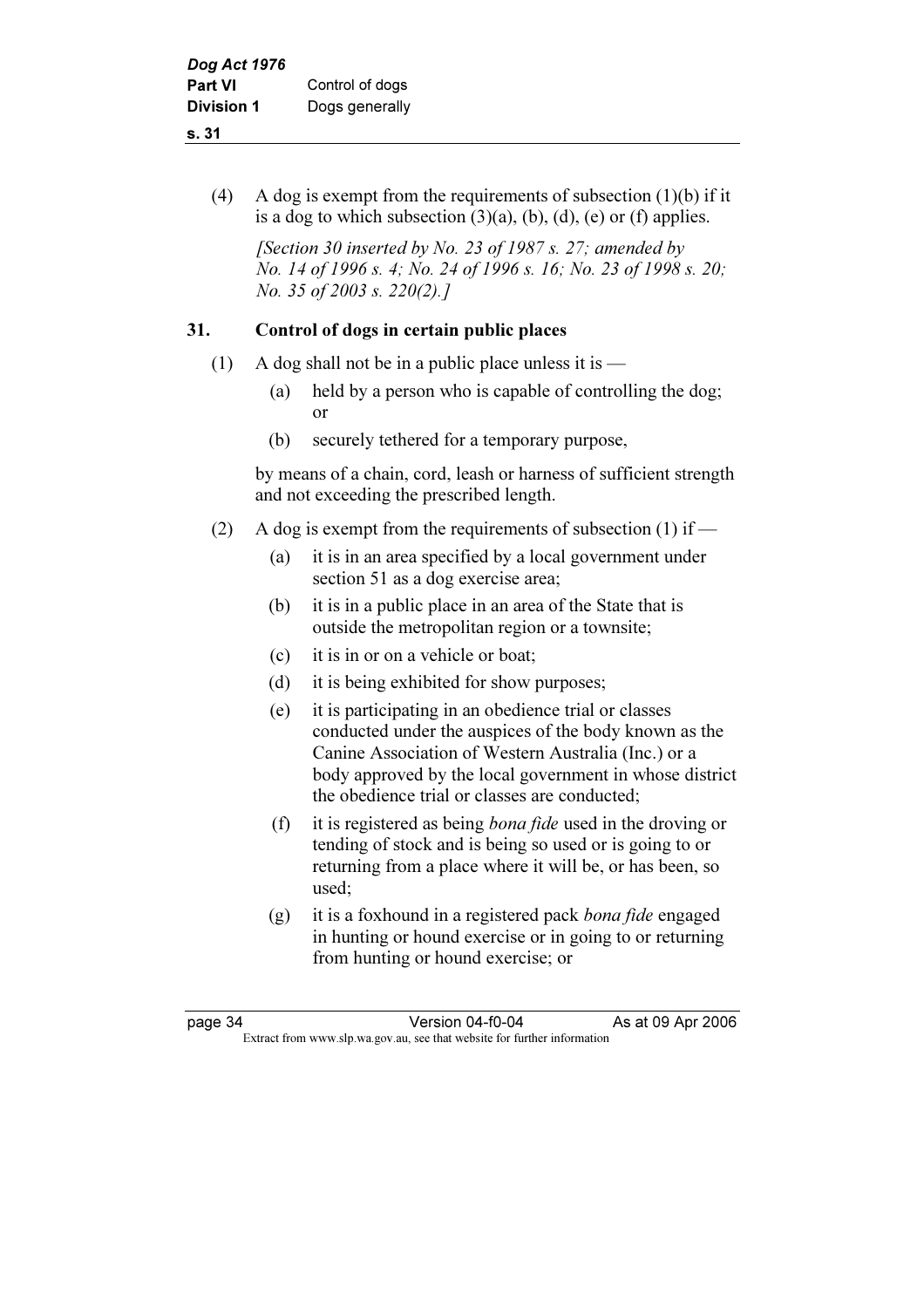# (4) A dog is exempt from the requirements of subsection  $(1)(b)$  if it is a dog to which subsection  $(3)(a)$ ,  $(b)$ ,  $(d)$ ,  $(e)$  or  $(f)$  applies.

[Section 30 inserted by No. 23 of 1987 s. 27; amended by No. 14 of 1996 s. 4; No. 24 of 1996 s. 16; No. 23 of 1998 s. 20; No. 35 of 2003 s. 220(2).]

# 31. Control of dogs in certain public places

- (1) A dog shall not be in a public place unless it is  $-$ 
	- (a) held by a person who is capable of controlling the dog; or
	- (b) securely tethered for a temporary purpose,

 by means of a chain, cord, leash or harness of sufficient strength and not exceeding the prescribed length.

- (2) A dog is exempt from the requirements of subsection (1) if
	- (a) it is in an area specified by a local government under section 51 as a dog exercise area;
	- (b) it is in a public place in an area of the State that is outside the metropolitan region or a townsite;
	- (c) it is in or on a vehicle or boat;
	- (d) it is being exhibited for show purposes;
	- (e) it is participating in an obedience trial or classes conducted under the auspices of the body known as the Canine Association of Western Australia (Inc.) or a body approved by the local government in whose district the obedience trial or classes are conducted;
	- (f) it is registered as being bona fide used in the droving or tending of stock and is being so used or is going to or returning from a place where it will be, or has been, so used;
	- (g) it is a foxhound in a registered pack bona fide engaged in hunting or hound exercise or in going to or returning from hunting or hound exercise; or

page 34 Version 04-f0-04 As at 09 Apr 2006<br>Extract from www.slp.wa.gov.au, see that website for further information Extract from www.slp.wa.gov.au, see that website for further information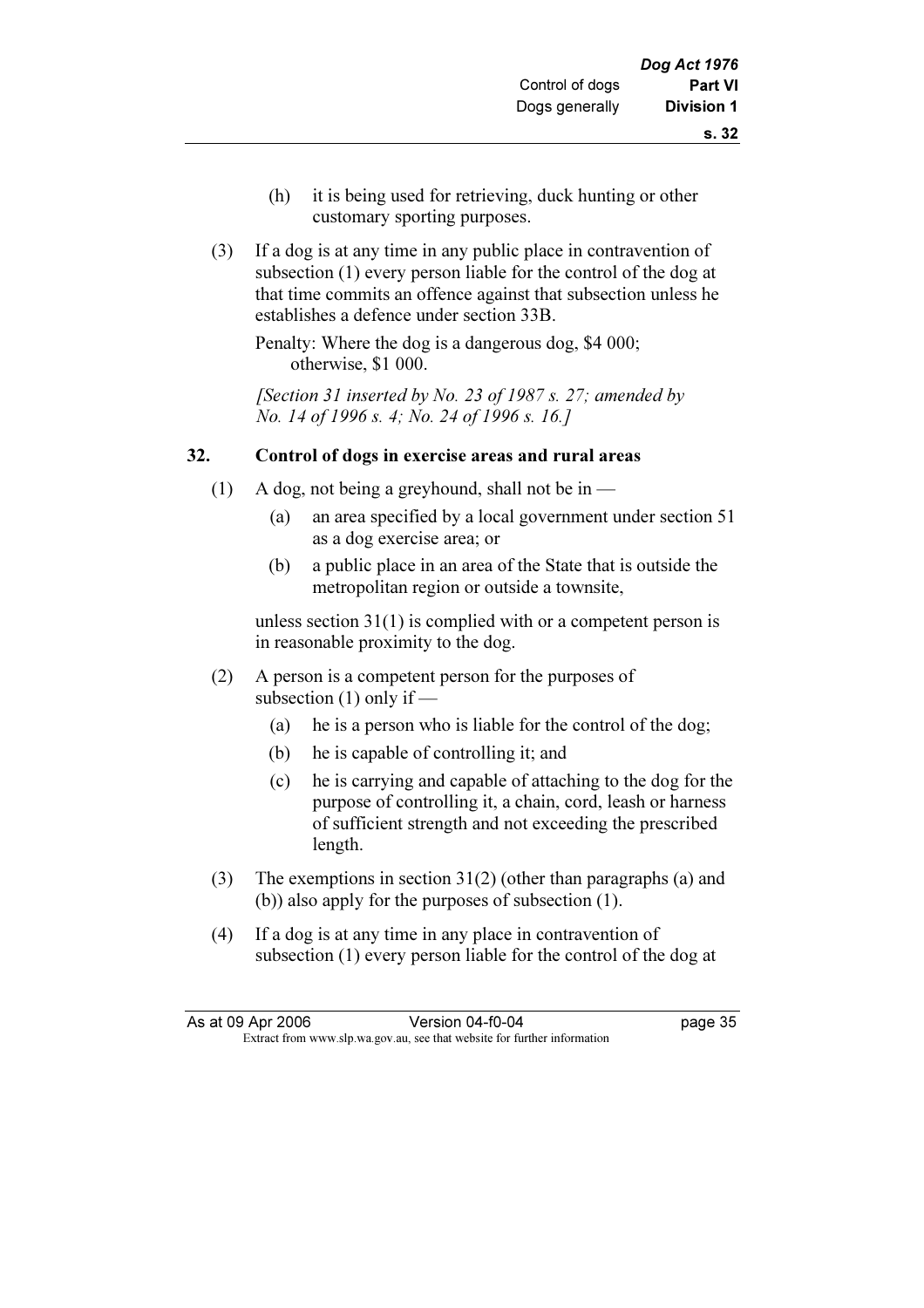- (h) it is being used for retrieving, duck hunting or other customary sporting purposes.
- (3) If a dog is at any time in any public place in contravention of subsection (1) every person liable for the control of the dog at that time commits an offence against that subsection unless he establishes a defence under section 33B.

 Penalty: Where the dog is a dangerous dog, \$4 000; otherwise, \$1 000.

[Section 31 inserted by No. 23 of 1987 s. 27; amended by No. 14 of 1996 s. 4; No. 24 of 1996 s. 16.]

## 32. Control of dogs in exercise areas and rural areas

- (1) A dog, not being a greyhound, shall not be in
	- (a) an area specified by a local government under section 51 as a dog exercise area; or
	- (b) a public place in an area of the State that is outside the metropolitan region or outside a townsite,

 unless section 31(1) is complied with or a competent person is in reasonable proximity to the dog.

- (2) A person is a competent person for the purposes of subsection (1) only if —
	- (a) he is a person who is liable for the control of the dog;
	- (b) he is capable of controlling it; and
	- (c) he is carrying and capable of attaching to the dog for the purpose of controlling it, a chain, cord, leash or harness of sufficient strength and not exceeding the prescribed length.
- (3) The exemptions in section 31(2) (other than paragraphs (a) and (b)) also apply for the purposes of subsection (1).
- (4) If a dog is at any time in any place in contravention of subsection (1) every person liable for the control of the dog at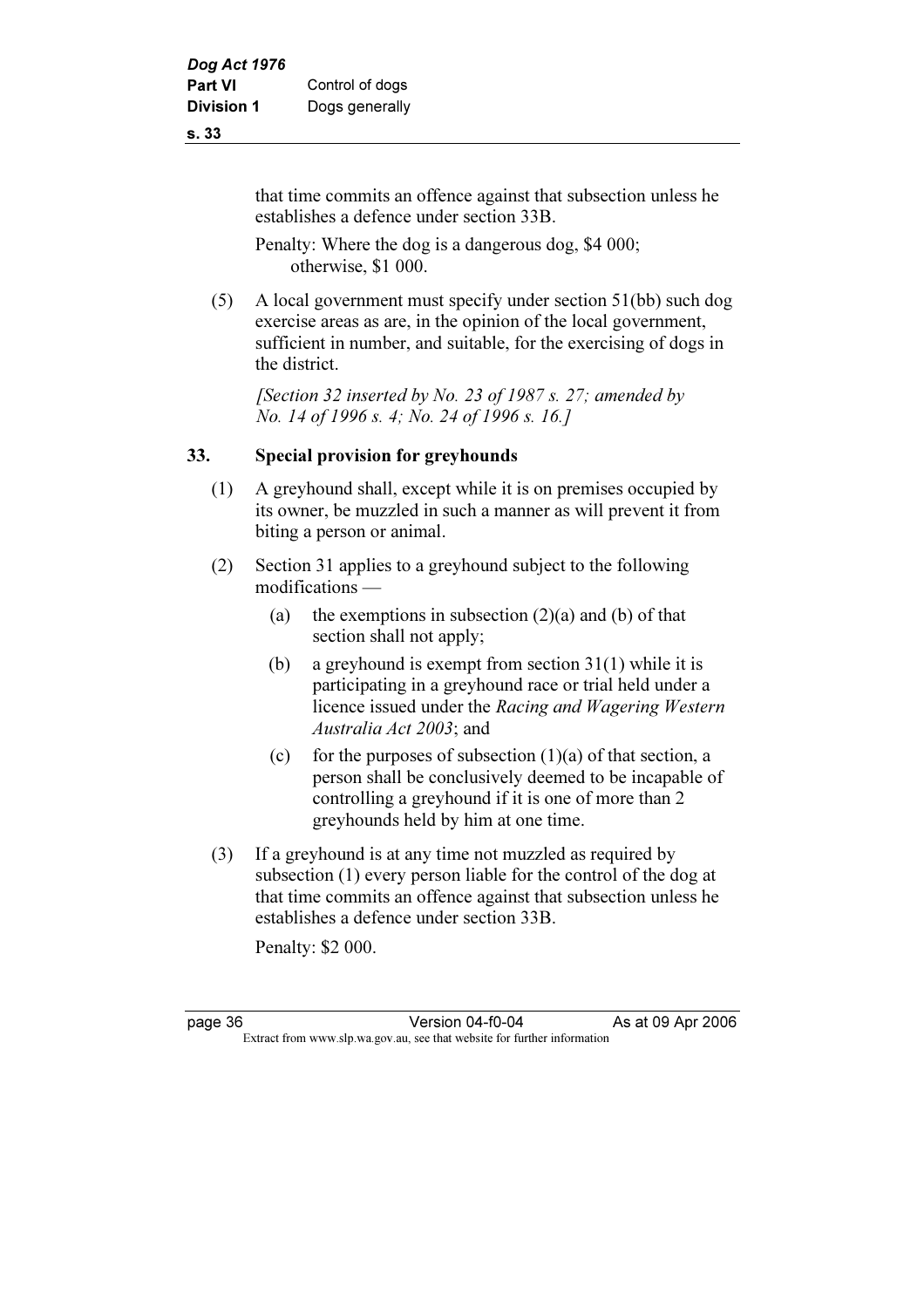that time commits an offence against that subsection unless he establishes a defence under section 33B.

 Penalty: Where the dog is a dangerous dog, \$4 000; otherwise, \$1 000.

 (5) A local government must specify under section 51(bb) such dog exercise areas as are, in the opinion of the local government, sufficient in number, and suitable, for the exercising of dogs in the district.

[Section 32 inserted by No. 23 of 1987 s. 27; amended by No. 14 of 1996 s. 4; No. 24 of 1996 s. 16.]

#### 33. Special provision for greyhounds

- (1) A greyhound shall, except while it is on premises occupied by its owner, be muzzled in such a manner as will prevent it from biting a person or animal.
- (2) Section 31 applies to a greyhound subject to the following modifications —
	- (a) the exemptions in subsection  $(2)(a)$  and (b) of that section shall not apply;
	- (b) a greyhound is exempt from section 31(1) while it is participating in a greyhound race or trial held under a licence issued under the Racing and Wagering Western Australia Act 2003; and
	- (c) for the purposes of subsection  $(1)(a)$  of that section, a person shall be conclusively deemed to be incapable of controlling a greyhound if it is one of more than 2 greyhounds held by him at one time.
- (3) If a greyhound is at any time not muzzled as required by subsection (1) every person liable for the control of the dog at that time commits an offence against that subsection unless he establishes a defence under section 33B.

Penalty: \$2 000.

page 36 Version 04-f0-04 As at 09 Apr 2006<br>Extract from www.slp.wa.gov.au, see that website for further information Extract from www.slp.wa.gov.au, see that website for further information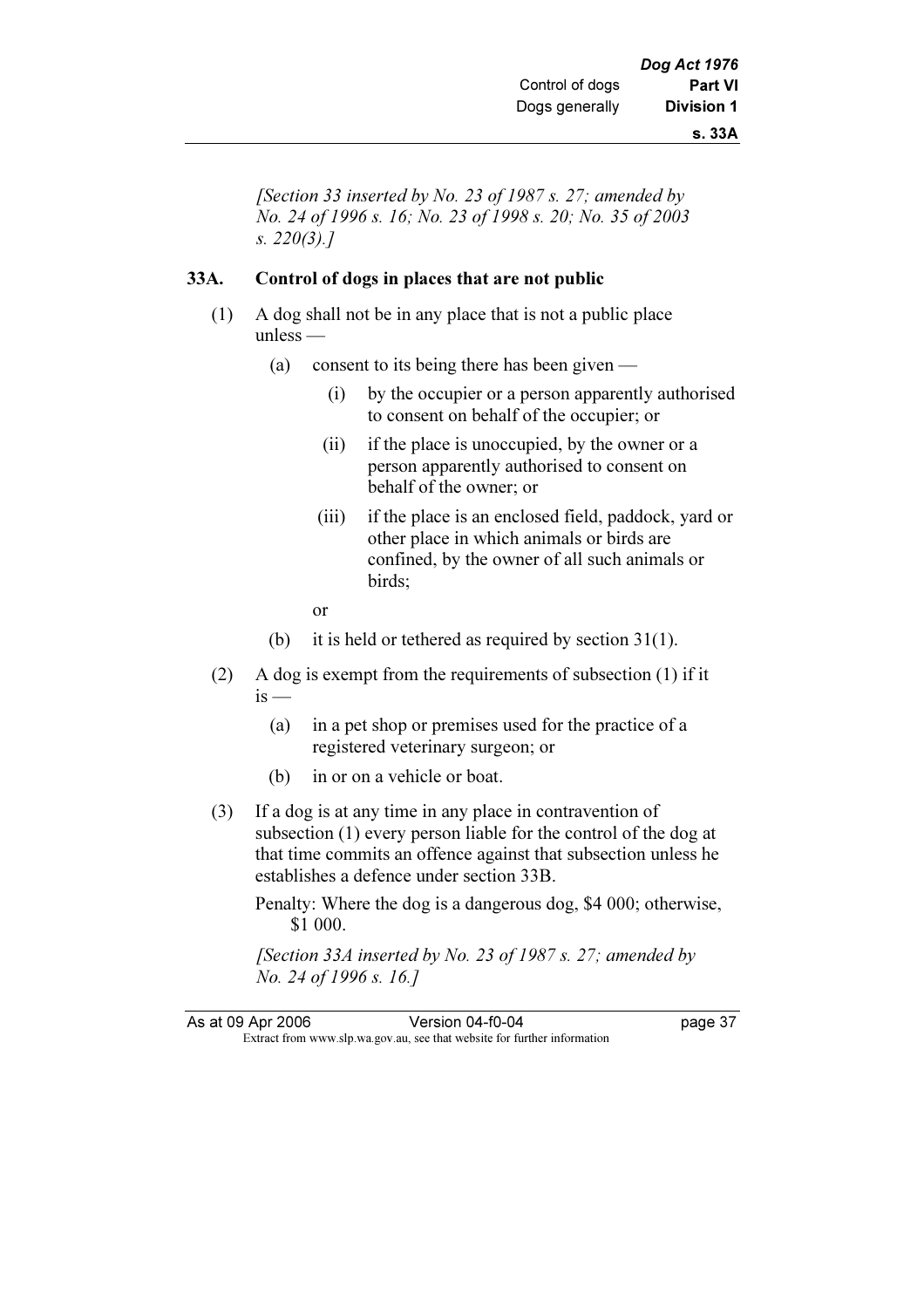[Section 33 inserted by No. 23 of 1987 s. 27; amended by No. 24 of 1996 s. 16; No. 23 of 1998 s. 20; No. 35 of 2003 s. 220(3).]

#### 33A. Control of dogs in places that are not public

- (1) A dog shall not be in any place that is not a public place unless —
	- (a) consent to its being there has been given
		- (i) by the occupier or a person apparently authorised to consent on behalf of the occupier; or
		- (ii) if the place is unoccupied, by the owner or a person apparently authorised to consent on behalf of the owner; or
		- (iii) if the place is an enclosed field, paddock, yard or other place in which animals or birds are confined, by the owner of all such animals or birds;
- or
	- (b) it is held or tethered as required by section 31(1).
	- (2) A dog is exempt from the requirements of subsection (1) if it  $is -$ 
		- (a) in a pet shop or premises used for the practice of a registered veterinary surgeon; or
		- (b) in or on a vehicle or boat.
	- (3) If a dog is at any time in any place in contravention of subsection (1) every person liable for the control of the dog at that time commits an offence against that subsection unless he establishes a defence under section 33B.

 Penalty: Where the dog is a dangerous dog, \$4 000; otherwise, \$1 000.

[Section 33A inserted by No. 23 of 1987 s. 27; amended by No. 24 of 1996 s. 16.]

As at 09 Apr 2006 Version 04-f0-04 page 37 Extract from www.slp.wa.gov.au, see that website for further information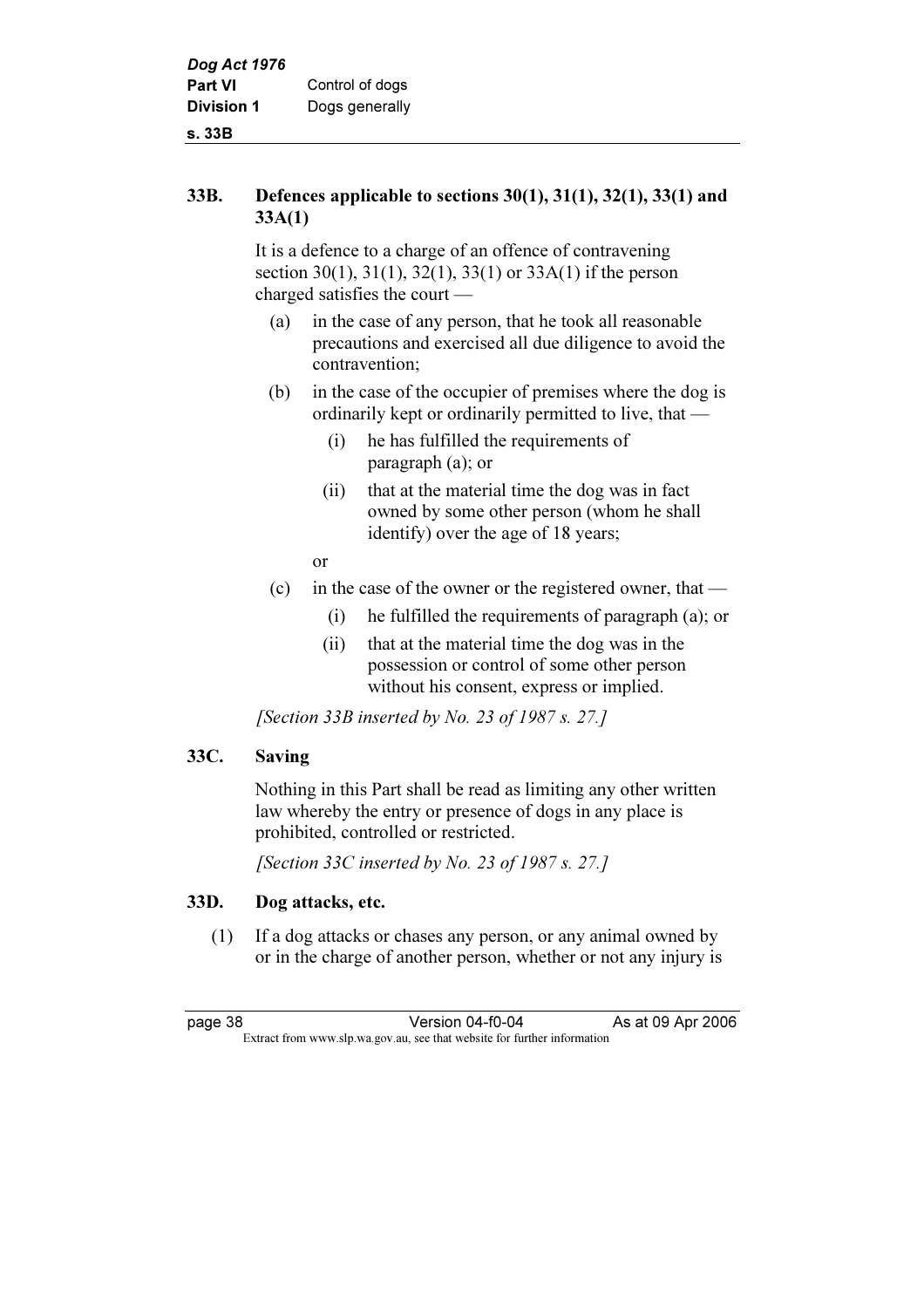#### 33B. Defences applicable to sections 30(1), 31(1), 32(1), 33(1) and 33A(1)

 It is a defence to a charge of an offence of contravening section 30(1), 31(1), 32(1), 33(1) or 33A(1) if the person charged satisfies the court —

- (a) in the case of any person, that he took all reasonable precautions and exercised all due diligence to avoid the contravention;
- (b) in the case of the occupier of premises where the dog is ordinarily kept or ordinarily permitted to live, that —
	- (i) he has fulfilled the requirements of paragraph (a); or
	- (ii) that at the material time the dog was in fact owned by some other person (whom he shall identify) over the age of 18 years;
- or
	- (c) in the case of the owner or the registered owner, that
		- (i) he fulfilled the requirements of paragraph (a); or
		- (ii) that at the material time the dog was in the possession or control of some other person without his consent, express or implied.

[Section 33B inserted by No. 23 of 1987 s. 27.]

# 33C. Saving

 Nothing in this Part shall be read as limiting any other written law whereby the entry or presence of dogs in any place is prohibited, controlled or restricted.

[Section 33C inserted by No. 23 of 1987 s. 27.]

# 33D. Dog attacks, etc.

 (1) If a dog attacks or chases any person, or any animal owned by or in the charge of another person, whether or not any injury is

page 38 Version 04-f0-04 As at 09 Apr 2006<br>Extract from www.slp.wa.gov.au, see that website for further information Extract from www.slp.wa.gov.au, see that website for further information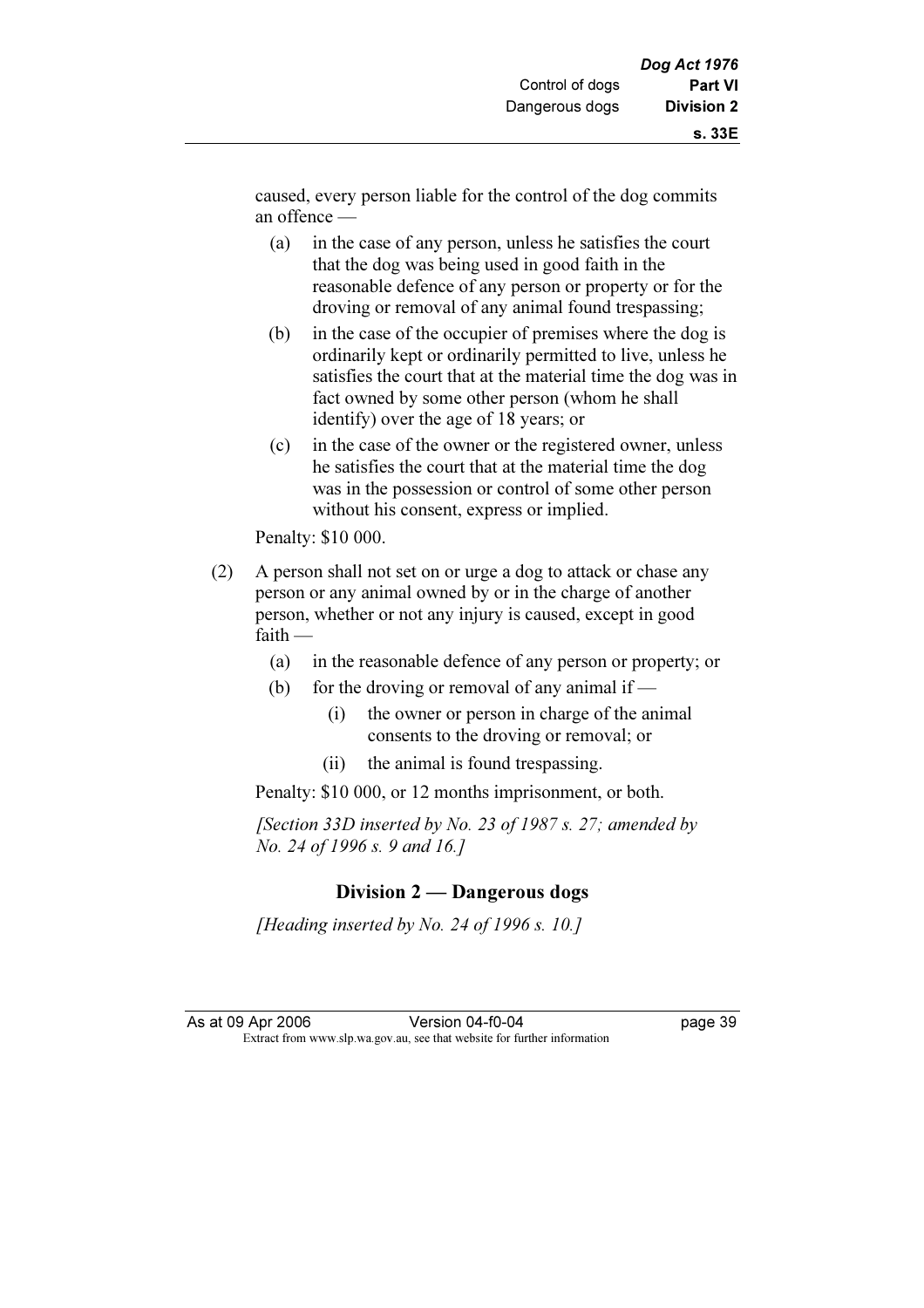- (a) in the case of any person, unless he satisfies the court that the dog was being used in good faith in the reasonable defence of any person or property or for the droving or removal of any animal found trespassing;
- (b) in the case of the occupier of premises where the dog is ordinarily kept or ordinarily permitted to live, unless he satisfies the court that at the material time the dog was in fact owned by some other person (whom he shall identify) over the age of 18 years; or
- (c) in the case of the owner or the registered owner, unless he satisfies the court that at the material time the dog was in the possession or control of some other person without his consent, express or implied.

Penalty: \$10 000.

- (2) A person shall not set on or urge a dog to attack or chase any person or any animal owned by or in the charge of another person, whether or not any injury is caused, except in good faith —
	- (a) in the reasonable defence of any person or property; or
	- (b) for the droving or removal of any animal if
		- (i) the owner or person in charge of the animal consents to the droving or removal; or
		- (ii) the animal is found trespassing.

Penalty: \$10 000, or 12 months imprisonment, or both.

[Section 33D inserted by No. 23 of 1987 s. 27; amended by No. 24 of 1996 s. 9 and 16.]

# Division 2 — Dangerous dogs

[Heading inserted by No. 24 of 1996 s. 10.]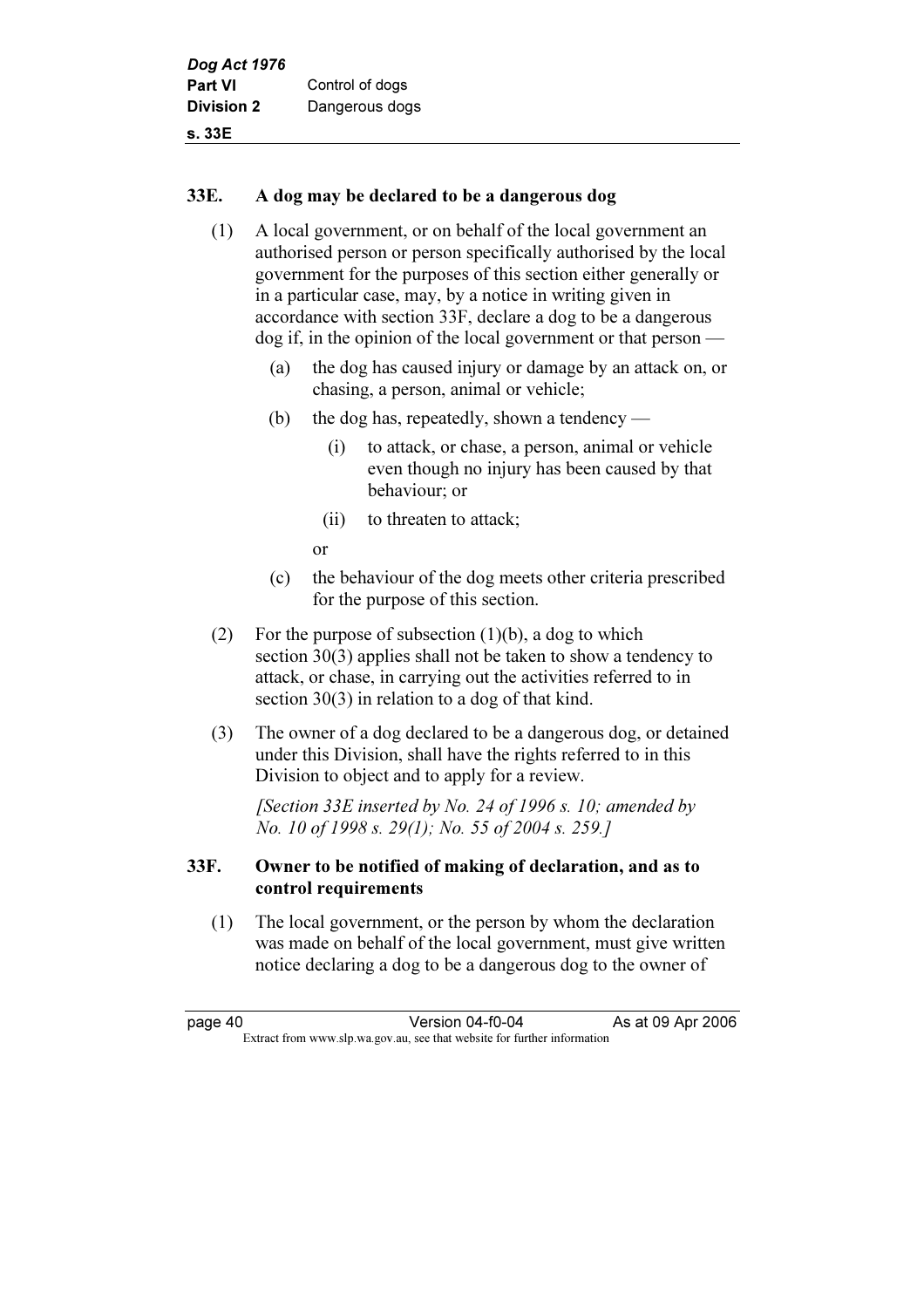### 33E. A dog may be declared to be a dangerous dog

- (1) A local government, or on behalf of the local government an authorised person or person specifically authorised by the local government for the purposes of this section either generally or in a particular case, may, by a notice in writing given in accordance with section 33F, declare a dog to be a dangerous dog if, in the opinion of the local government or that person —
	- (a) the dog has caused injury or damage by an attack on, or chasing, a person, animal or vehicle;
	- (b) the dog has, repeatedly, shown a tendency
		- (i) to attack, or chase, a person, animal or vehicle even though no injury has been caused by that behaviour; or
		- (ii) to threaten to attack;

or

- (c) the behaviour of the dog meets other criteria prescribed for the purpose of this section.
- (2) For the purpose of subsection  $(1)(b)$ , a dog to which section 30(3) applies shall not be taken to show a tendency to attack, or chase, in carrying out the activities referred to in section 30(3) in relation to a dog of that kind.
- (3) The owner of a dog declared to be a dangerous dog, or detained under this Division, shall have the rights referred to in this Division to object and to apply for a review.

[Section 33E inserted by No. 24 of 1996 s. 10; amended by No. 10 of 1998 s. 29(1); No. 55 of 2004 s. 259.]

# 33F. Owner to be notified of making of declaration, and as to control requirements

 (1) The local government, or the person by whom the declaration was made on behalf of the local government, must give written notice declaring a dog to be a dangerous dog to the owner of

page 40 Version 04-f0-04 As at 09 Apr 2006<br>Extract from www.slp.wa.gov.au, see that website for further information Extract from www.slp.wa.gov.au, see that website for further information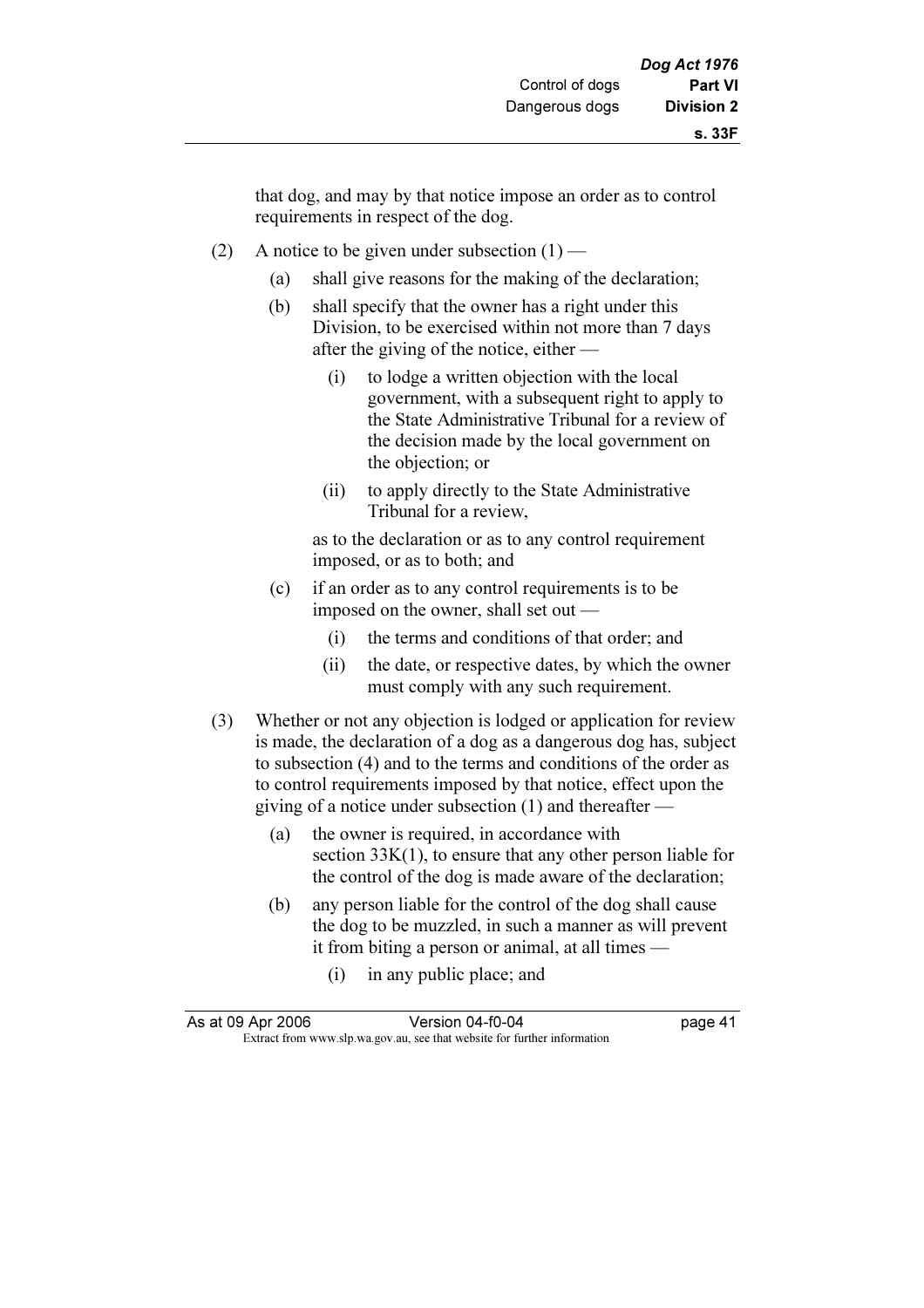that dog, and may by that notice impose an order as to control requirements in respect of the dog.

- (2) A notice to be given under subsection  $(1)$ 
	- (a) shall give reasons for the making of the declaration;
	- (b) shall specify that the owner has a right under this Division, to be exercised within not more than 7 days after the giving of the notice, either —
		- (i) to lodge a written objection with the local government, with a subsequent right to apply to the State Administrative Tribunal for a review of the decision made by the local government on the objection; or
		- (ii) to apply directly to the State Administrative Tribunal for a review,

 as to the declaration or as to any control requirement imposed, or as to both; and

- (c) if an order as to any control requirements is to be imposed on the owner, shall set out —
	- (i) the terms and conditions of that order; and
	- (ii) the date, or respective dates, by which the owner must comply with any such requirement.
- (3) Whether or not any objection is lodged or application for review is made, the declaration of a dog as a dangerous dog has, subject to subsection (4) and to the terms and conditions of the order as to control requirements imposed by that notice, effect upon the giving of a notice under subsection (1) and thereafter —
	- (a) the owner is required, in accordance with section  $33K(1)$ , to ensure that any other person liable for the control of the dog is made aware of the declaration;
	- (b) any person liable for the control of the dog shall cause the dog to be muzzled, in such a manner as will prevent it from biting a person or animal, at all times —
		- (i) in any public place; and

| As at 09 Apr 2006 | Version 04-f0-04                                                         | page 41 |
|-------------------|--------------------------------------------------------------------------|---------|
|                   | Extract from www.slp.wa.gov.au, see that website for further information |         |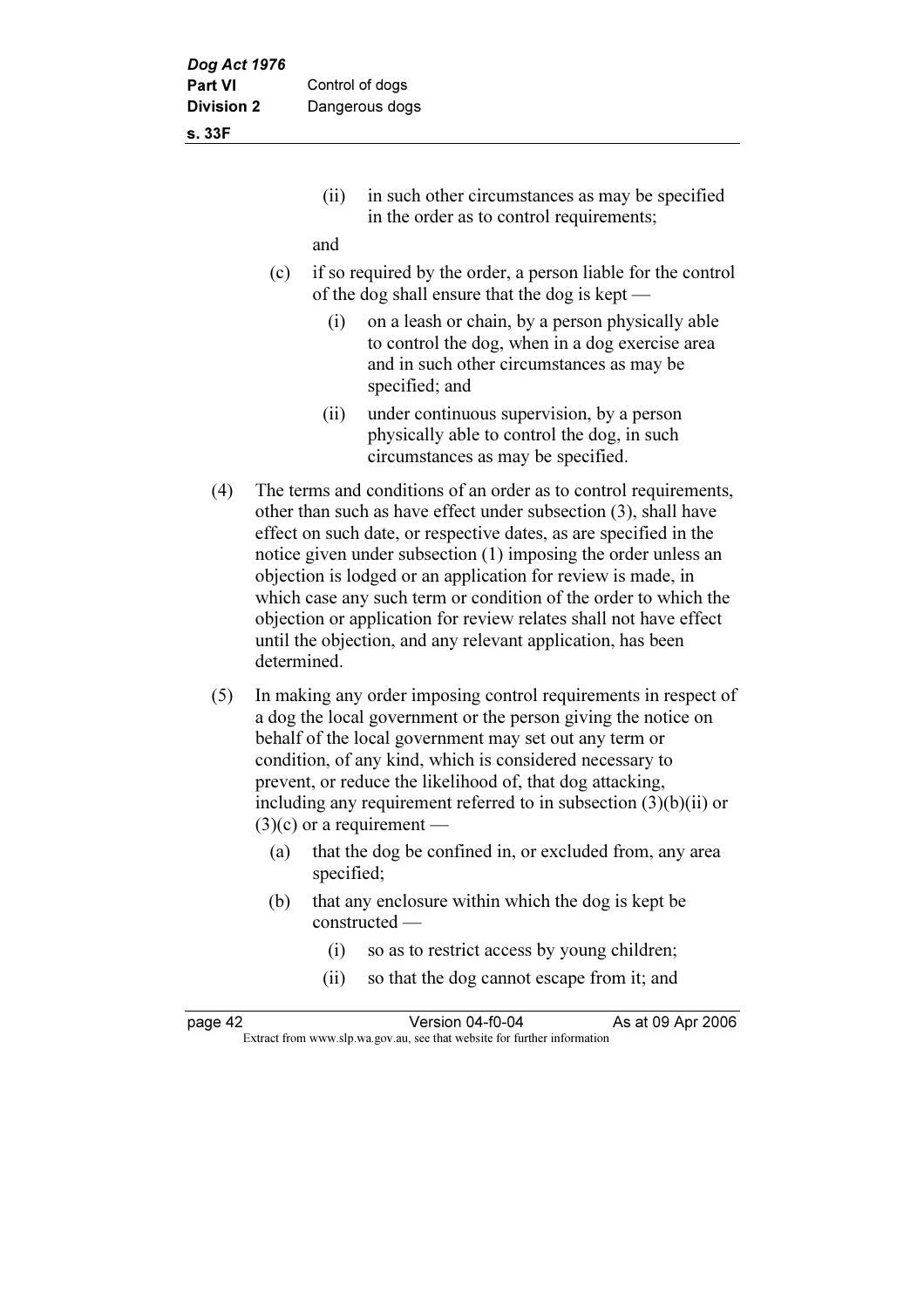s. 33F

 (ii) in such other circumstances as may be specified in the order as to control requirements;

and

- (c) if so required by the order, a person liable for the control of the dog shall ensure that the dog is kept —
	- (i) on a leash or chain, by a person physically able to control the dog, when in a dog exercise area and in such other circumstances as may be specified; and
	- (ii) under continuous supervision, by a person physically able to control the dog, in such circumstances as may be specified.
- (4) The terms and conditions of an order as to control requirements, other than such as have effect under subsection (3), shall have effect on such date, or respective dates, as are specified in the notice given under subsection (1) imposing the order unless an objection is lodged or an application for review is made, in which case any such term or condition of the order to which the objection or application for review relates shall not have effect until the objection, and any relevant application, has been determined.
- (5) In making any order imposing control requirements in respect of a dog the local government or the person giving the notice on behalf of the local government may set out any term or condition, of any kind, which is considered necessary to prevent, or reduce the likelihood of, that dog attacking, including any requirement referred to in subsection (3)(b)(ii) or  $(3)(c)$  or a requirement —
	- (a) that the dog be confined in, or excluded from, any area specified;
	- (b) that any enclosure within which the dog is kept be constructed —
		- (i) so as to restrict access by young children;
		- (ii) so that the dog cannot escape from it; and

| page 42 | Version 04-f0-04                                                         | As at 09 Apr 2006 |
|---------|--------------------------------------------------------------------------|-------------------|
|         | Extract from www.slp.wa.gov.au, see that website for further information |                   |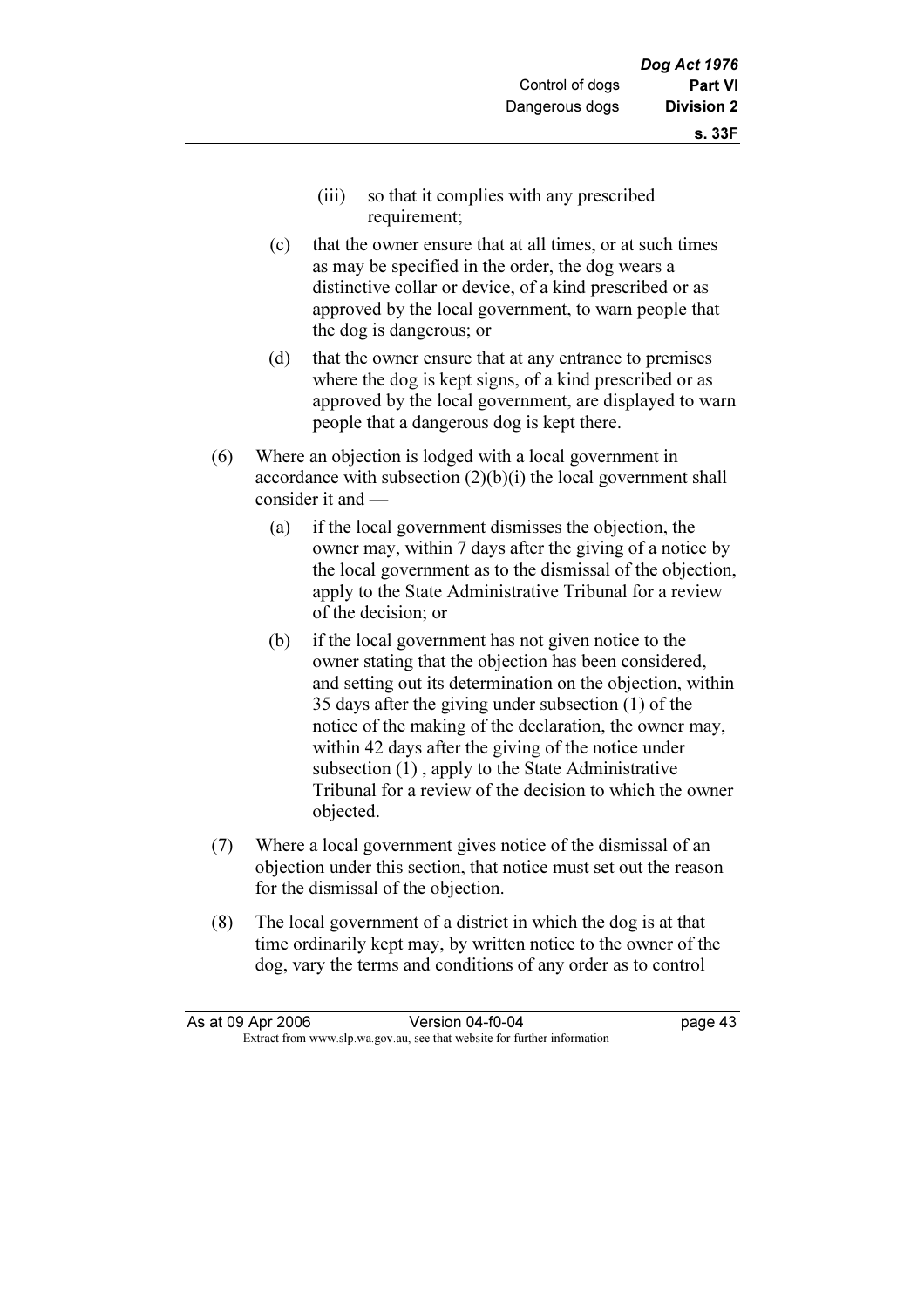- (iii) so that it complies with any prescribed requirement;
- (c) that the owner ensure that at all times, or at such times as may be specified in the order, the dog wears a distinctive collar or device, of a kind prescribed or as approved by the local government, to warn people that the dog is dangerous; or
- (d) that the owner ensure that at any entrance to premises where the dog is kept signs, of a kind prescribed or as approved by the local government, are displayed to warn people that a dangerous dog is kept there.
- (6) Where an objection is lodged with a local government in accordance with subsection (2)(b)(i) the local government shall consider it and —
	- (a) if the local government dismisses the objection, the owner may, within 7 days after the giving of a notice by the local government as to the dismissal of the objection, apply to the State Administrative Tribunal for a review of the decision; or
	- (b) if the local government has not given notice to the owner stating that the objection has been considered, and setting out its determination on the objection, within 35 days after the giving under subsection (1) of the notice of the making of the declaration, the owner may, within 42 days after the giving of the notice under subsection (1) , apply to the State Administrative Tribunal for a review of the decision to which the owner objected.
- (7) Where a local government gives notice of the dismissal of an objection under this section, that notice must set out the reason for the dismissal of the objection.
- (8) The local government of a district in which the dog is at that time ordinarily kept may, by written notice to the owner of the dog, vary the terms and conditions of any order as to control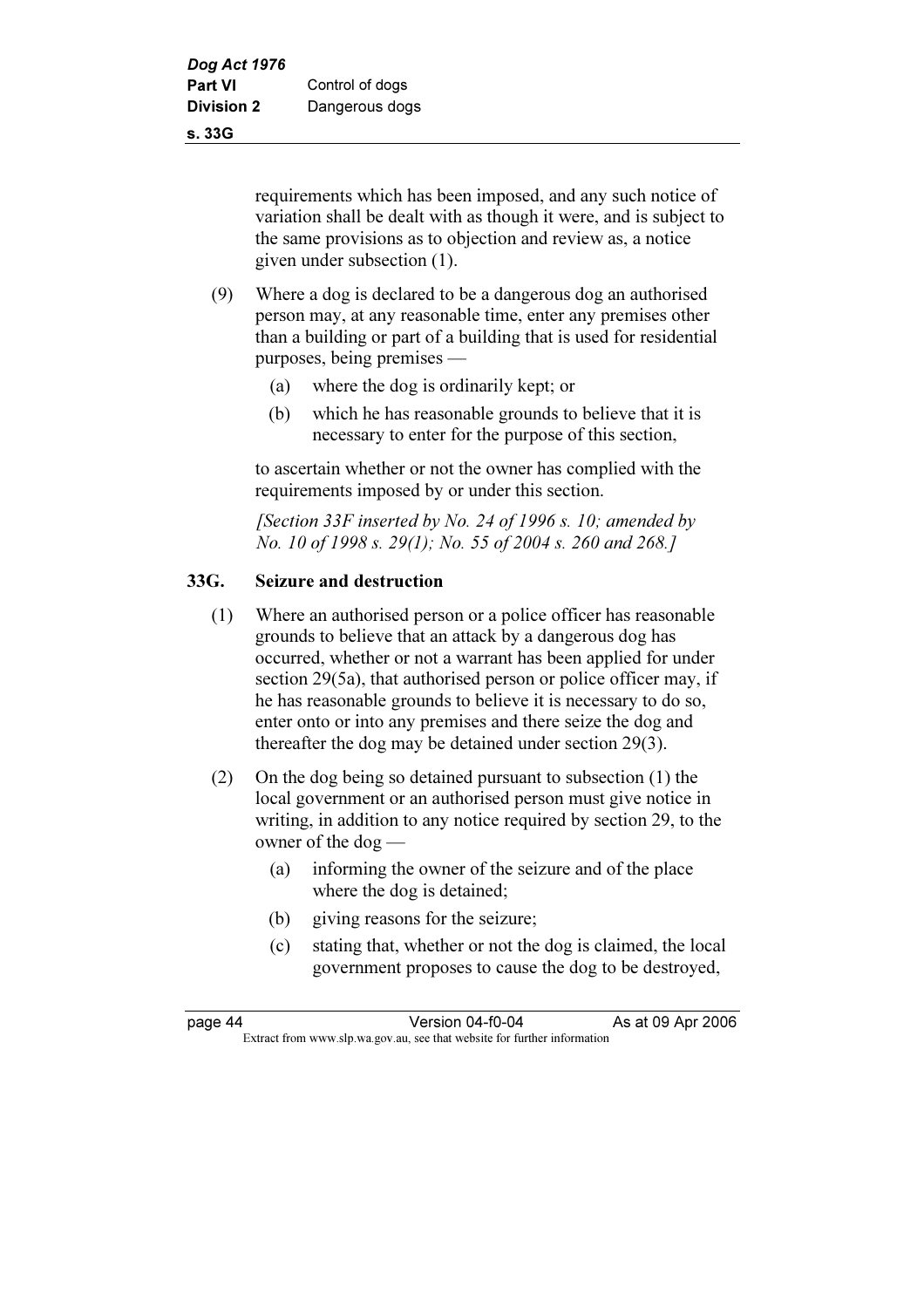requirements which has been imposed, and any such notice of variation shall be dealt with as though it were, and is subject to the same provisions as to objection and review as, a notice given under subsection (1).

- (9) Where a dog is declared to be a dangerous dog an authorised person may, at any reasonable time, enter any premises other than a building or part of a building that is used for residential purposes, being premises —
	- (a) where the dog is ordinarily kept; or
	- (b) which he has reasonable grounds to believe that it is necessary to enter for the purpose of this section,

 to ascertain whether or not the owner has complied with the requirements imposed by or under this section.

[Section 33F inserted by No. 24 of 1996 s. 10; amended by No. 10 of 1998 s. 29(1); No. 55 of 2004 s. 260 and 268.]

# 33G. Seizure and destruction

- (1) Where an authorised person or a police officer has reasonable grounds to believe that an attack by a dangerous dog has occurred, whether or not a warrant has been applied for under section 29(5a), that authorised person or police officer may, if he has reasonable grounds to believe it is necessary to do so, enter onto or into any premises and there seize the dog and thereafter the dog may be detained under section 29(3).
- (2) On the dog being so detained pursuant to subsection (1) the local government or an authorised person must give notice in writing, in addition to any notice required by section 29, to the owner of the dog —
	- (a) informing the owner of the seizure and of the place where the dog is detained;
	- (b) giving reasons for the seizure;
	- (c) stating that, whether or not the dog is claimed, the local government proposes to cause the dog to be destroyed,

page 44 Version 04-f0-04 As at 09 Apr 2006<br>Extract from www.slp.wa.gov.au, see that website for further information Extract from www.slp.wa.gov.au, see that website for further information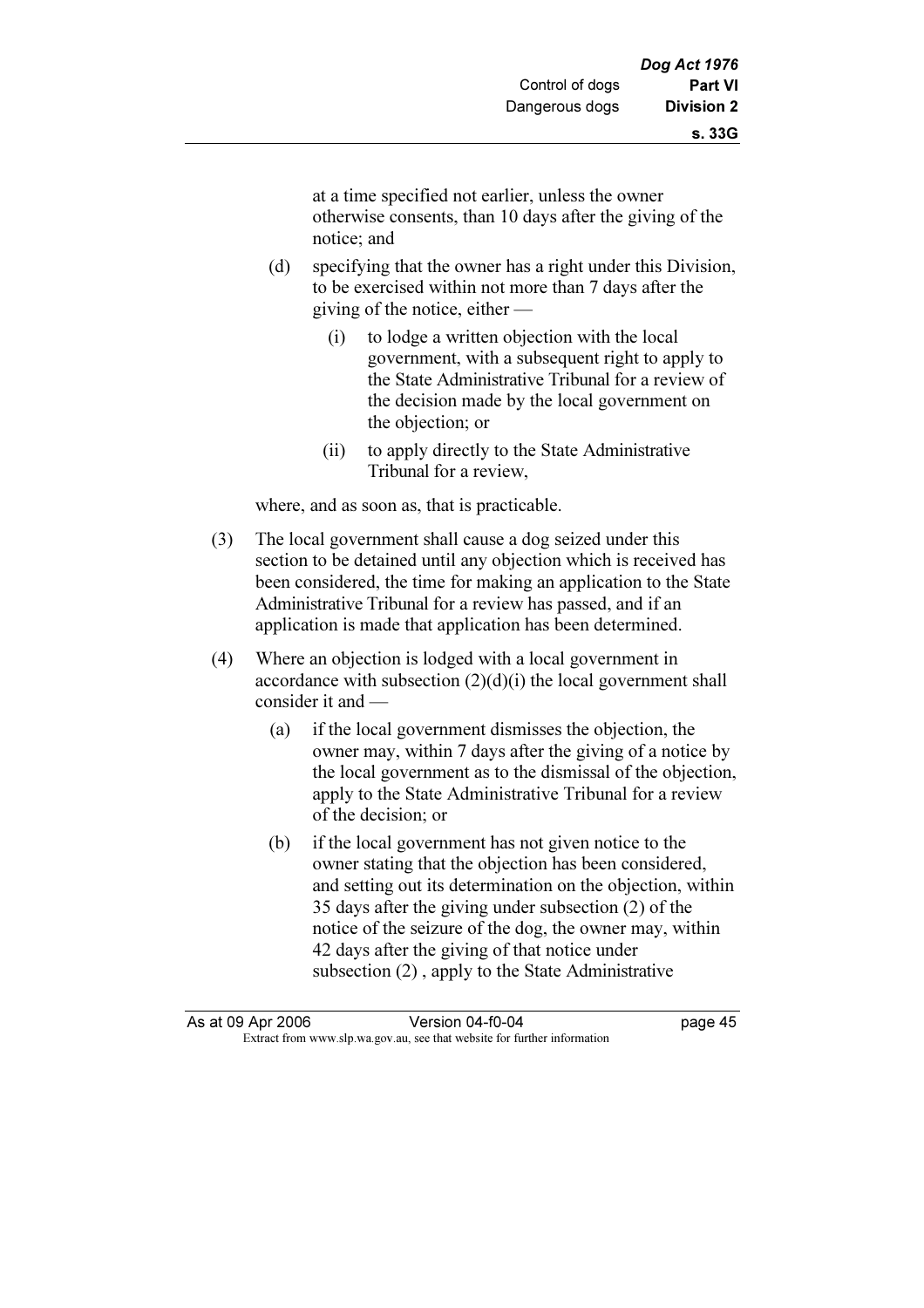at a time specified not earlier, unless the owner otherwise consents, than 10 days after the giving of the notice; and

- (d) specifying that the owner has a right under this Division, to be exercised within not more than 7 days after the giving of the notice, either —
	- (i) to lodge a written objection with the local government, with a subsequent right to apply to the State Administrative Tribunal for a review of the decision made by the local government on the objection; or
	- (ii) to apply directly to the State Administrative Tribunal for a review,

where, and as soon as, that is practicable.

- (3) The local government shall cause a dog seized under this section to be detained until any objection which is received has been considered, the time for making an application to the State Administrative Tribunal for a review has passed, and if an application is made that application has been determined.
- (4) Where an objection is lodged with a local government in accordance with subsection  $(2)(d)(i)$  the local government shall consider it and —
	- (a) if the local government dismisses the objection, the owner may, within 7 days after the giving of a notice by the local government as to the dismissal of the objection, apply to the State Administrative Tribunal for a review of the decision; or
	- (b) if the local government has not given notice to the owner stating that the objection has been considered, and setting out its determination on the objection, within 35 days after the giving under subsection (2) of the notice of the seizure of the dog, the owner may, within 42 days after the giving of that notice under subsection (2) , apply to the State Administrative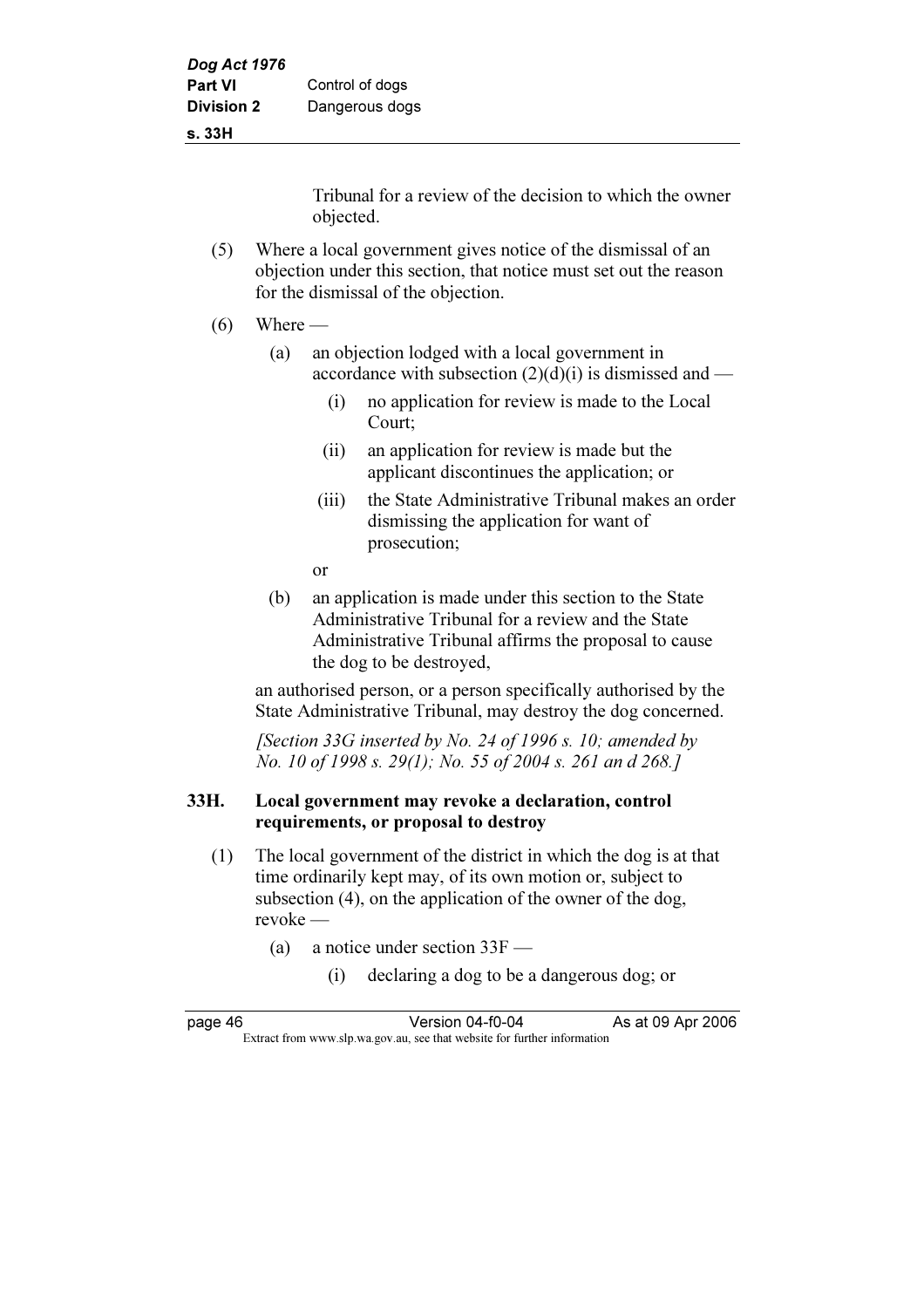#### s. 33H

Tribunal for a review of the decision to which the owner objected.

- (5) Where a local government gives notice of the dismissal of an objection under this section, that notice must set out the reason for the dismissal of the objection.
- $(6)$  Where
	- (a) an objection lodged with a local government in accordance with subsection  $(2)(d)(i)$  is dismissed and —
		- (i) no application for review is made to the Local Court;
		- (ii) an application for review is made but the applicant discontinues the application; or
		- (iii) the State Administrative Tribunal makes an order dismissing the application for want of prosecution;
		- or
	- (b) an application is made under this section to the State Administrative Tribunal for a review and the State Administrative Tribunal affirms the proposal to cause the dog to be destroyed,

 an authorised person, or a person specifically authorised by the State Administrative Tribunal, may destroy the dog concerned.

[Section 33G inserted by No. 24 of 1996 s. 10; amended by No. 10 of 1998 s. 29(1); No. 55 of 2004 s. 261 an d 268.]

### 33H. Local government may revoke a declaration, control requirements, or proposal to destroy

- (1) The local government of the district in which the dog is at that time ordinarily kept may, of its own motion or, subject to subsection (4), on the application of the owner of the dog, revoke —
	- (a) a notice under section 33F
		- (i) declaring a dog to be a dangerous dog; or

| page 46 | Version 04-f0-04                                                         | As at 09 Apr 2006 |
|---------|--------------------------------------------------------------------------|-------------------|
|         | Extract from www.slp.wa.gov.au, see that website for further information |                   |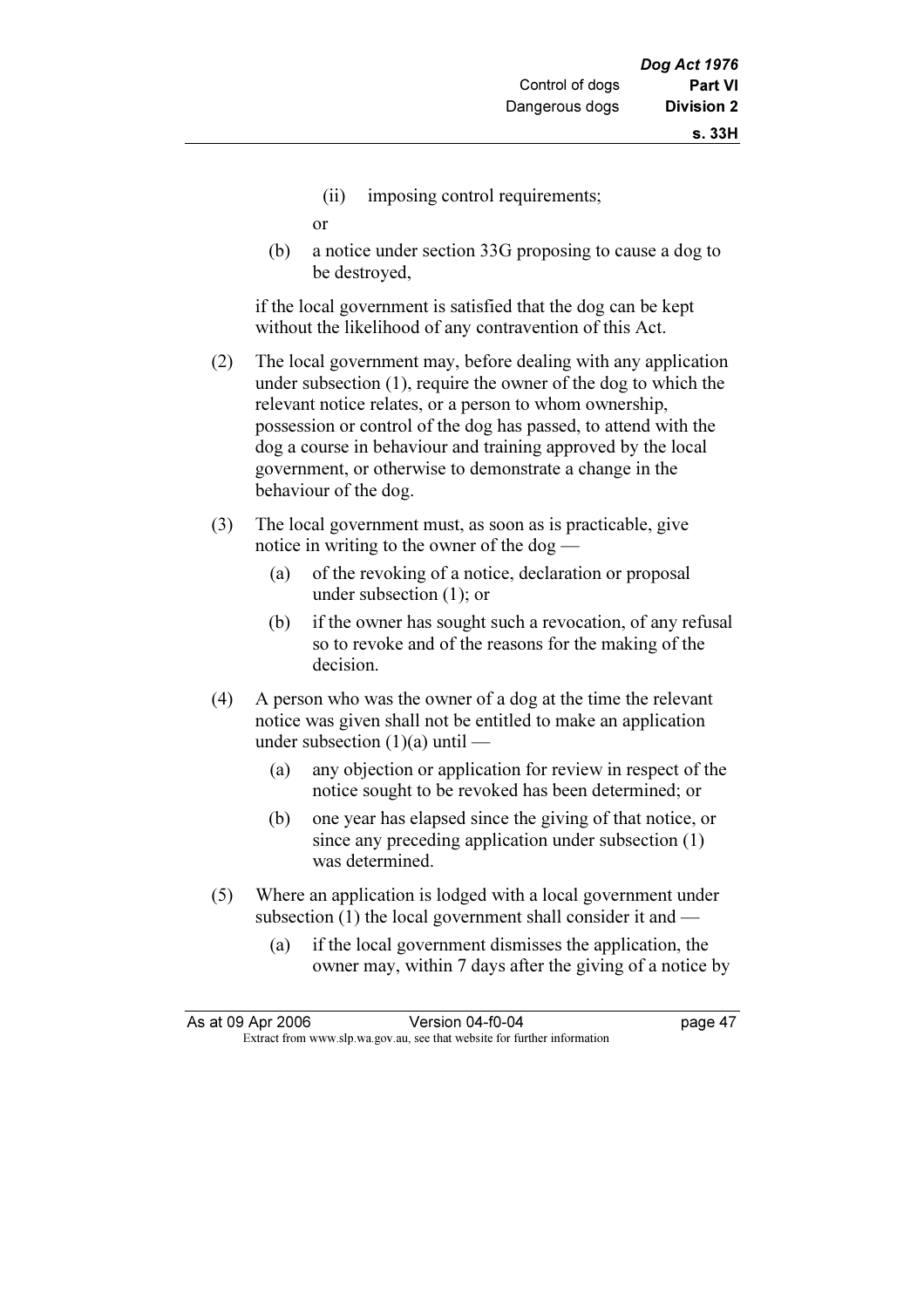(ii) imposing control requirements;

or

 (b) a notice under section 33G proposing to cause a dog to be destroyed,

 if the local government is satisfied that the dog can be kept without the likelihood of any contravention of this Act.

- (2) The local government may, before dealing with any application under subsection (1), require the owner of the dog to which the relevant notice relates, or a person to whom ownership, possession or control of the dog has passed, to attend with the dog a course in behaviour and training approved by the local government, or otherwise to demonstrate a change in the behaviour of the dog.
- (3) The local government must, as soon as is practicable, give notice in writing to the owner of the dog —
	- (a) of the revoking of a notice, declaration or proposal under subsection (1); or
	- (b) if the owner has sought such a revocation, of any refusal so to revoke and of the reasons for the making of the decision.
- (4) A person who was the owner of a dog at the time the relevant notice was given shall not be entitled to make an application under subsection (1)(a) until —
	- (a) any objection or application for review in respect of the notice sought to be revoked has been determined; or
	- (b) one year has elapsed since the giving of that notice, or since any preceding application under subsection (1) was determined.
- (5) Where an application is lodged with a local government under subsection (1) the local government shall consider it and —
	- (a) if the local government dismisses the application, the owner may, within 7 days after the giving of a notice by

| As at 09 Apr 2006                                                        | Version 04-f0-04 | page 47 |
|--------------------------------------------------------------------------|------------------|---------|
| Extract from www.slp.wa.gov.au, see that website for further information |                  |         |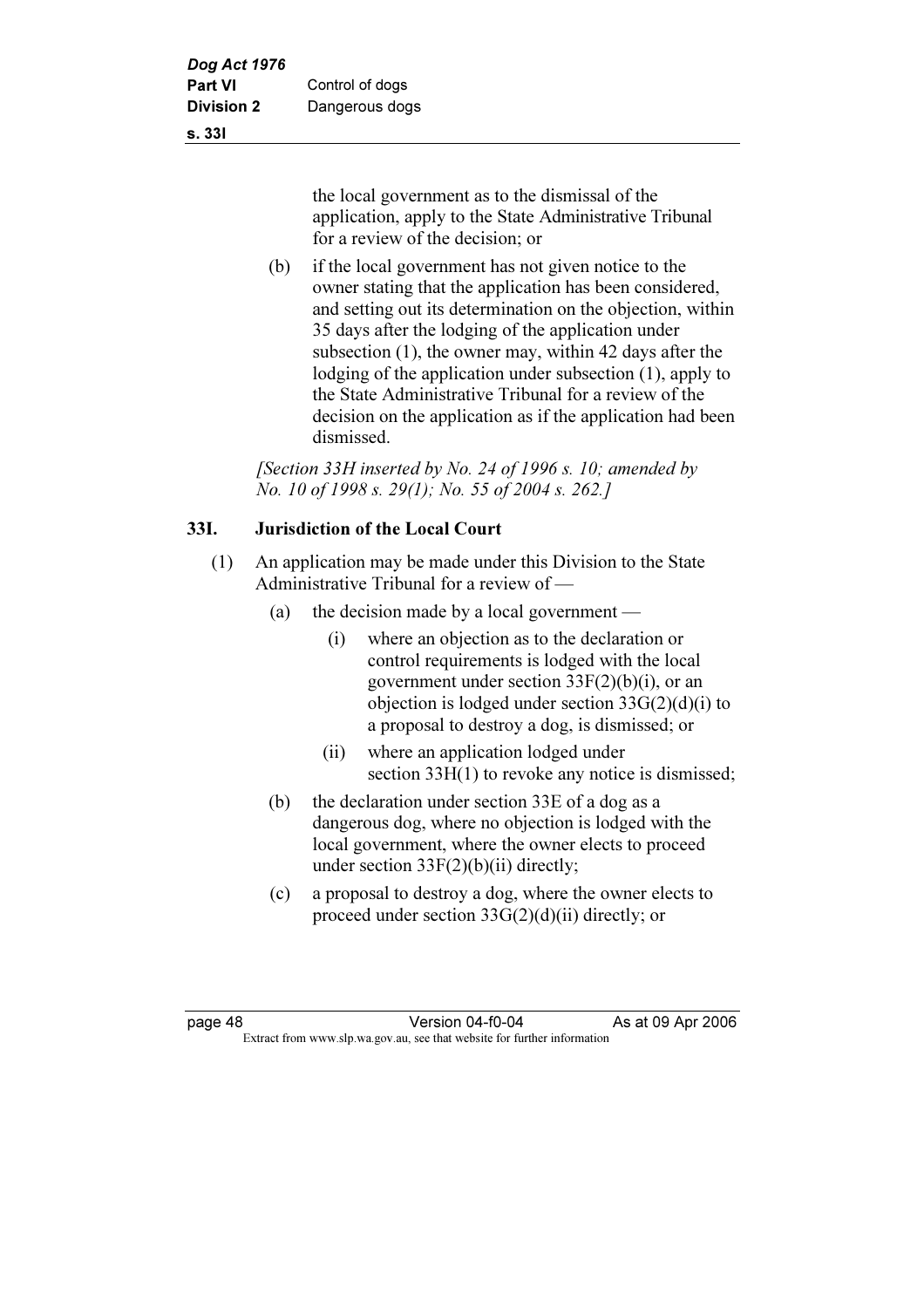s. 33I

the local government as to the dismissal of the application, apply to the State Administrative Tribunal for a review of the decision; or

 (b) if the local government has not given notice to the owner stating that the application has been considered, and setting out its determination on the objection, within 35 days after the lodging of the application under subsection (1), the owner may, within 42 days after the lodging of the application under subsection (1), apply to the State Administrative Tribunal for a review of the decision on the application as if the application had been dismissed.

[Section 33H inserted by No. 24 of 1996 s. 10; amended by No. 10 of 1998 s. 29(1); No. 55 of 2004 s. 262.]

# 33I. Jurisdiction of the Local Court

- (1) An application may be made under this Division to the State Administrative Tribunal for a review of —
	- (a) the decision made by a local government
		- (i) where an objection as to the declaration or control requirements is lodged with the local government under section  $33F(2)(b)(i)$ , or an objection is lodged under section  $33G(2)(d)(i)$  to a proposal to destroy a dog, is dismissed; or
		- (ii) where an application lodged under section 33H(1) to revoke any notice is dismissed;
	- (b) the declaration under section 33E of a dog as a dangerous dog, where no objection is lodged with the local government, where the owner elects to proceed under section  $33F(2)(b)(ii)$  directly;
	- (c) a proposal to destroy a dog, where the owner elects to proceed under section 33G(2)(d)(ii) directly; or

page 48 Version 04-f0-04 As at 09 Apr 2006<br>Extract from www.slp.wa.gov.au, see that website for further information Extract from www.slp.wa.gov.au, see that website for further information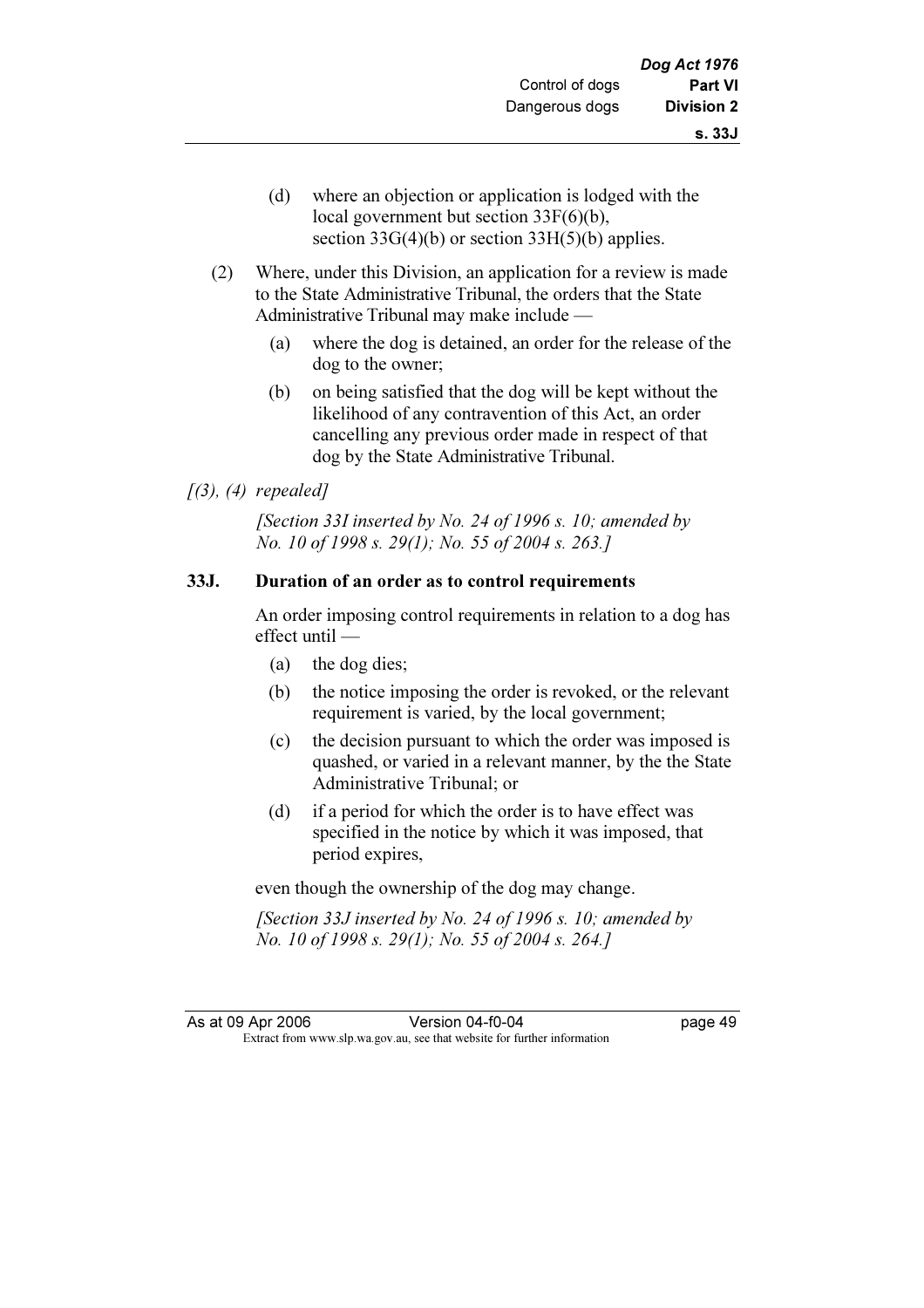- (d) where an objection or application is lodged with the local government but section 33F(6)(b), section  $33G(4)(b)$  or section  $33H(5)(b)$  applies.
- (2) Where, under this Division, an application for a review is made to the State Administrative Tribunal, the orders that the State Administrative Tribunal may make include —
	- (a) where the dog is detained, an order for the release of the dog to the owner;
	- (b) on being satisfied that the dog will be kept without the likelihood of any contravention of this Act, an order cancelling any previous order made in respect of that dog by the State Administrative Tribunal.

### $(3), (4)$  repealed]

[Section 33I inserted by No. 24 of 1996 s. 10; amended by No. 10 of 1998 s. 29(1); No. 55 of 2004 s. 263.]

### 33J. Duration of an order as to control requirements

 An order imposing control requirements in relation to a dog has effect until —

- (a) the dog dies;
- (b) the notice imposing the order is revoked, or the relevant requirement is varied, by the local government;
- (c) the decision pursuant to which the order was imposed is quashed, or varied in a relevant manner, by the the State Administrative Tribunal; or
- (d) if a period for which the order is to have effect was specified in the notice by which it was imposed, that period expires,

even though the ownership of the dog may change.

[Section 33J inserted by No. 24 of 1996 s. 10; amended by No. 10 of 1998 s. 29(1); No. 55 of 2004 s. 264.]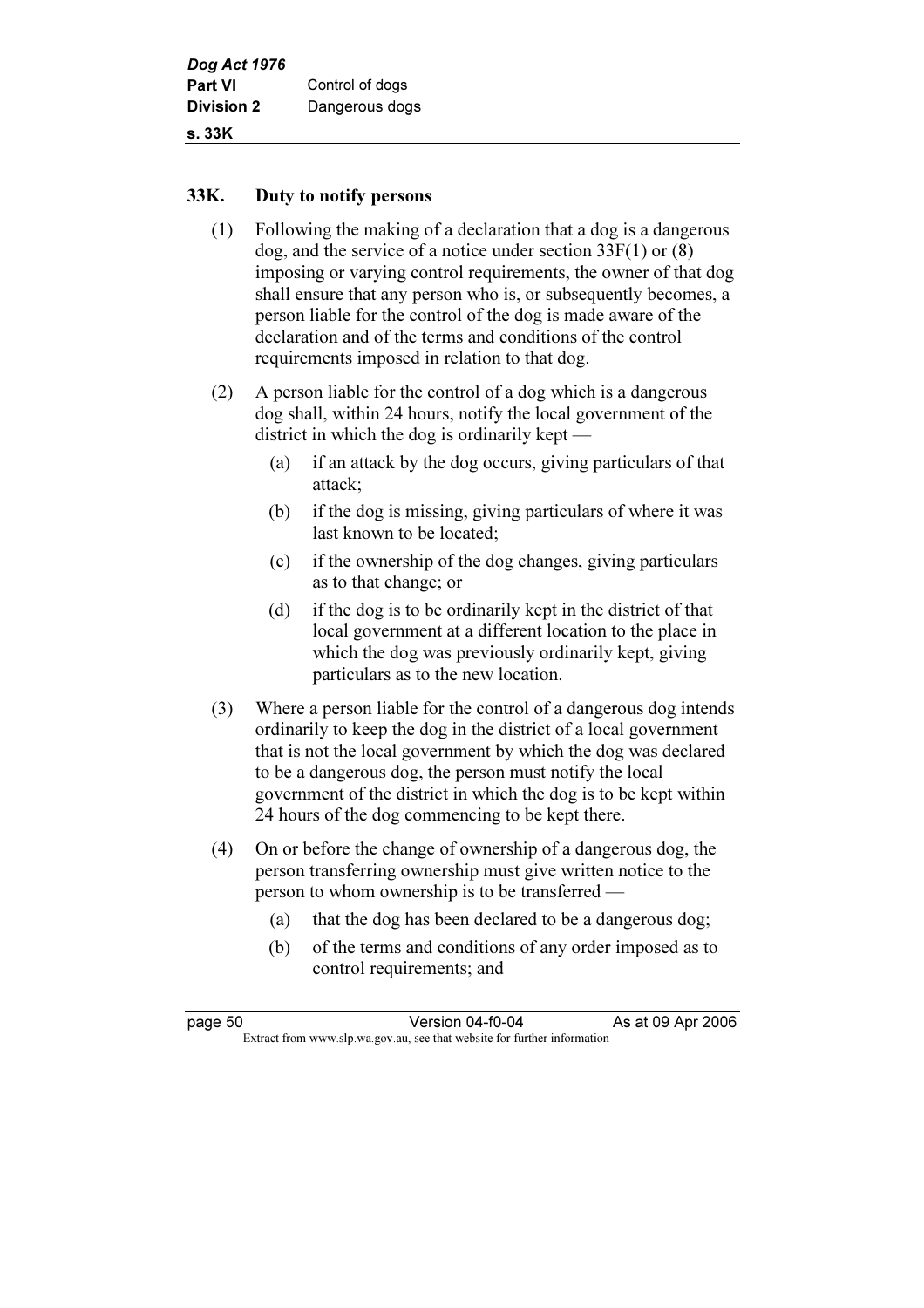#### 33K. Duty to notify persons

- (1) Following the making of a declaration that a dog is a dangerous dog, and the service of a notice under section 33F(1) or (8) imposing or varying control requirements, the owner of that dog shall ensure that any person who is, or subsequently becomes, a person liable for the control of the dog is made aware of the declaration and of the terms and conditions of the control requirements imposed in relation to that dog.
- (2) A person liable for the control of a dog which is a dangerous dog shall, within 24 hours, notify the local government of the district in which the dog is ordinarily kept —
	- (a) if an attack by the dog occurs, giving particulars of that attack;
	- (b) if the dog is missing, giving particulars of where it was last known to be located;
	- (c) if the ownership of the dog changes, giving particulars as to that change; or
	- (d) if the dog is to be ordinarily kept in the district of that local government at a different location to the place in which the dog was previously ordinarily kept, giving particulars as to the new location.
- (3) Where a person liable for the control of a dangerous dog intends ordinarily to keep the dog in the district of a local government that is not the local government by which the dog was declared to be a dangerous dog, the person must notify the local government of the district in which the dog is to be kept within 24 hours of the dog commencing to be kept there.
- (4) On or before the change of ownership of a dangerous dog, the person transferring ownership must give written notice to the person to whom ownership is to be transferred —
	- (a) that the dog has been declared to be a dangerous dog;
	- (b) of the terms and conditions of any order imposed as to control requirements; and

| page 50 | Version 04-f0-04                                                         | As at 09 Apr 2006 |
|---------|--------------------------------------------------------------------------|-------------------|
|         | Extract from www.slp.wa.gov.au, see that website for further information |                   |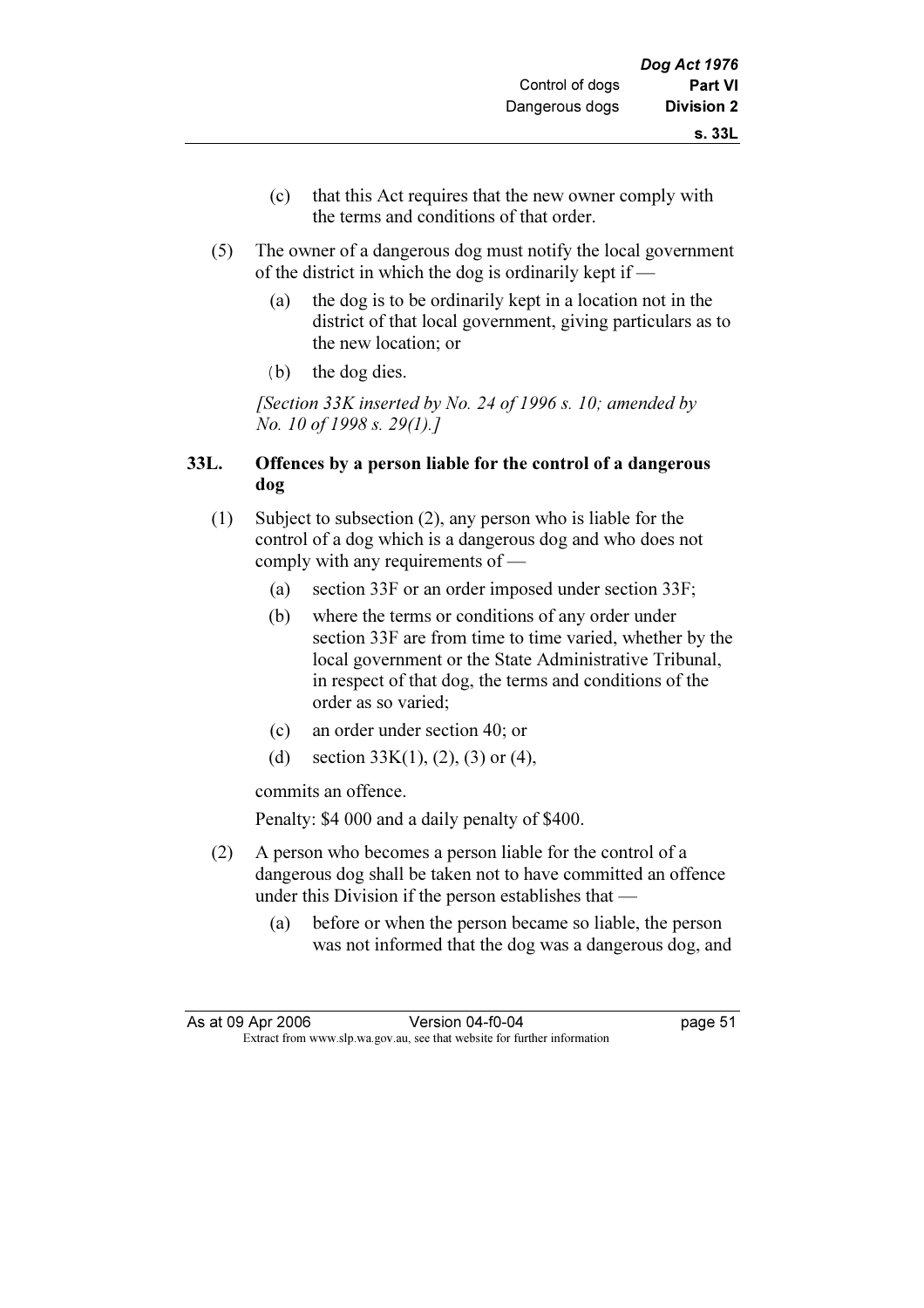- (c) that this Act requires that the new owner comply with the terms and conditions of that order.
- (5) The owner of a dangerous dog must notify the local government of the district in which the dog is ordinarily kept if —
	- (a) the dog is to be ordinarily kept in a location not in the district of that local government, giving particulars as to the new location; or
	- (b) the dog dies.

[Section 33K inserted by No. 24 of 1996 s. 10; amended by No. 10 of 1998 s. 29(1).]

# 33L. Offences by a person liable for the control of a dangerous dog

- (1) Subject to subsection (2), any person who is liable for the control of a dog which is a dangerous dog and who does not comply with any requirements of —
	- (a) section 33F or an order imposed under section 33F;
	- (b) where the terms or conditions of any order under section 33F are from time to time varied, whether by the local government or the State Administrative Tribunal, in respect of that dog, the terms and conditions of the order as so varied;
	- (c) an order under section 40; or
	- (d) section  $33K(1)$ ,  $(2)$ ,  $(3)$  or  $(4)$ ,

commits an offence.

Penalty: \$4 000 and a daily penalty of \$400.

- (2) A person who becomes a person liable for the control of a dangerous dog shall be taken not to have committed an offence under this Division if the person establishes that —
	- (a) before or when the person became so liable, the person was not informed that the dog was a dangerous dog, and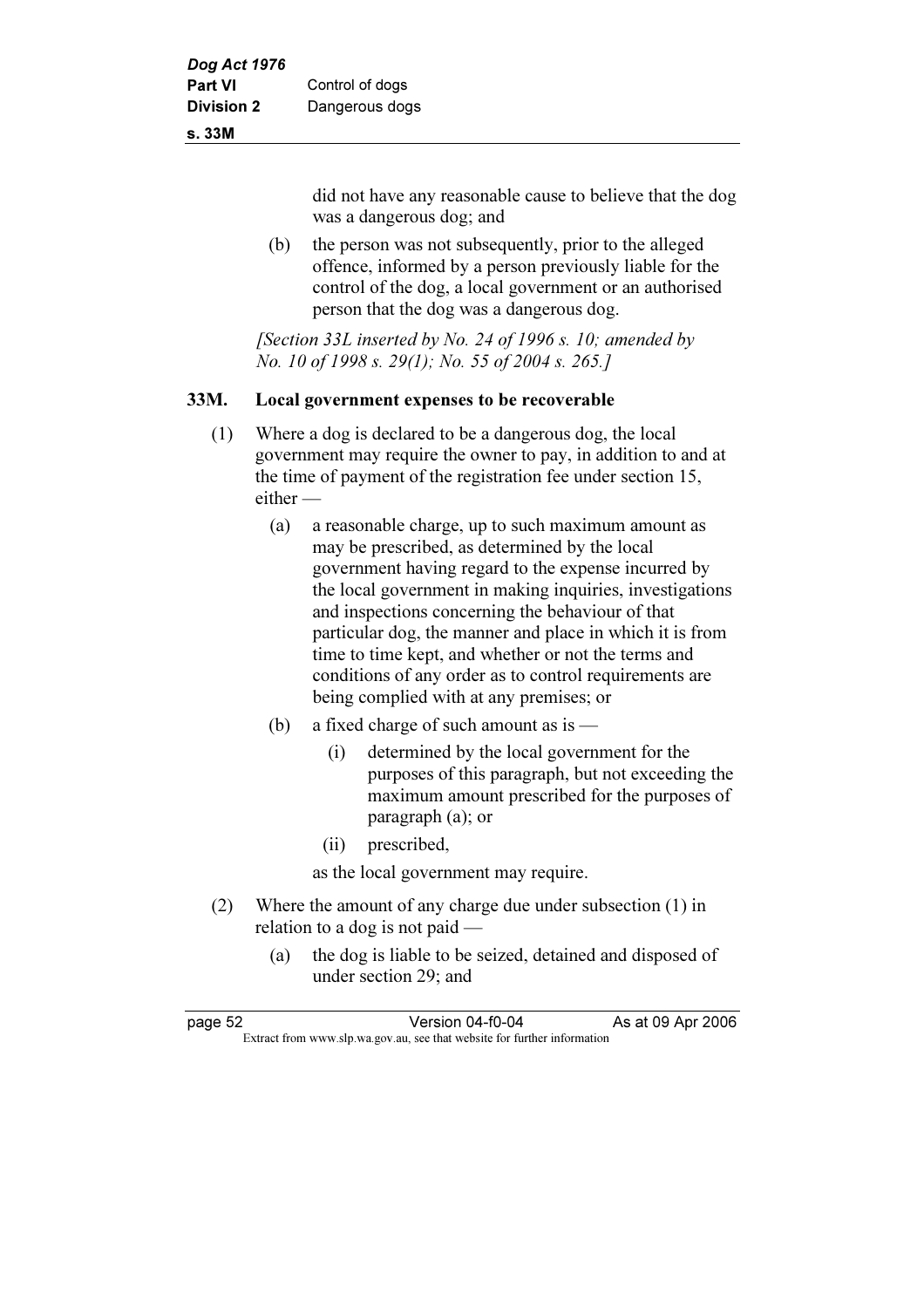#### s. 33M

did not have any reasonable cause to believe that the dog was a dangerous dog; and

 (b) the person was not subsequently, prior to the alleged offence, informed by a person previously liable for the control of the dog, a local government or an authorised person that the dog was a dangerous dog.

[Section 33L inserted by No. 24 of 1996 s. 10; amended by No. 10 of 1998 s. 29(1); No. 55 of 2004 s. 265.]

#### 33M. Local government expenses to be recoverable

- (1) Where a dog is declared to be a dangerous dog, the local government may require the owner to pay, in addition to and at the time of payment of the registration fee under section 15, either —
	- (a) a reasonable charge, up to such maximum amount as may be prescribed, as determined by the local government having regard to the expense incurred by the local government in making inquiries, investigations and inspections concerning the behaviour of that particular dog, the manner and place in which it is from time to time kept, and whether or not the terms and conditions of any order as to control requirements are being complied with at any premises; or
	- (b) a fixed charge of such amount as is
		- (i) determined by the local government for the purposes of this paragraph, but not exceeding the maximum amount prescribed for the purposes of paragraph (a); or
		- (ii) prescribed,

as the local government may require.

- (2) Where the amount of any charge due under subsection (1) in relation to a dog is not paid —
	- (a) the dog is liable to be seized, detained and disposed of under section 29; and

| page 52 | Version 04-f0-04                                                         | As at 09 Apr 2006 |
|---------|--------------------------------------------------------------------------|-------------------|
|         | Extract from www.slp.wa.gov.au, see that website for further information |                   |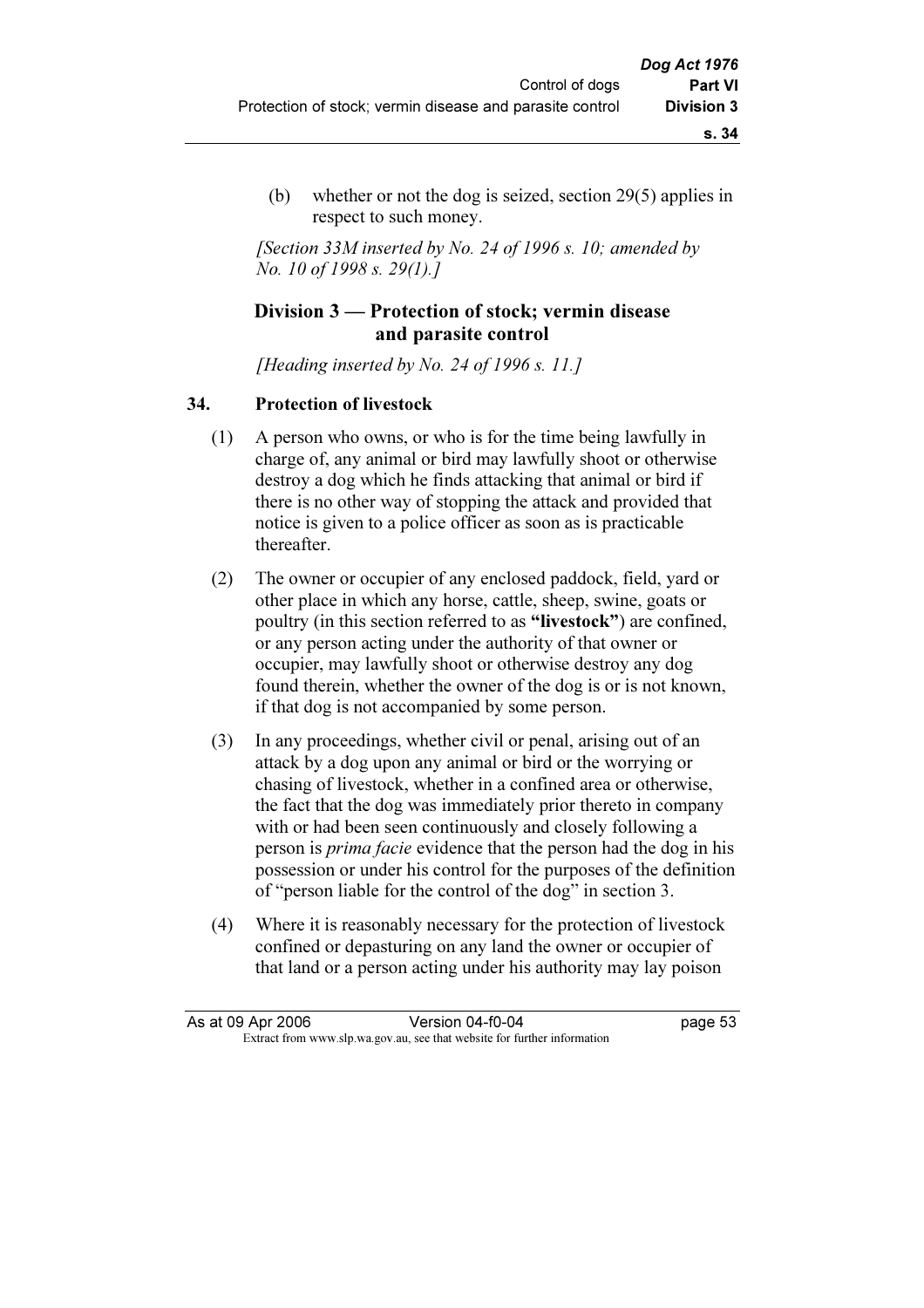(b) whether or not the dog is seized, section 29(5) applies in respect to such money.

[Section 33M inserted by No. 24 of 1996 s. 10; amended by No. 10 of 1998 s. 29(1).]

# Division 3 — Protection of stock; vermin disease and parasite control

[Heading inserted by No. 24 of 1996 s. 11.]

#### 34. Protection of livestock

- (1) A person who owns, or who is for the time being lawfully in charge of, any animal or bird may lawfully shoot or otherwise destroy a dog which he finds attacking that animal or bird if there is no other way of stopping the attack and provided that notice is given to a police officer as soon as is practicable thereafter.
- (2) The owner or occupier of any enclosed paddock, field, yard or other place in which any horse, cattle, sheep, swine, goats or poultry (in this section referred to as "livestock") are confined, or any person acting under the authority of that owner or occupier, may lawfully shoot or otherwise destroy any dog found therein, whether the owner of the dog is or is not known, if that dog is not accompanied by some person.
- (3) In any proceedings, whether civil or penal, arising out of an attack by a dog upon any animal or bird or the worrying or chasing of livestock, whether in a confined area or otherwise, the fact that the dog was immediately prior thereto in company with or had been seen continuously and closely following a person is prima facie evidence that the person had the dog in his possession or under his control for the purposes of the definition of "person liable for the control of the dog" in section 3.
- (4) Where it is reasonably necessary for the protection of livestock confined or depasturing on any land the owner or occupier of that land or a person acting under his authority may lay poison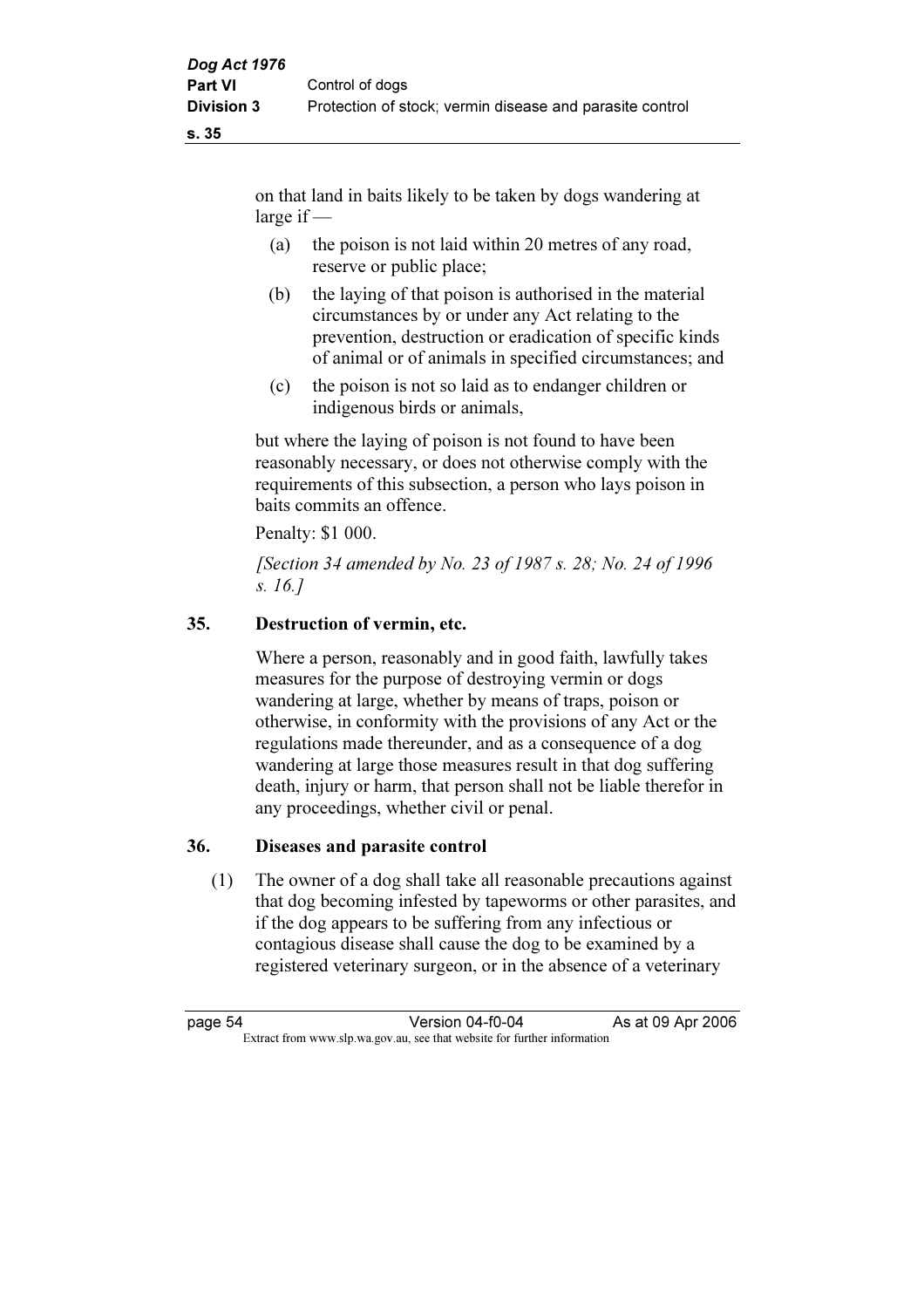on that land in baits likely to be taken by dogs wandering at large if —

- (a) the poison is not laid within 20 metres of any road, reserve or public place;
- (b) the laying of that poison is authorised in the material circumstances by or under any Act relating to the prevention, destruction or eradication of specific kinds of animal or of animals in specified circumstances; and
- (c) the poison is not so laid as to endanger children or indigenous birds or animals,

 but where the laying of poison is not found to have been reasonably necessary, or does not otherwise comply with the requirements of this subsection, a person who lays poison in baits commits an offence.

Penalty: \$1 000.

 [Section 34 amended by No. 23 of 1987 s. 28; No. 24 of 1996 s. 16.]

# 35. Destruction of vermin, etc.

 Where a person, reasonably and in good faith, lawfully takes measures for the purpose of destroying vermin or dogs wandering at large, whether by means of traps, poison or otherwise, in conformity with the provisions of any Act or the regulations made thereunder, and as a consequence of a dog wandering at large those measures result in that dog suffering death, injury or harm, that person shall not be liable therefor in any proceedings, whether civil or penal.

# 36. Diseases and parasite control

 (1) The owner of a dog shall take all reasonable precautions against that dog becoming infested by tapeworms or other parasites, and if the dog appears to be suffering from any infectious or contagious disease shall cause the dog to be examined by a registered veterinary surgeon, or in the absence of a veterinary

page 54 Version 04-f0-04 As at 09 Apr 2006<br>Extract from www.slp.wa.gov.au, see that website for further information Extract from www.slp.wa.gov.au, see that website for further information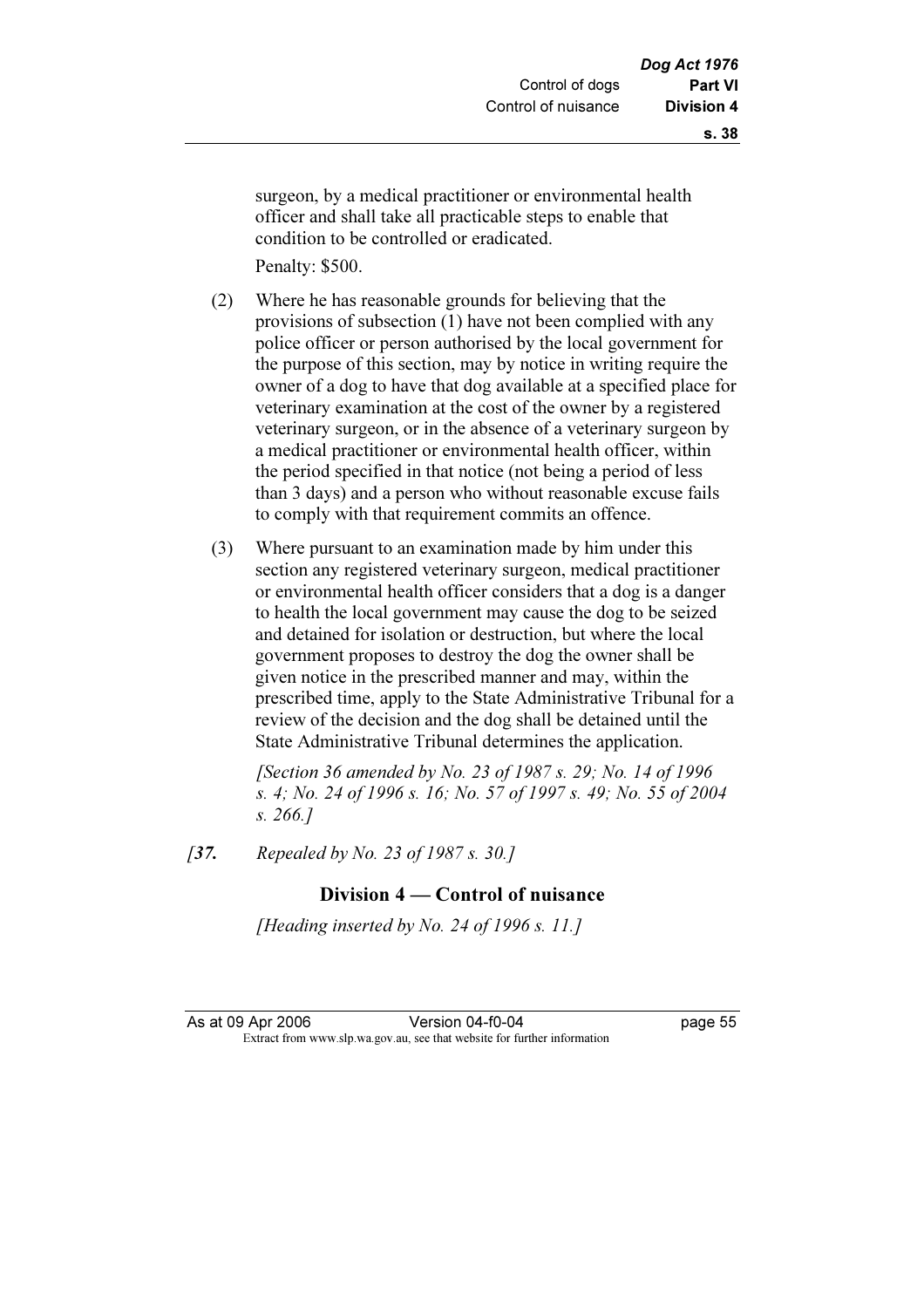surgeon, by a medical practitioner or environmental health officer and shall take all practicable steps to enable that condition to be controlled or eradicated.

Penalty: \$500.

- (2) Where he has reasonable grounds for believing that the provisions of subsection (1) have not been complied with any police officer or person authorised by the local government for the purpose of this section, may by notice in writing require the owner of a dog to have that dog available at a specified place for veterinary examination at the cost of the owner by a registered veterinary surgeon, or in the absence of a veterinary surgeon by a medical practitioner or environmental health officer, within the period specified in that notice (not being a period of less than 3 days) and a person who without reasonable excuse fails to comply with that requirement commits an offence.
- (3) Where pursuant to an examination made by him under this section any registered veterinary surgeon, medical practitioner or environmental health officer considers that a dog is a danger to health the local government may cause the dog to be seized and detained for isolation or destruction, but where the local government proposes to destroy the dog the owner shall be given notice in the prescribed manner and may, within the prescribed time, apply to the State Administrative Tribunal for a review of the decision and the dog shall be detained until the State Administrative Tribunal determines the application.

 [Section 36 amended by No. 23 of 1987 s. 29; No. 14 of 1996 s. 4; No. 24 of 1996 s. 16; No. 57 of 1997 s. 49; No. 55 of 2004 s. 266.]

[37. Repealed by No. 23 of 1987 s. 30.]

# Division 4 — Control of nuisance

[Heading inserted by No. 24 of 1996 s. 11.]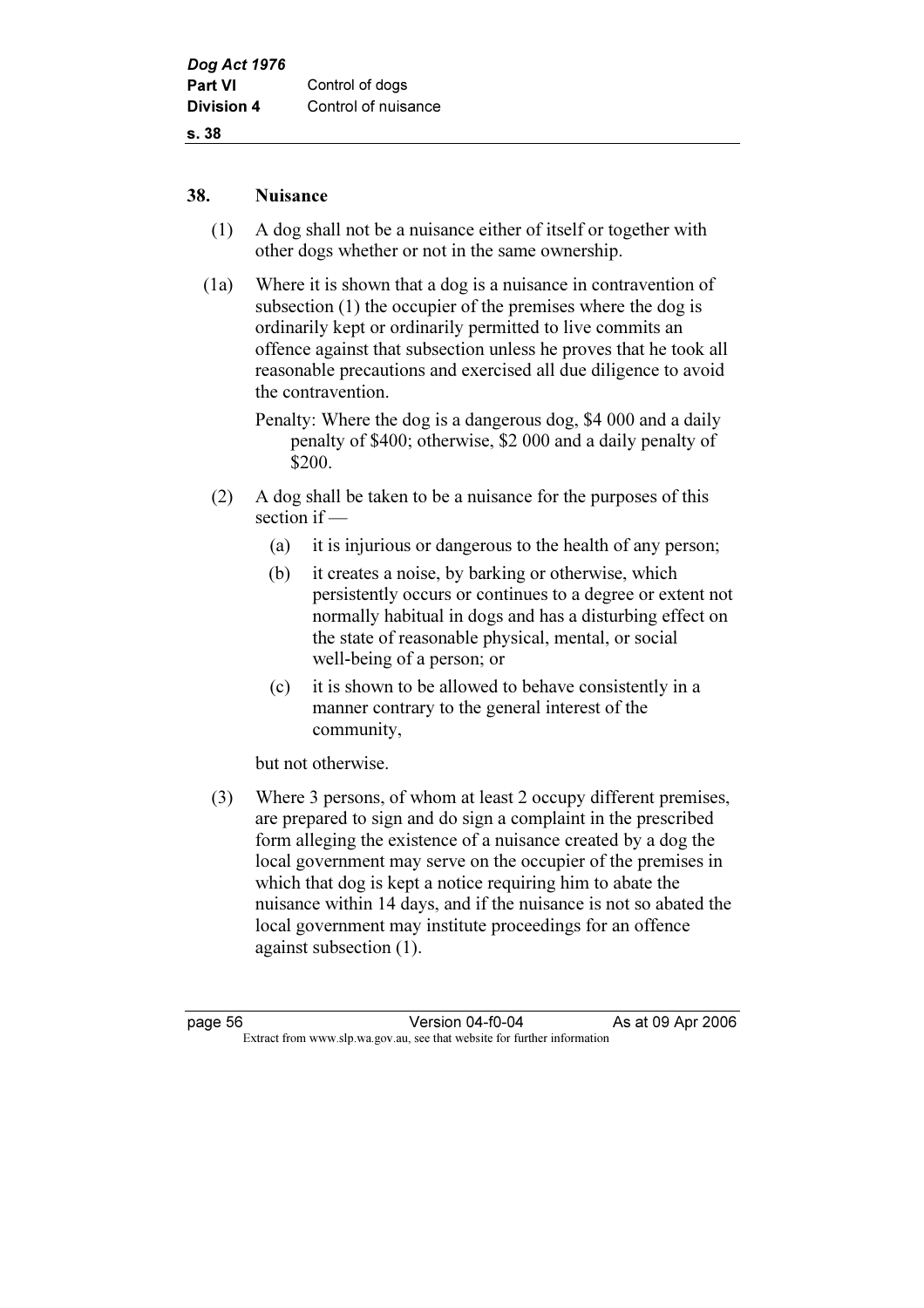#### 38. Nuisance

- (1) A dog shall not be a nuisance either of itself or together with other dogs whether or not in the same ownership.
- (1a) Where it is shown that a dog is a nuisance in contravention of subsection (1) the occupier of the premises where the dog is ordinarily kept or ordinarily permitted to live commits an offence against that subsection unless he proves that he took all reasonable precautions and exercised all due diligence to avoid the contravention.
	- Penalty: Where the dog is a dangerous dog, \$4 000 and a daily penalty of \$400; otherwise, \$2 000 and a daily penalty of \$200.
- (2) A dog shall be taken to be a nuisance for the purposes of this section if —
	- (a) it is injurious or dangerous to the health of any person;
	- (b) it creates a noise, by barking or otherwise, which persistently occurs or continues to a degree or extent not normally habitual in dogs and has a disturbing effect on the state of reasonable physical, mental, or social well-being of a person; or
	- (c) it is shown to be allowed to behave consistently in a manner contrary to the general interest of the community,

but not otherwise.

 (3) Where 3 persons, of whom at least 2 occupy different premises, are prepared to sign and do sign a complaint in the prescribed form alleging the existence of a nuisance created by a dog the local government may serve on the occupier of the premises in which that dog is kept a notice requiring him to abate the nuisance within 14 days, and if the nuisance is not so abated the local government may institute proceedings for an offence against subsection (1).

page 56 Version 04-f0-04 As at 09 Apr 2006<br>Extract from www.slp.wa.gov.au, see that website for further information Extract from www.slp.wa.gov.au, see that website for further information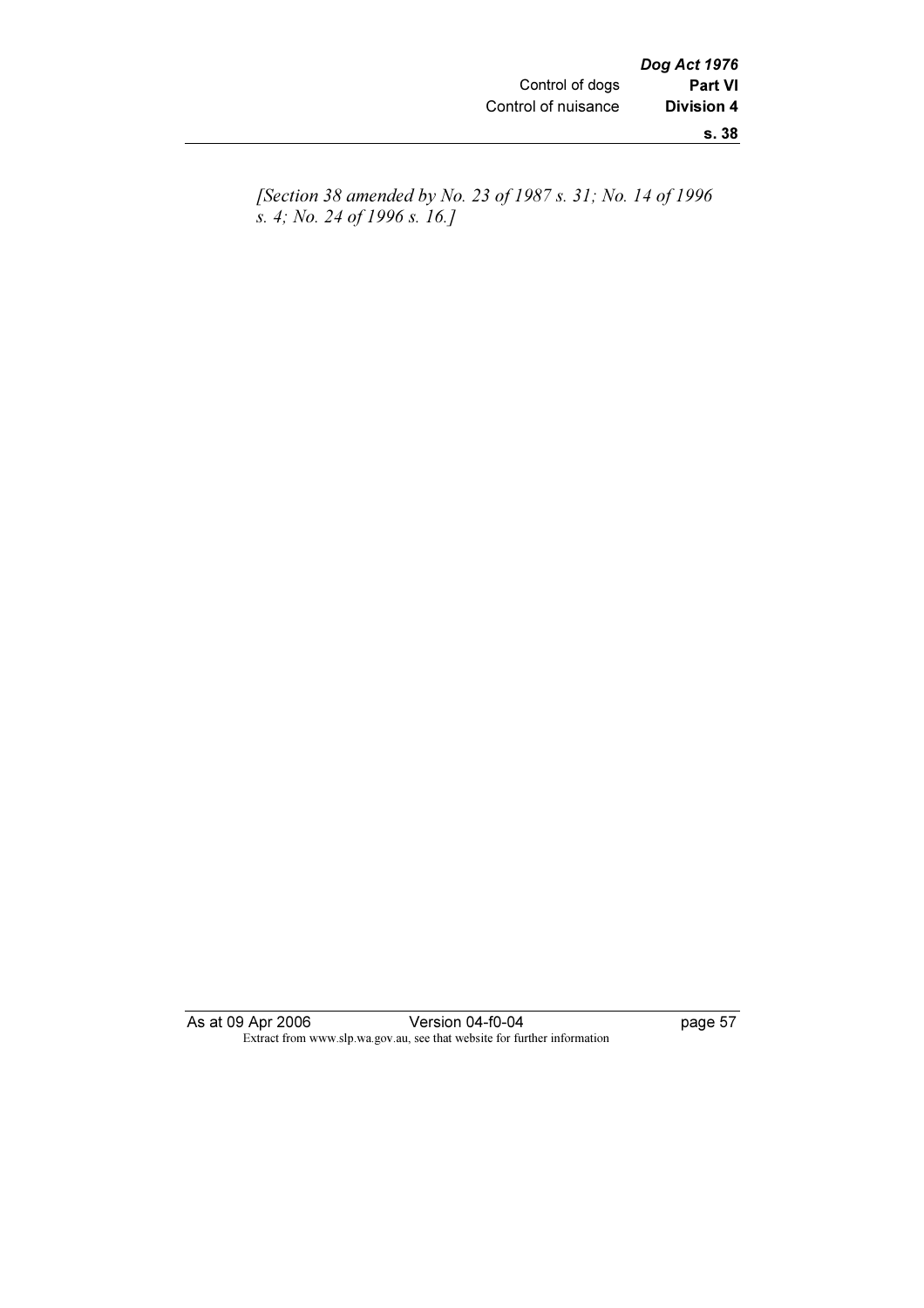[Section 38 amended by No. 23 of 1987 s. 31; No. 14 of 1996 s. 4; No. 24 of 1996 s. 16.]

As at 09 Apr 2006 Version 04-f0-04 page 57 Extract from www.slp.wa.gov.au, see that website for further information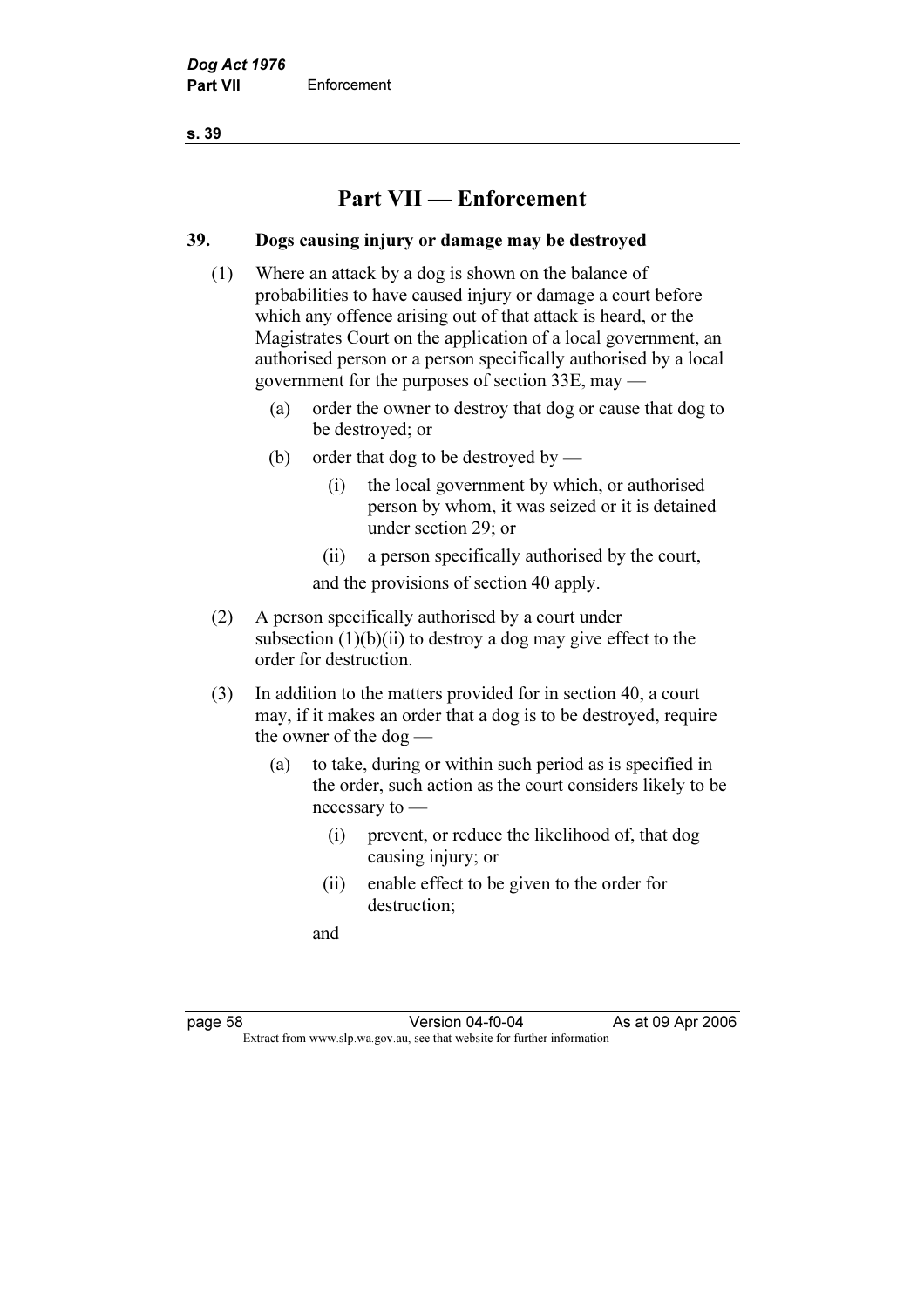# Part VII — Enforcement

#### 39. Dogs causing injury or damage may be destroyed

- (1) Where an attack by a dog is shown on the balance of probabilities to have caused injury or damage a court before which any offence arising out of that attack is heard, or the Magistrates Court on the application of a local government, an authorised person or a person specifically authorised by a local government for the purposes of section 33E, may —
	- (a) order the owner to destroy that dog or cause that dog to be destroyed; or
	- (b) order that dog to be destroyed by
		- (i) the local government by which, or authorised person by whom, it was seized or it is detained under section 29; or
		- (ii) a person specifically authorised by the court,

and the provisions of section 40 apply.

- (2) A person specifically authorised by a court under subsection  $(1)(b)(ii)$  to destroy a dog may give effect to the order for destruction.
- (3) In addition to the matters provided for in section 40, a court may, if it makes an order that a dog is to be destroyed, require the owner of the dog —
	- (a) to take, during or within such period as is specified in the order, such action as the court considers likely to be necessary to —
		- (i) prevent, or reduce the likelihood of, that dog causing injury; or
		- (ii) enable effect to be given to the order for destruction;

and

page 58 Version 04-f0-04<br>Extract from www.slp.wa.gov.au, see that website for further information Extract from www.slp.wa.gov.au, see that website for further information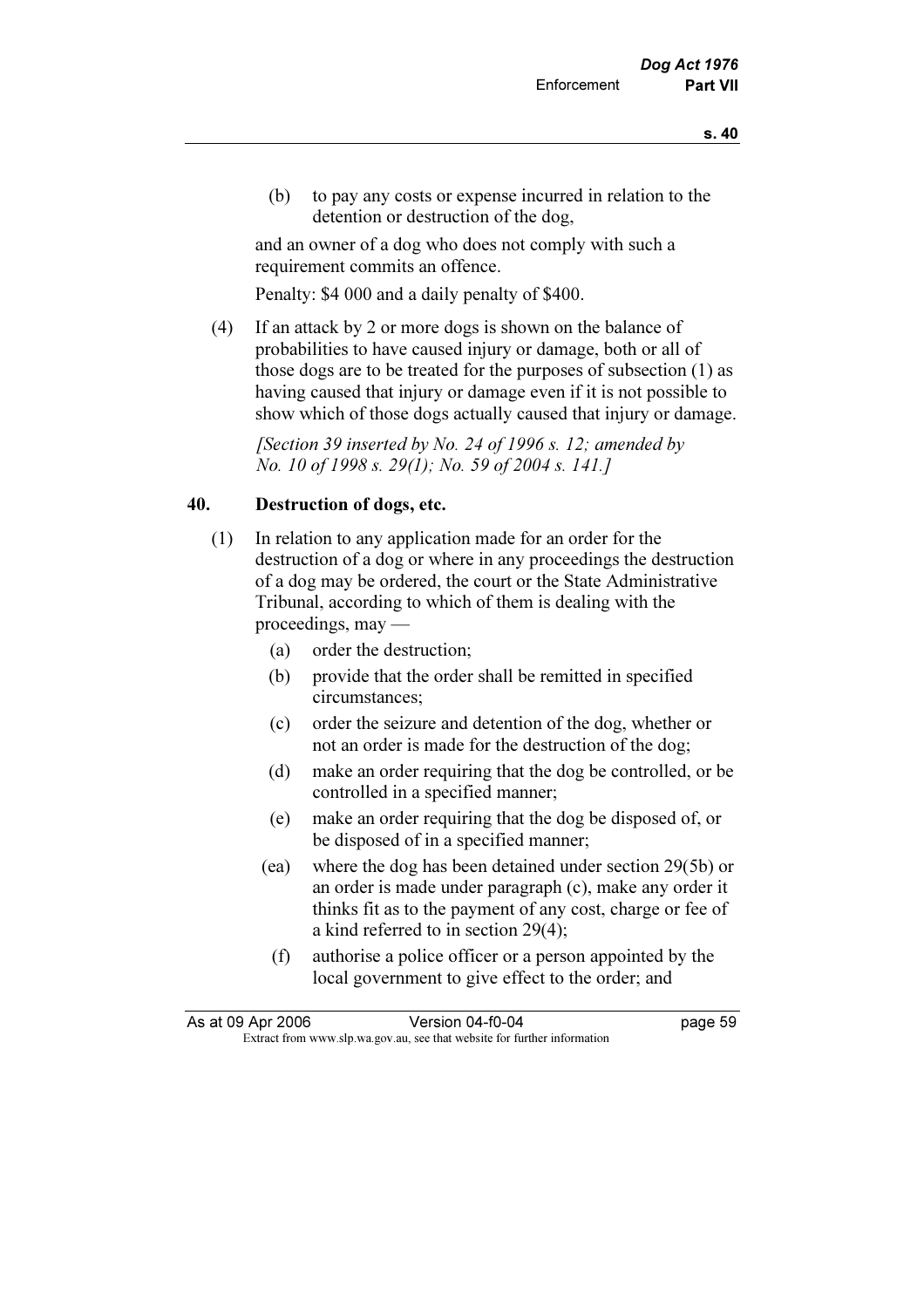(b) to pay any costs or expense incurred in relation to the detention or destruction of the dog,

 and an owner of a dog who does not comply with such a requirement commits an offence.

Penalty: \$4 000 and a daily penalty of \$400.

 (4) If an attack by 2 or more dogs is shown on the balance of probabilities to have caused injury or damage, both or all of those dogs are to be treated for the purposes of subsection (1) as having caused that injury or damage even if it is not possible to show which of those dogs actually caused that injury or damage.

[Section 39 inserted by No. 24 of 1996 s. 12; amended by No. 10 of 1998 s. 29(1); No. 59 of 2004 s. 141.]

#### 40. Destruction of dogs, etc.

- (1) In relation to any application made for an order for the destruction of a dog or where in any proceedings the destruction of a dog may be ordered, the court or the State Administrative Tribunal, according to which of them is dealing with the proceedings, may —
	- (a) order the destruction;
	- (b) provide that the order shall be remitted in specified circumstances;
	- (c) order the seizure and detention of the dog, whether or not an order is made for the destruction of the dog;
	- (d) make an order requiring that the dog be controlled, or be controlled in a specified manner;
	- (e) make an order requiring that the dog be disposed of, or be disposed of in a specified manner;
	- (ea) where the dog has been detained under section 29(5b) or an order is made under paragraph (c), make any order it thinks fit as to the payment of any cost, charge or fee of a kind referred to in section 29(4);
		- (f) authorise a police officer or a person appointed by the local government to give effect to the order; and

| As at 09 Apr 2006 | Version 04-f0-04                                                         | page 59 |
|-------------------|--------------------------------------------------------------------------|---------|
|                   | Extract from www.slp.wa.gov.au, see that website for further information |         |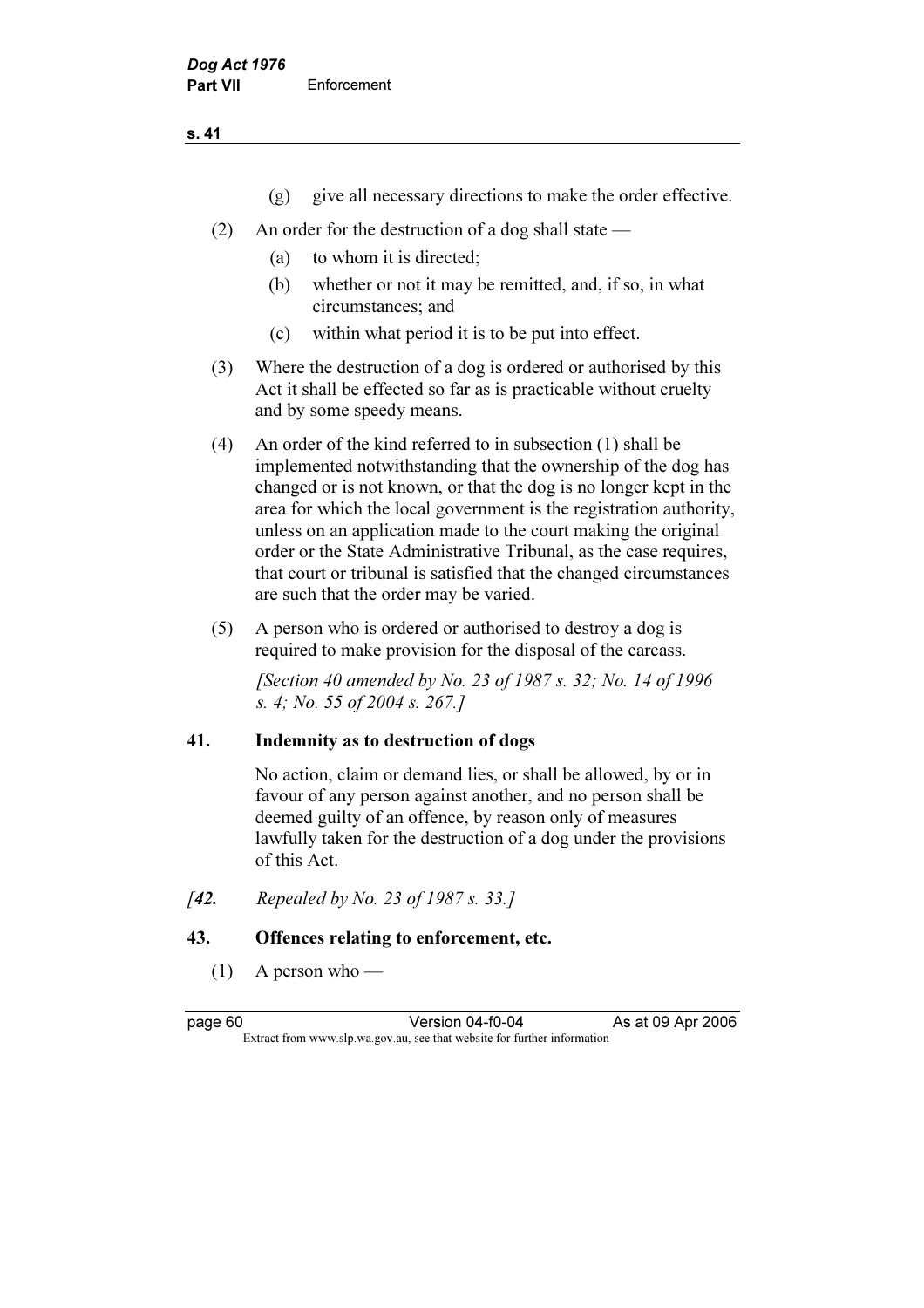- (g) give all necessary directions to make the order effective.
- (2) An order for the destruction of a dog shall state
	- (a) to whom it is directed;
	- (b) whether or not it may be remitted, and, if so, in what circumstances; and
	- (c) within what period it is to be put into effect.
- (3) Where the destruction of a dog is ordered or authorised by this Act it shall be effected so far as is practicable without cruelty and by some speedy means.
- (4) An order of the kind referred to in subsection (1) shall be implemented notwithstanding that the ownership of the dog has changed or is not known, or that the dog is no longer kept in the area for which the local government is the registration authority, unless on an application made to the court making the original order or the State Administrative Tribunal, as the case requires, that court or tribunal is satisfied that the changed circumstances are such that the order may be varied.
- (5) A person who is ordered or authorised to destroy a dog is required to make provision for the disposal of the carcass.

[Section 40 amended by No. 23 of 1987 s. 32; No. 14 of 1996] s. 4; No. 55 of 2004 s. 267.]

# 41. Indemnity as to destruction of dogs

 No action, claim or demand lies, or shall be allowed, by or in favour of any person against another, and no person shall be deemed guilty of an offence, by reason only of measures lawfully taken for the destruction of a dog under the provisions of this Act.

[42. Repealed by No. 23 of 1987 s. 33.]

# 43. Offences relating to enforcement, etc.

Extract from www.slp.wa.gov.au, see that website for further information

 $(1)$  A person who —

page 60 Version 04-f0-04 As at 09 Apr 2006<br>Extract from www.slp.wa.gov.au, see that website for further information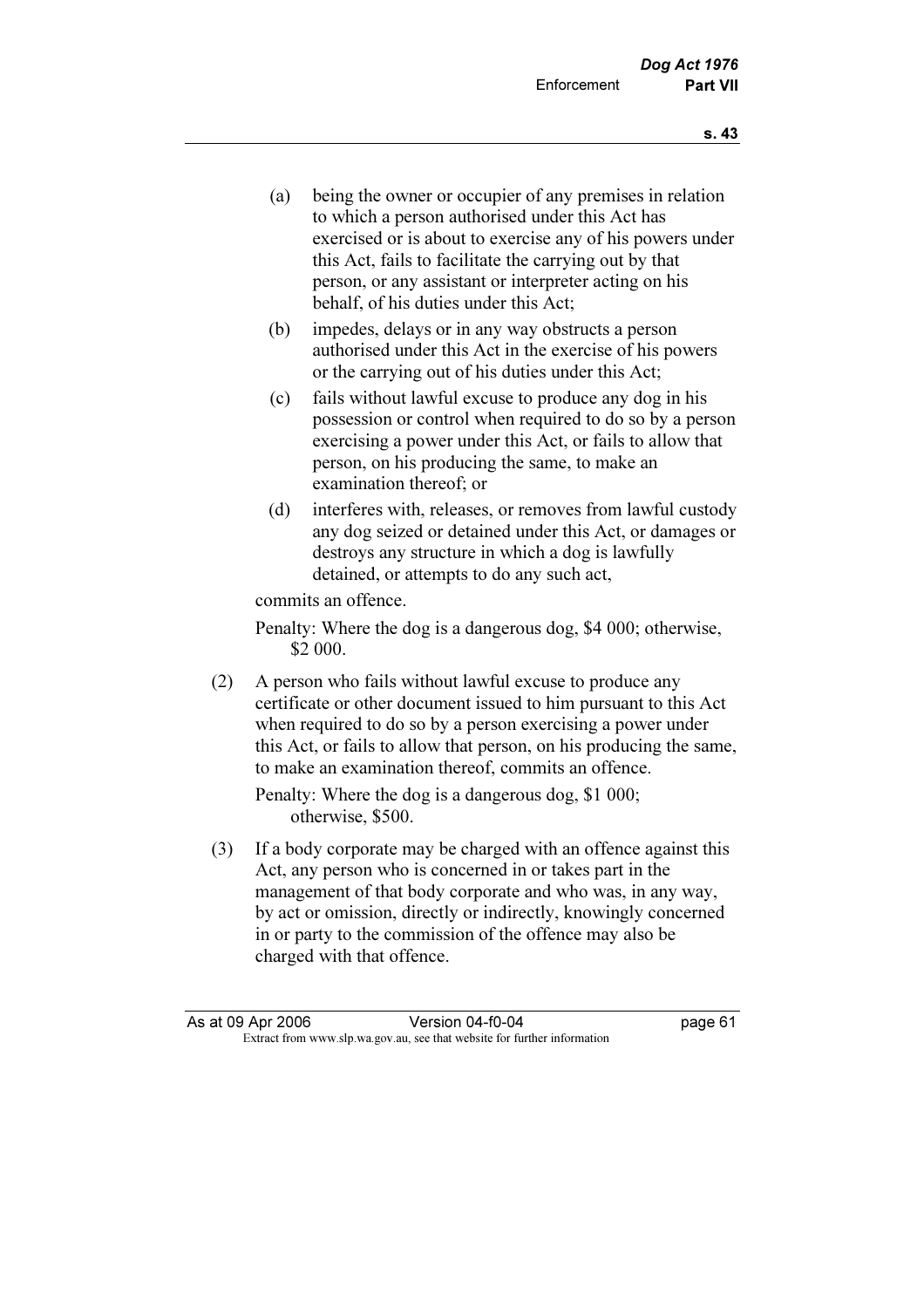- (a) being the owner or occupier of any premises in relation to which a person authorised under this Act has exercised or is about to exercise any of his powers under this Act, fails to facilitate the carrying out by that person, or any assistant or interpreter acting on his behalf, of his duties under this Act;
- (b) impedes, delays or in any way obstructs a person authorised under this Act in the exercise of his powers or the carrying out of his duties under this Act;
- (c) fails without lawful excuse to produce any dog in his possession or control when required to do so by a person exercising a power under this Act, or fails to allow that person, on his producing the same, to make an examination thereof; or
- (d) interferes with, releases, or removes from lawful custody any dog seized or detained under this Act, or damages or destroys any structure in which a dog is lawfully detained, or attempts to do any such act,

commits an offence.

 Penalty: Where the dog is a dangerous dog, \$4 000; otherwise, \$2 000.

 (2) A person who fails without lawful excuse to produce any certificate or other document issued to him pursuant to this Act when required to do so by a person exercising a power under this Act, or fails to allow that person, on his producing the same, to make an examination thereof, commits an offence.

 Penalty: Where the dog is a dangerous dog, \$1 000; otherwise, \$500.

 (3) If a body corporate may be charged with an offence against this Act, any person who is concerned in or takes part in the management of that body corporate and who was, in any way, by act or omission, directly or indirectly, knowingly concerned in or party to the commission of the offence may also be charged with that offence.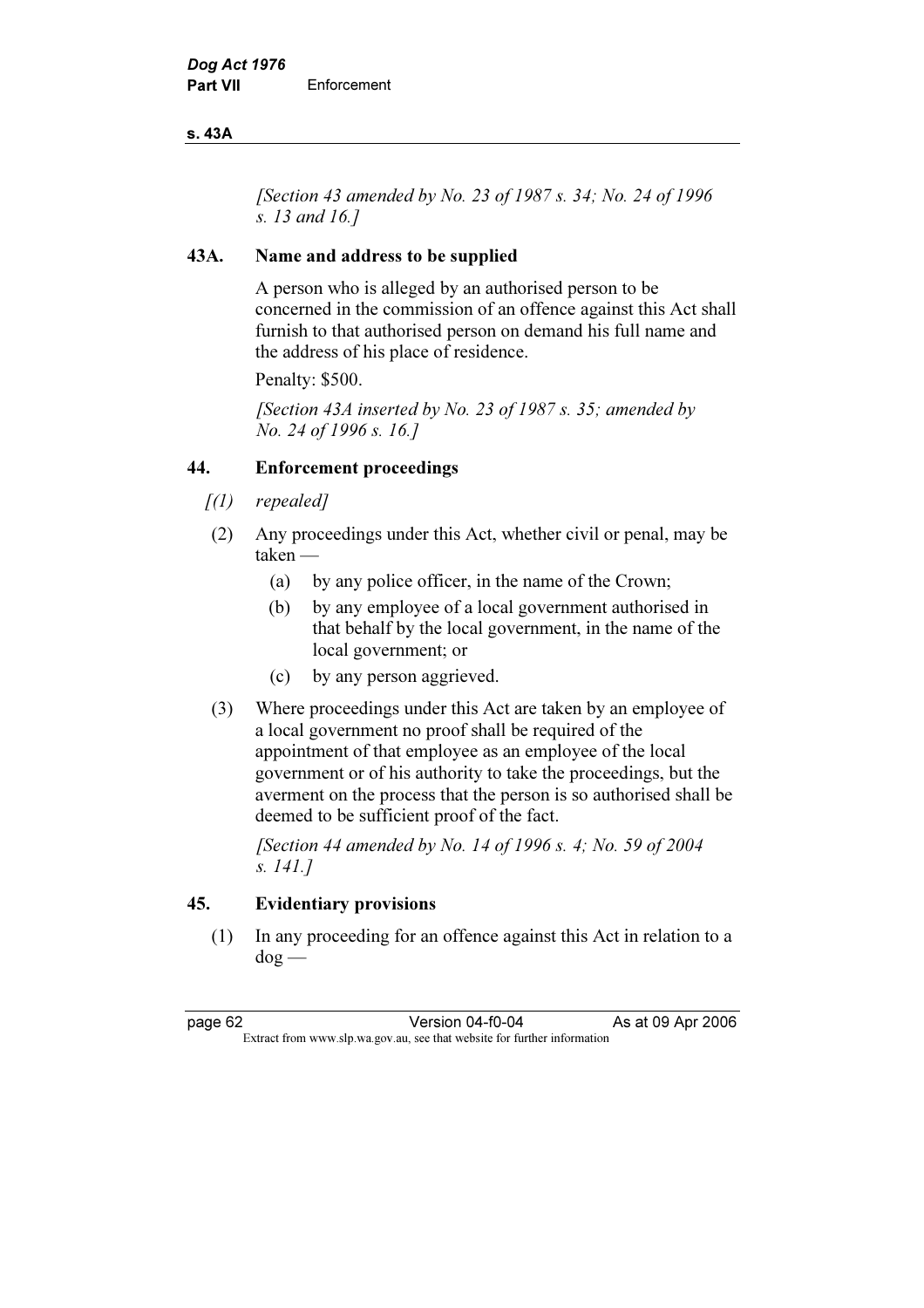#### s. 43A

[Section 43 amended by No. 23 of 1987 s. 34; No. 24 of 1996] s. 13 and 16.]

# 43A. Name and address to be supplied

 A person who is alleged by an authorised person to be concerned in the commission of an offence against this Act shall furnish to that authorised person on demand his full name and the address of his place of residence.

Penalty: \$500.

[Section 43A inserted by No. 23 of 1987 s. 35; amended by No. 24 of 1996 s. 16.]

### 44. Enforcement proceedings

- $[1]$  repealed]
- (2) Any proceedings under this Act, whether civil or penal, may be taken —
	- (a) by any police officer, in the name of the Crown;
	- (b) by any employee of a local government authorised in that behalf by the local government, in the name of the local government; or
	- (c) by any person aggrieved.
- (3) Where proceedings under this Act are taken by an employee of a local government no proof shall be required of the appointment of that employee as an employee of the local government or of his authority to take the proceedings, but the averment on the process that the person is so authorised shall be deemed to be sufficient proof of the fact.

 [Section 44 amended by No. 14 of 1996 s. 4; No. 59 of 2004 s. 141.]

#### 45. Evidentiary provisions

 (1) In any proceeding for an offence against this Act in relation to a dog —

page 62 Version 04-f0-04 As at 09 Apr 2006<br>Extract from www.slp.wa.gov.au, see that website for further information Extract from www.slp.wa.gov.au, see that website for further information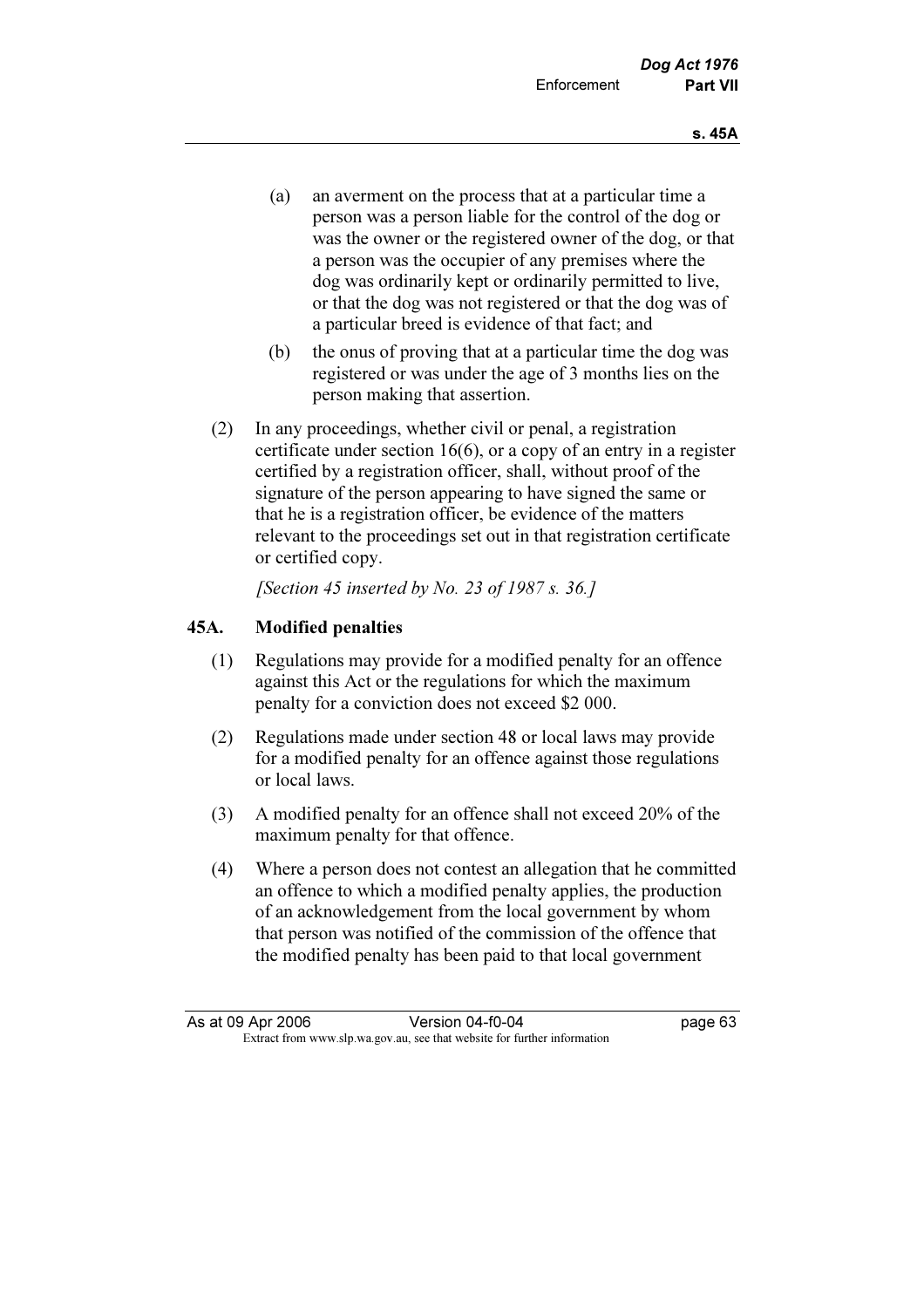- (a) an averment on the process that at a particular time a person was a person liable for the control of the dog or was the owner or the registered owner of the dog, or that a person was the occupier of any premises where the dog was ordinarily kept or ordinarily permitted to live, or that the dog was not registered or that the dog was of a particular breed is evidence of that fact; and
- (b) the onus of proving that at a particular time the dog was registered or was under the age of 3 months lies on the person making that assertion.
- (2) In any proceedings, whether civil or penal, a registration certificate under section 16(6), or a copy of an entry in a register certified by a registration officer, shall, without proof of the signature of the person appearing to have signed the same or that he is a registration officer, be evidence of the matters relevant to the proceedings set out in that registration certificate or certified copy.

[Section 45 inserted by No. 23 of 1987 s. 36.]

### 45A. Modified penalties

- (1) Regulations may provide for a modified penalty for an offence against this Act or the regulations for which the maximum penalty for a conviction does not exceed \$2 000.
- (2) Regulations made under section 48 or local laws may provide for a modified penalty for an offence against those regulations or local laws.
- (3) A modified penalty for an offence shall not exceed 20% of the maximum penalty for that offence.
- (4) Where a person does not contest an allegation that he committed an offence to which a modified penalty applies, the production of an acknowledgement from the local government by whom that person was notified of the commission of the offence that the modified penalty has been paid to that local government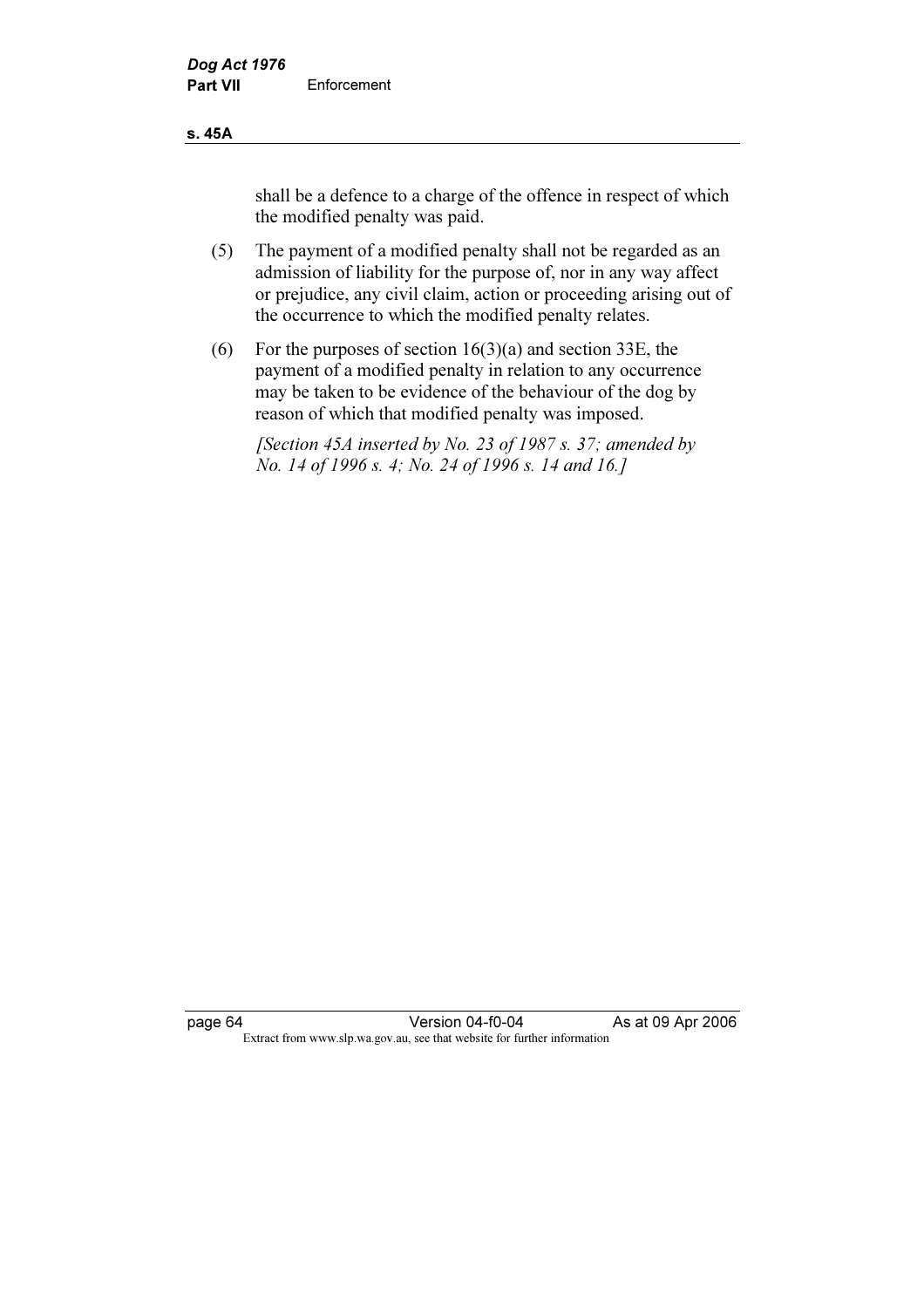#### s. 45A

shall be a defence to a charge of the offence in respect of which the modified penalty was paid.

- (5) The payment of a modified penalty shall not be regarded as an admission of liability for the purpose of, nor in any way affect or prejudice, any civil claim, action or proceeding arising out of the occurrence to which the modified penalty relates.
- (6) For the purposes of section  $16(3)(a)$  and section 33E, the payment of a modified penalty in relation to any occurrence may be taken to be evidence of the behaviour of the dog by reason of which that modified penalty was imposed.

 [Section 45A inserted by No. 23 of 1987 s. 37; amended by No. 14 of 1996 s. 4; No. 24 of 1996 s. 14 and 16.]

page 64 Version 04-f0-04 As at 09 Apr 2006 Extract from www.slp.wa.gov.au, see that website for further information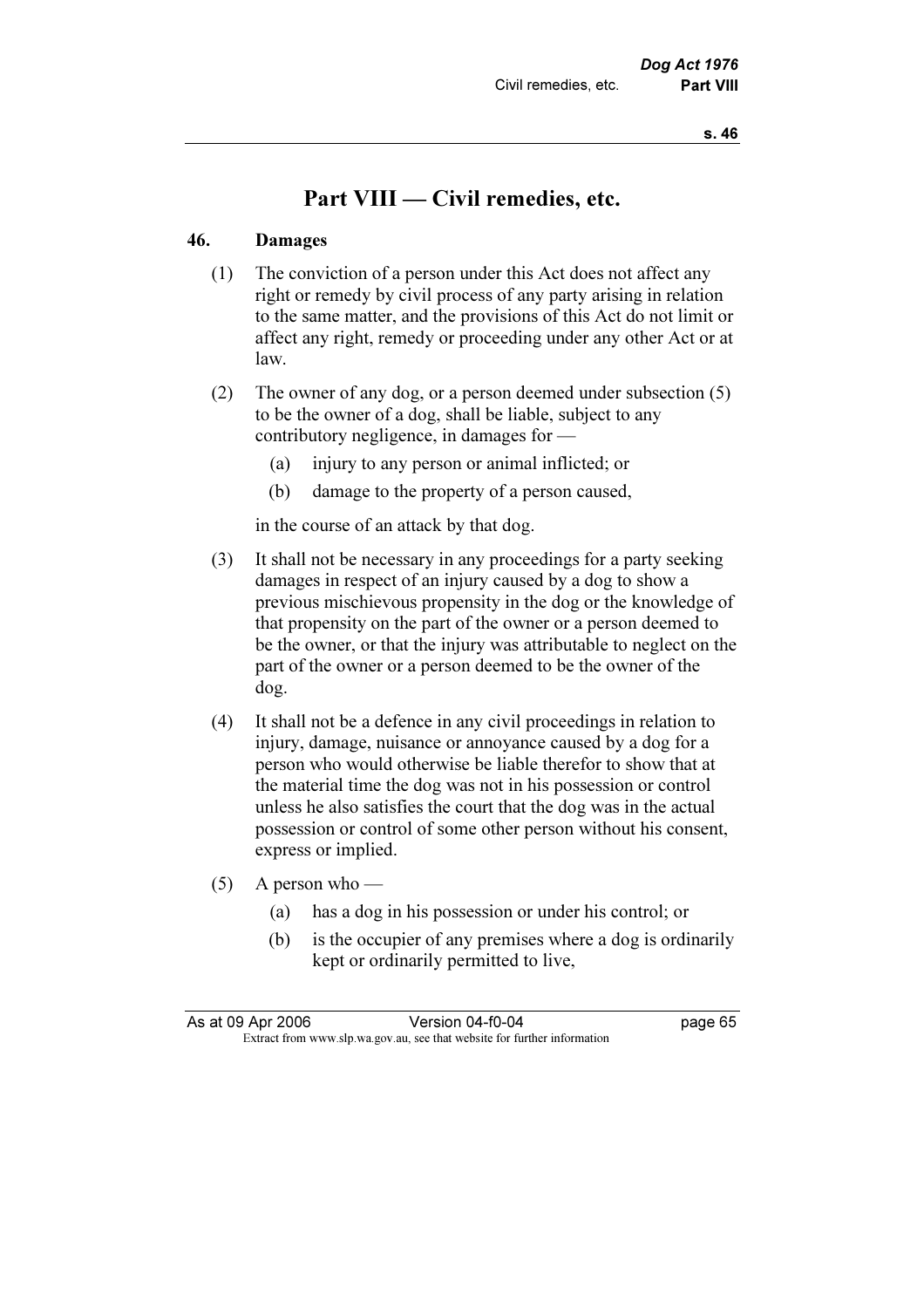# Part VIII — Civil remedies, etc.

#### 46. Damages

- (1) The conviction of a person under this Act does not affect any right or remedy by civil process of any party arising in relation to the same matter, and the provisions of this Act do not limit or affect any right, remedy or proceeding under any other Act or at law.
- (2) The owner of any dog, or a person deemed under subsection (5) to be the owner of a dog, shall be liable, subject to any contributory negligence, in damages for —
	- (a) injury to any person or animal inflicted; or
	- (b) damage to the property of a person caused,

in the course of an attack by that dog.

- (3) It shall not be necessary in any proceedings for a party seeking damages in respect of an injury caused by a dog to show a previous mischievous propensity in the dog or the knowledge of that propensity on the part of the owner or a person deemed to be the owner, or that the injury was attributable to neglect on the part of the owner or a person deemed to be the owner of the dog.
- (4) It shall not be a defence in any civil proceedings in relation to injury, damage, nuisance or annoyance caused by a dog for a person who would otherwise be liable therefor to show that at the material time the dog was not in his possession or control unless he also satisfies the court that the dog was in the actual possession or control of some other person without his consent, express or implied.
- $(5)$  A person who
	- (a) has a dog in his possession or under his control; or
	- (b) is the occupier of any premises where a dog is ordinarily kept or ordinarily permitted to live,

| As at 09 Apr 2006 | Version 04-f0-04                                                         | page 65 |
|-------------------|--------------------------------------------------------------------------|---------|
|                   | Extract from www.slp.wa.gov.au, see that website for further information |         |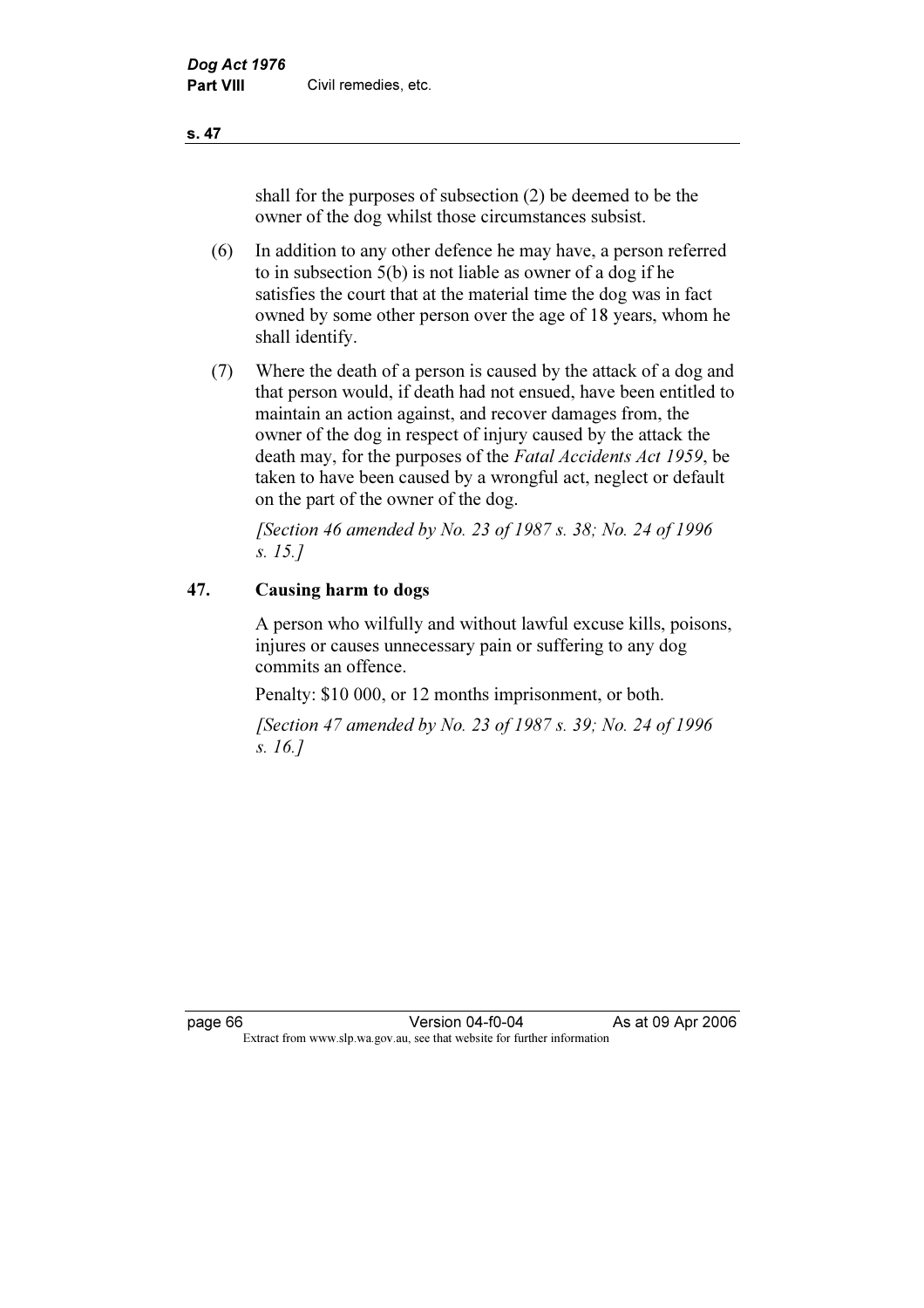shall for the purposes of subsection (2) be deemed to be the owner of the dog whilst those circumstances subsist.

- (6) In addition to any other defence he may have, a person referred to in subsection 5(b) is not liable as owner of a dog if he satisfies the court that at the material time the dog was in fact owned by some other person over the age of 18 years, whom he shall identify.
- (7) Where the death of a person is caused by the attack of a dog and that person would, if death had not ensued, have been entitled to maintain an action against, and recover damages from, the owner of the dog in respect of injury caused by the attack the death may, for the purposes of the Fatal Accidents Act 1959, be taken to have been caused by a wrongful act, neglect or default on the part of the owner of the dog.

[Section 46 amended by No. 23 of 1987 s. 38; No. 24 of 1996] s. 15.]

# 47. Causing harm to dogs

 A person who wilfully and without lawful excuse kills, poisons, injures or causes unnecessary pain or suffering to any dog commits an offence.

Penalty: \$10 000, or 12 months imprisonment, or both.

 [Section 47 amended by No. 23 of 1987 s. 39; No. 24 of 1996 s. 16.]

page 66 Version 04-f0-04 As at 09 Apr 2006<br>Extract from www.slp.wa.gov.au, see that website for further information Extract from www.slp.wa.gov.au, see that website for further information

s. 47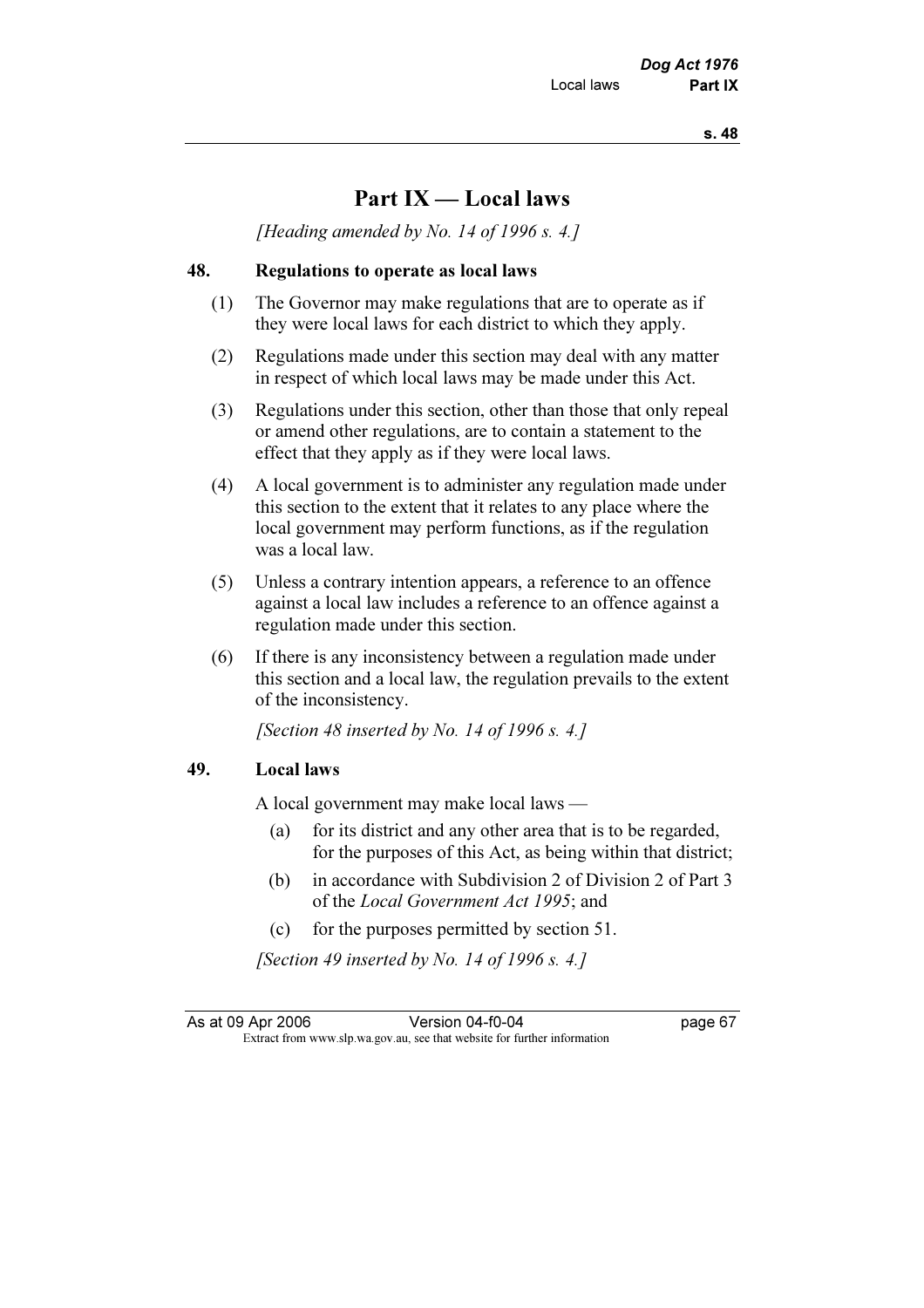# Part IX — Local laws

[Heading amended by No. 14 of 1996 s. 4.]

## 48. Regulations to operate as local laws

- (1) The Governor may make regulations that are to operate as if they were local laws for each district to which they apply.
- (2) Regulations made under this section may deal with any matter in respect of which local laws may be made under this Act.
- (3) Regulations under this section, other than those that only repeal or amend other regulations, are to contain a statement to the effect that they apply as if they were local laws.
- (4) A local government is to administer any regulation made under this section to the extent that it relates to any place where the local government may perform functions, as if the regulation was a local law.
- (5) Unless a contrary intention appears, a reference to an offence against a local law includes a reference to an offence against a regulation made under this section.
- (6) If there is any inconsistency between a regulation made under this section and a local law, the regulation prevails to the extent of the inconsistency.

[Section 48 inserted by No. 14 of 1996 s. 4.]

### 49. Local laws

A local government may make local laws —

- (a) for its district and any other area that is to be regarded, for the purposes of this Act, as being within that district;
- (b) in accordance with Subdivision 2 of Division 2 of Part 3 of the Local Government Act 1995; and
- (c) for the purposes permitted by section 51.

[Section 49 inserted by No. 14 of 1996 s. 4.]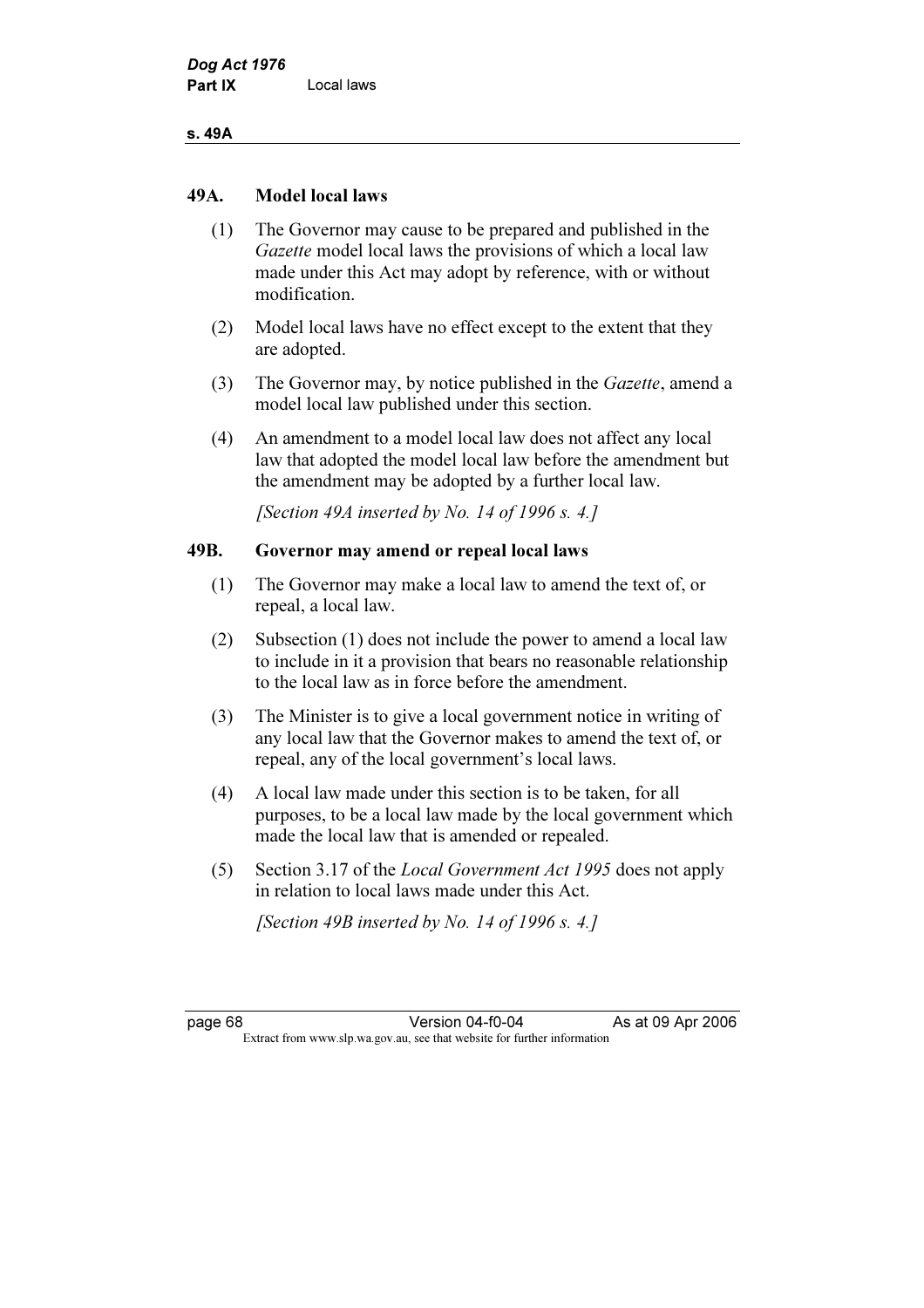### s. 49A

# 49A. Model local laws

- (1) The Governor may cause to be prepared and published in the Gazette model local laws the provisions of which a local law made under this Act may adopt by reference, with or without modification.
- (2) Model local laws have no effect except to the extent that they are adopted.
- (3) The Governor may, by notice published in the Gazette, amend a model local law published under this section.
- (4) An amendment to a model local law does not affect any local law that adopted the model local law before the amendment but the amendment may be adopted by a further local law.

[Section 49A inserted by No. 14 of 1996 s. 4.]

# 49B. Governor may amend or repeal local laws

- (1) The Governor may make a local law to amend the text of, or repeal, a local law.
- (2) Subsection (1) does not include the power to amend a local law to include in it a provision that bears no reasonable relationship to the local law as in force before the amendment.
- (3) The Minister is to give a local government notice in writing of any local law that the Governor makes to amend the text of, or repeal, any of the local government's local laws.
- (4) A local law made under this section is to be taken, for all purposes, to be a local law made by the local government which made the local law that is amended or repealed.
- (5) Section 3.17 of the Local Government Act 1995 does not apply in relation to local laws made under this Act.

[Section 49B inserted by No. 14 of 1996 s. 4.]

page 68 Version 04-f0-04 As at 09 Apr 2006<br>Extract from www.slp.wa.gov.au, see that website for further information Extract from www.slp.wa.gov.au, see that website for further information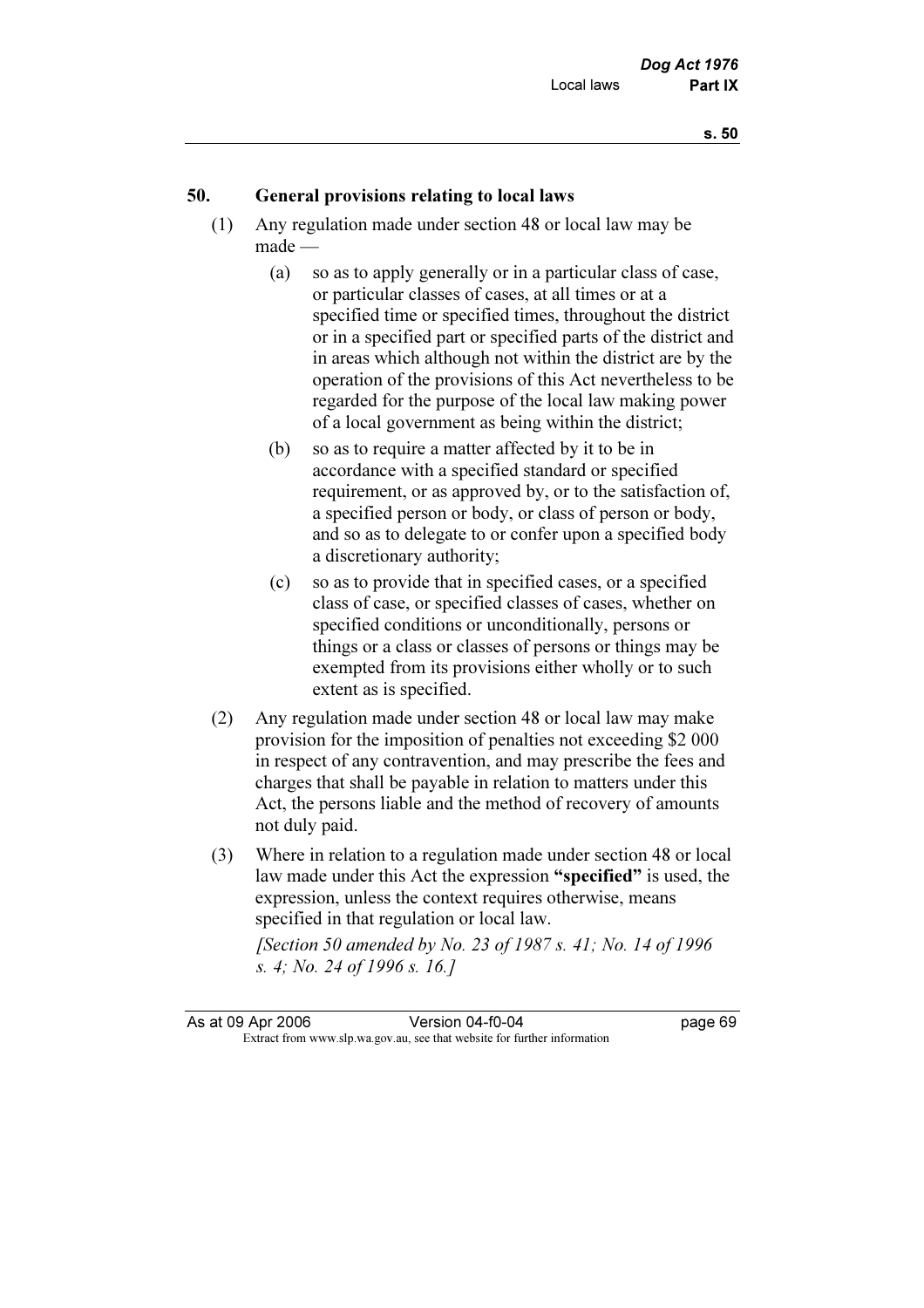# 50. General provisions relating to local laws

- (1) Any regulation made under section 48 or local law may be made —
	- (a) so as to apply generally or in a particular class of case, or particular classes of cases, at all times or at a specified time or specified times, throughout the district or in a specified part or specified parts of the district and in areas which although not within the district are by the operation of the provisions of this Act nevertheless to be regarded for the purpose of the local law making power of a local government as being within the district;
	- (b) so as to require a matter affected by it to be in accordance with a specified standard or specified requirement, or as approved by, or to the satisfaction of, a specified person or body, or class of person or body, and so as to delegate to or confer upon a specified body a discretionary authority;
	- (c) so as to provide that in specified cases, or a specified class of case, or specified classes of cases, whether on specified conditions or unconditionally, persons or things or a class or classes of persons or things may be exempted from its provisions either wholly or to such extent as is specified.
- (2) Any regulation made under section 48 or local law may make provision for the imposition of penalties not exceeding \$2 000 in respect of any contravention, and may prescribe the fees and charges that shall be payable in relation to matters under this Act, the persons liable and the method of recovery of amounts not duly paid.
- (3) Where in relation to a regulation made under section 48 or local law made under this Act the expression "specified" is used, the expression, unless the context requires otherwise, means specified in that regulation or local law.

[Section 50 amended by No. 23 of 1987 s. 41; No. 14 of 1996] s. 4; No. 24 of 1996 s. 16.]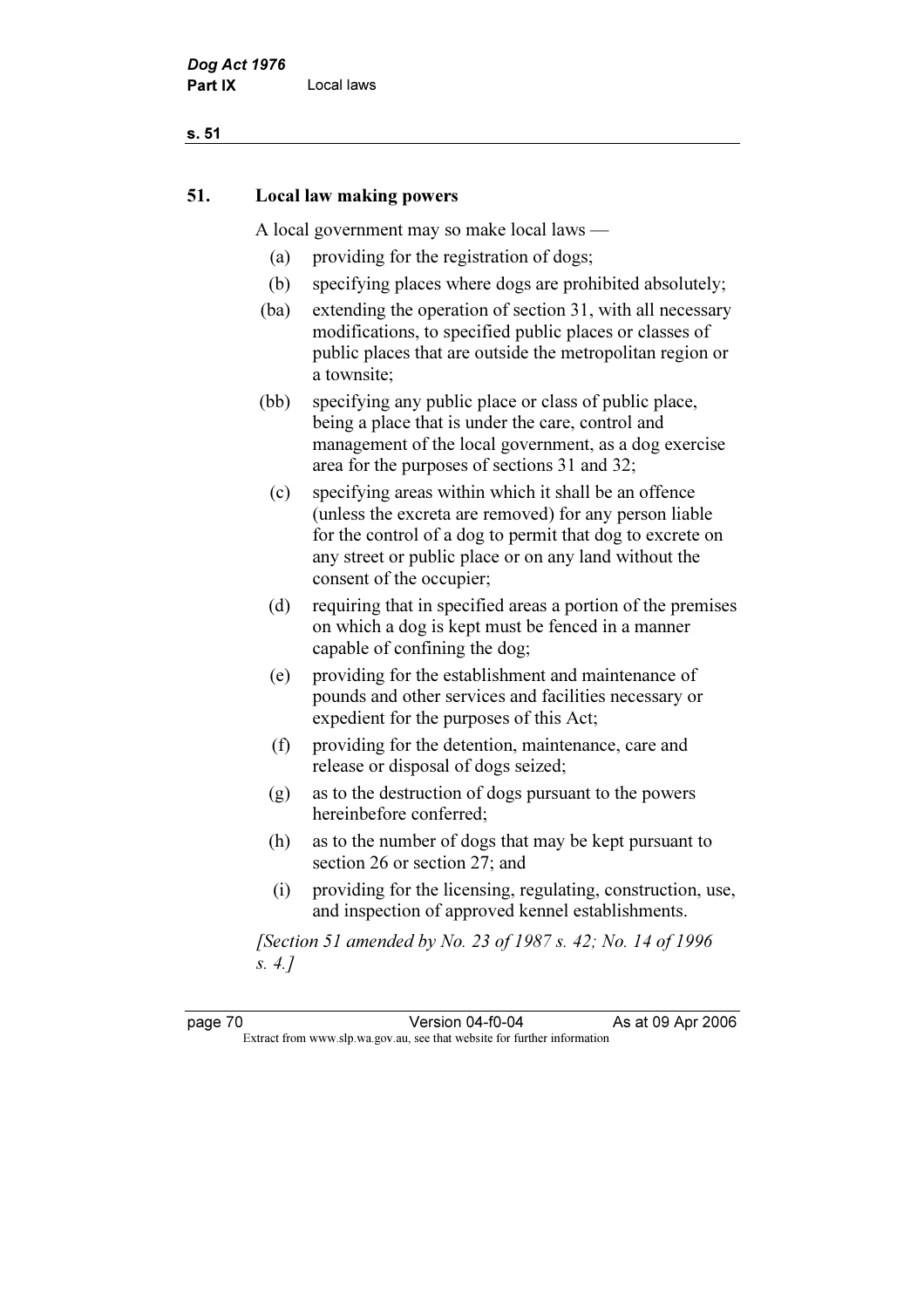# s. 51

# 51. Local law making powers

A local government may so make local laws —

- (a) providing for the registration of dogs;
- (b) specifying places where dogs are prohibited absolutely;
- (ba) extending the operation of section 31, with all necessary modifications, to specified public places or classes of public places that are outside the metropolitan region or a townsite;
- (bb) specifying any public place or class of public place, being a place that is under the care, control and management of the local government, as a dog exercise area for the purposes of sections 31 and 32;
	- (c) specifying areas within which it shall be an offence (unless the excreta are removed) for any person liable for the control of a dog to permit that dog to excrete on any street or public place or on any land without the consent of the occupier;
	- (d) requiring that in specified areas a portion of the premises on which a dog is kept must be fenced in a manner capable of confining the dog;
	- (e) providing for the establishment and maintenance of pounds and other services and facilities necessary or expedient for the purposes of this Act;
	- (f) providing for the detention, maintenance, care and release or disposal of dogs seized;
	- (g) as to the destruction of dogs pursuant to the powers hereinbefore conferred;
	- (h) as to the number of dogs that may be kept pursuant to section 26 or section 27; and
	- (i) providing for the licensing, regulating, construction, use, and inspection of approved kennel establishments.

 [Section 51 amended by No. 23 of 1987 s. 42; No. 14 of 1996 s. 4.]

page 70 Version 04-f0-04 As at 09 Apr 2006<br>Extract from www.slp.wa.gov.au, see that website for further information Extract from www.slp.wa.gov.au, see that website for further information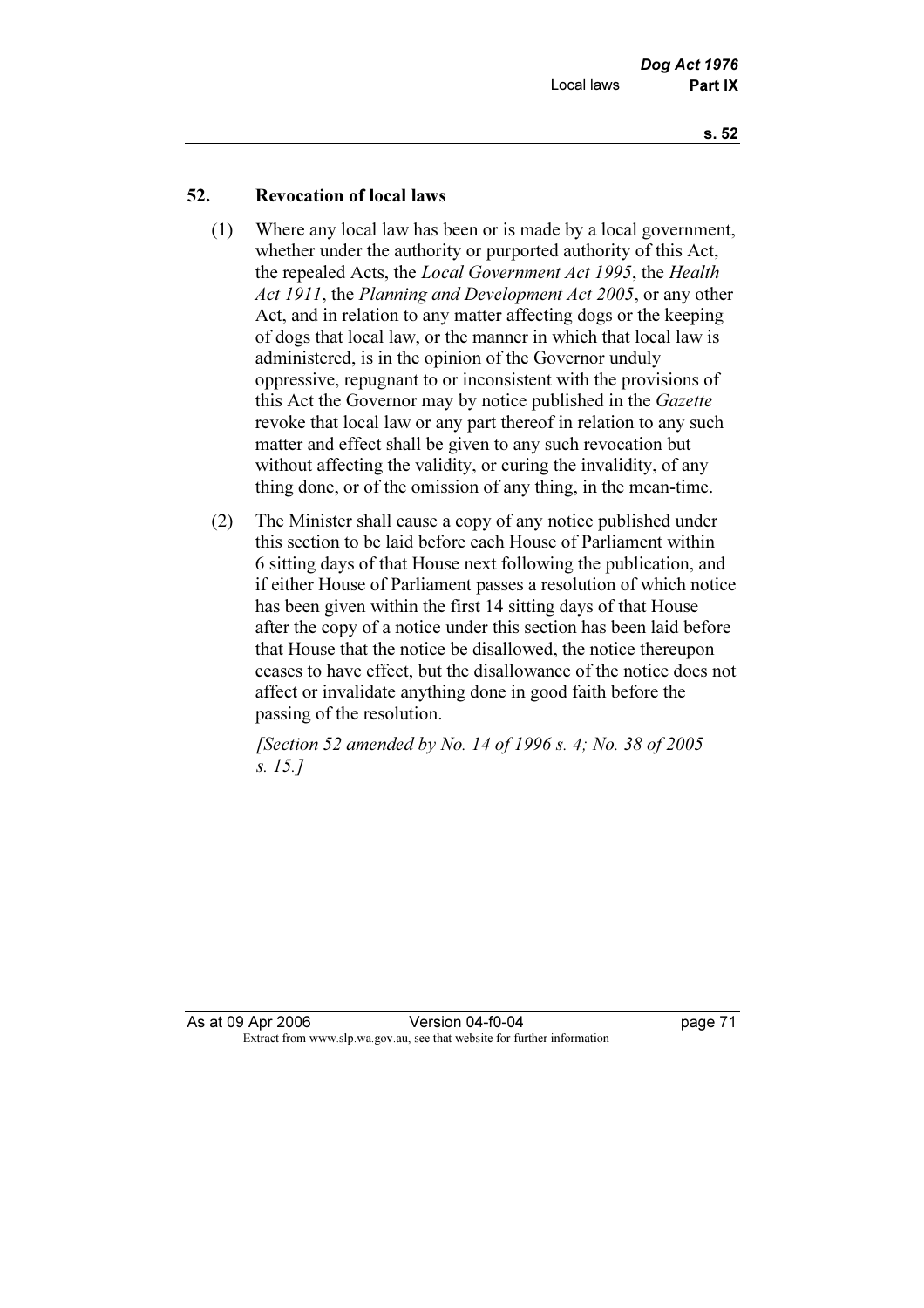# 52. Revocation of local laws

- (1) Where any local law has been or is made by a local government, whether under the authority or purported authority of this Act, the repealed Acts, the Local Government Act 1995, the Health Act 1911, the Planning and Development Act 2005, or any other Act, and in relation to any matter affecting dogs or the keeping of dogs that local law, or the manner in which that local law is administered, is in the opinion of the Governor unduly oppressive, repugnant to or inconsistent with the provisions of this Act the Governor may by notice published in the Gazette revoke that local law or any part thereof in relation to any such matter and effect shall be given to any such revocation but without affecting the validity, or curing the invalidity, of any thing done, or of the omission of any thing, in the mean-time.
- (2) The Minister shall cause a copy of any notice published under this section to be laid before each House of Parliament within 6 sitting days of that House next following the publication, and if either House of Parliament passes a resolution of which notice has been given within the first 14 sitting days of that House after the copy of a notice under this section has been laid before that House that the notice be disallowed, the notice thereupon ceases to have effect, but the disallowance of the notice does not affect or invalidate anything done in good faith before the passing of the resolution.

 [Section 52 amended by No. 14 of 1996 s. 4; No. 38 of 2005 s. 15.]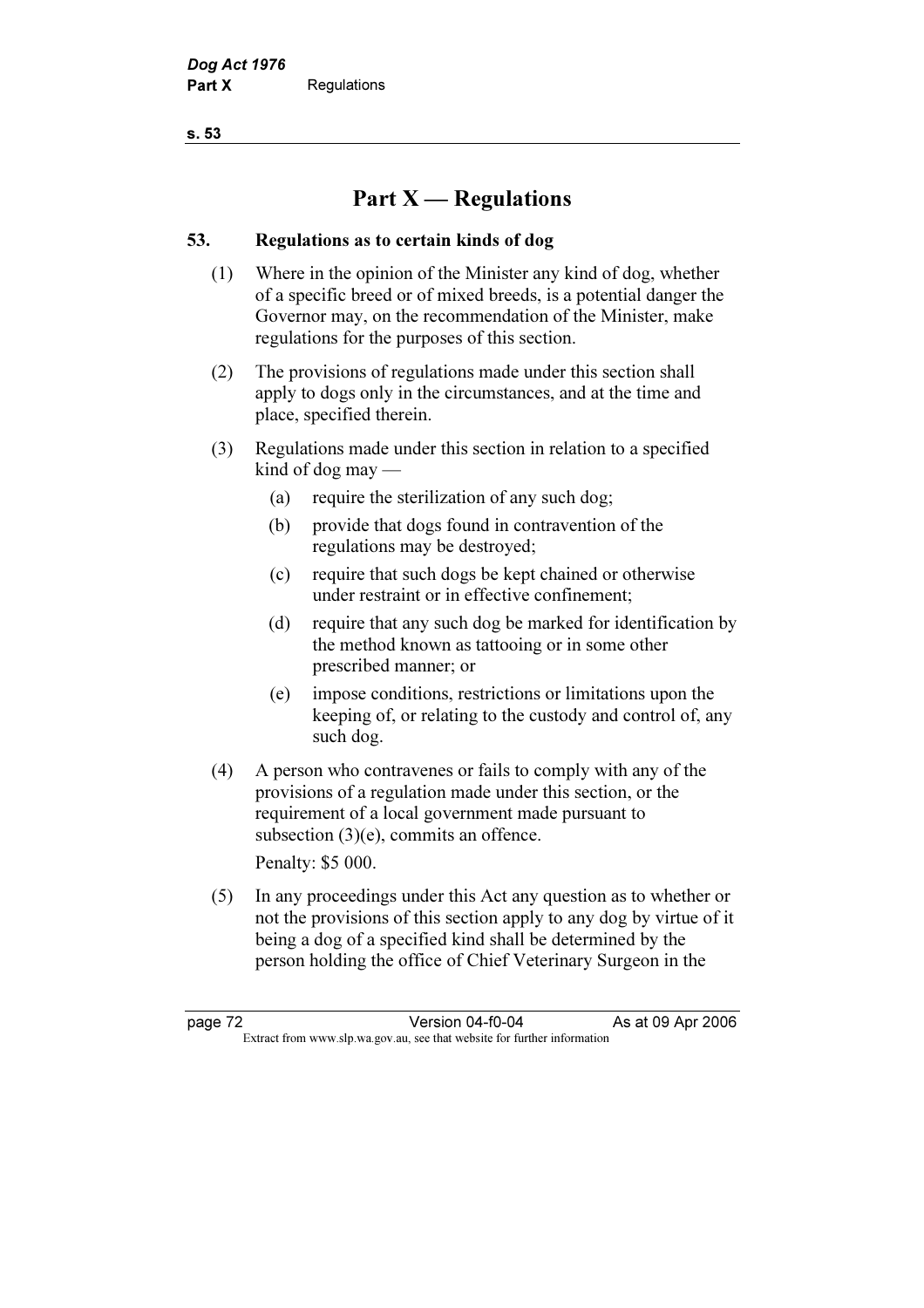s. 53

# Part  $X$  — Regulations

# 53. Regulations as to certain kinds of dog

- (1) Where in the opinion of the Minister any kind of dog, whether of a specific breed or of mixed breeds, is a potential danger the Governor may, on the recommendation of the Minister, make regulations for the purposes of this section.
- (2) The provisions of regulations made under this section shall apply to dogs only in the circumstances, and at the time and place, specified therein.
- (3) Regulations made under this section in relation to a specified kind of dog may —
	- (a) require the sterilization of any such dog;
	- (b) provide that dogs found in contravention of the regulations may be destroyed;
	- (c) require that such dogs be kept chained or otherwise under restraint or in effective confinement;
	- (d) require that any such dog be marked for identification by the method known as tattooing or in some other prescribed manner; or
	- (e) impose conditions, restrictions or limitations upon the keeping of, or relating to the custody and control of, any such dog.
- (4) A person who contravenes or fails to comply with any of the provisions of a regulation made under this section, or the requirement of a local government made pursuant to subsection (3)(e), commits an offence.

Penalty: \$5 000.

 (5) In any proceedings under this Act any question as to whether or not the provisions of this section apply to any dog by virtue of it being a dog of a specified kind shall be determined by the person holding the office of Chief Veterinary Surgeon in the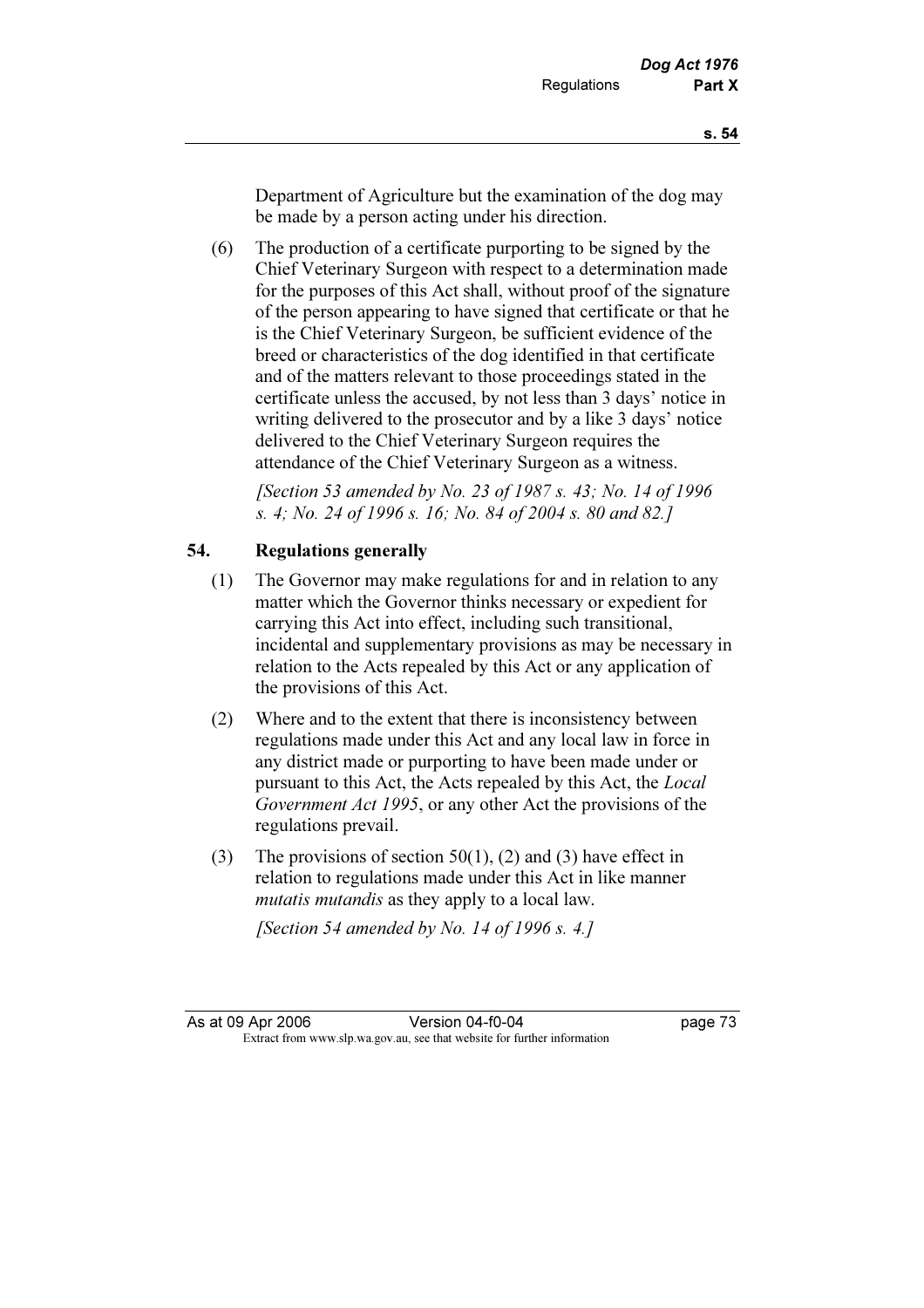Department of Agriculture but the examination of the dog may be made by a person acting under his direction.

 (6) The production of a certificate purporting to be signed by the Chief Veterinary Surgeon with respect to a determination made for the purposes of this Act shall, without proof of the signature of the person appearing to have signed that certificate or that he is the Chief Veterinary Surgeon, be sufficient evidence of the breed or characteristics of the dog identified in that certificate and of the matters relevant to those proceedings stated in the certificate unless the accused, by not less than 3 days' notice in writing delivered to the prosecutor and by a like 3 days' notice delivered to the Chief Veterinary Surgeon requires the attendance of the Chief Veterinary Surgeon as a witness.

 [Section 53 amended by No. 23 of 1987 s. 43; No. 14 of 1996 s. 4; No. 24 of 1996 s. 16; No. 84 of 2004 s. 80 and 82.]

# 54. Regulations generally

- (1) The Governor may make regulations for and in relation to any matter which the Governor thinks necessary or expedient for carrying this Act into effect, including such transitional, incidental and supplementary provisions as may be necessary in relation to the Acts repealed by this Act or any application of the provisions of this Act.
- (2) Where and to the extent that there is inconsistency between regulations made under this Act and any local law in force in any district made or purporting to have been made under or pursuant to this Act, the Acts repealed by this Act, the Local Government Act 1995, or any other Act the provisions of the regulations prevail.
- (3) The provisions of section 50(1), (2) and (3) have effect in relation to regulations made under this Act in like manner mutatis mutandis as they apply to a local law.

[Section 54 amended by No. 14 of 1996 s. 4.]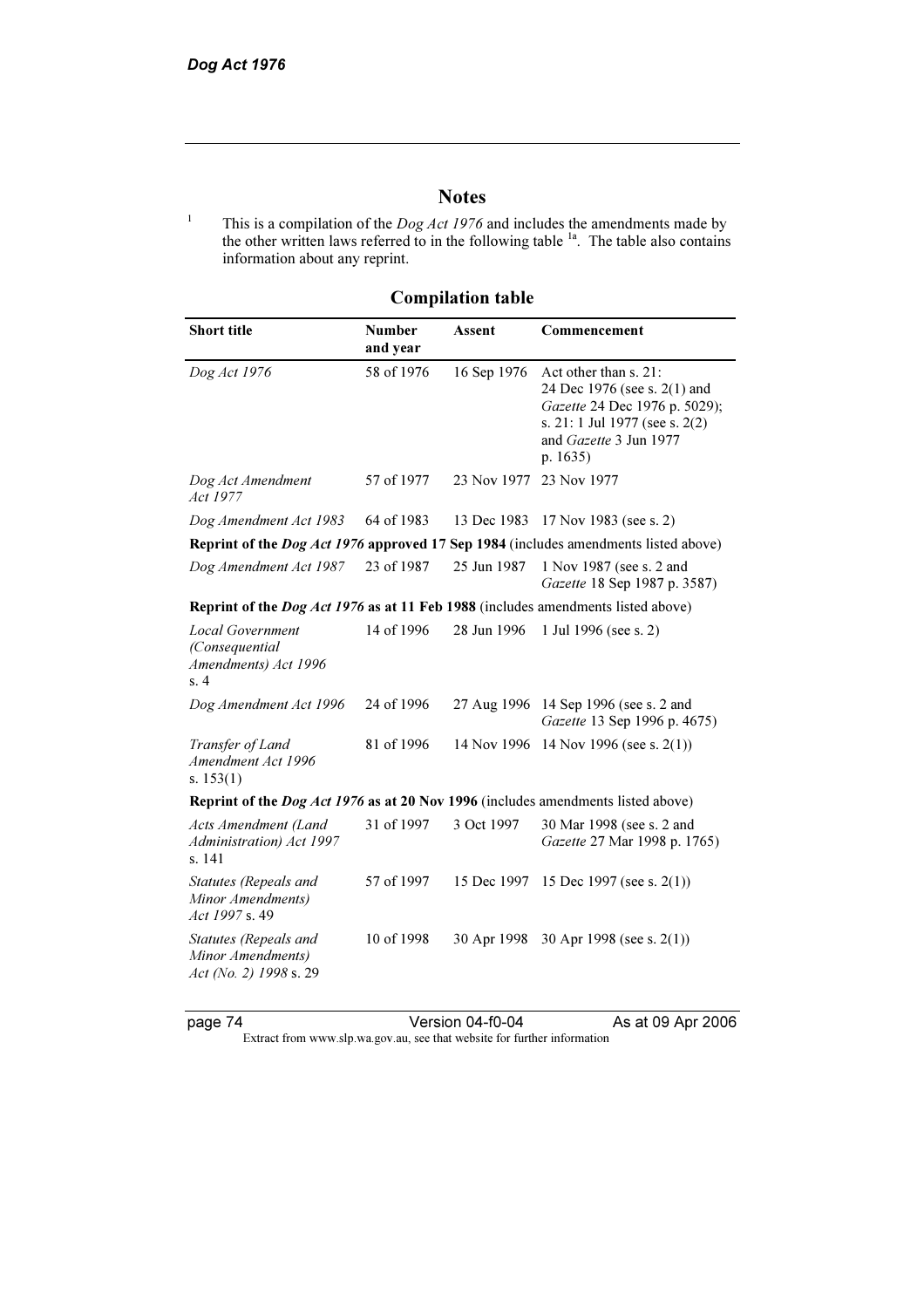# **Notes**

<sup>1</sup> This is a compilation of the *Dog Act 1976* and includes the amendments made by the other written laws referred to in the following table  $1a$ . The table also contains information about any reprint.

| <b>Short title</b>                                                                      | <b>Number</b><br>and year | Assent      | Commencement                                                                                                                                                   |  |
|-----------------------------------------------------------------------------------------|---------------------------|-------------|----------------------------------------------------------------------------------------------------------------------------------------------------------------|--|
| Dog Act 1976                                                                            | 58 of 1976                | 16 Sep 1976 | Act other than s. 21:<br>24 Dec 1976 (see s. 2(1) and<br>Gazette 24 Dec 1976 p. 5029);<br>s. 21: 1 Jul 1977 (see s. 2(2)<br>and Gazette 3 Jun 1977<br>p. 1635) |  |
| Dog Act Amendment<br><i>Act 1977</i>                                                    | 57 of 1977                | 23 Nov 1977 | 23 Nov 1977                                                                                                                                                    |  |
| Dog Amendment Act 1983                                                                  | 64 of 1983                | 13 Dec 1983 | 17 Nov 1983 (see s. 2)                                                                                                                                         |  |
|                                                                                         |                           |             | Reprint of the <i>Dog Act 1976</i> approved 17 Sep 1984 (includes amendments listed above)                                                                     |  |
| Dog Amendment Act 1987                                                                  | 23 of 1987                | 25 Jun 1987 | 1 Nov 1987 (see s. 2 and<br>Gazette 18 Sep 1987 p. 3587)                                                                                                       |  |
| Reprint of the <i>Dog Act 1976</i> as at 11 Feb 1988 (includes amendments listed above) |                           |             |                                                                                                                                                                |  |
| Local Government<br>(Consequential<br>Amendments) Act 1996<br>s. 4                      | 14 of 1996                | 28 Jun 1996 | 1 Jul 1996 (see s. 2)                                                                                                                                          |  |
| Dog Amendment Act 1996                                                                  | 24 of 1996                | 27 Aug 1996 | 14 Sep 1996 (see s. 2 and<br>Gazette 13 Sep 1996 p. 4675)                                                                                                      |  |
| Transfer of Land<br>Amendment Act 1996<br>s. $153(1)$                                   | 81 of 1996                |             | 14 Nov 1996 14 Nov 1996 (see s. 2(1))                                                                                                                          |  |
| <b>Reprint of the Dog Act 1976 as at 20 Nov 1996</b> (includes amendments listed above) |                           |             |                                                                                                                                                                |  |
| Acts Amendment (Land<br>Administration) Act 1997<br>s. 141                              | 31 of 1997                | 3 Oct 1997  | 30 Mar 1998 (see s. 2 and<br>Gazette 27 Mar 1998 p. 1765)                                                                                                      |  |
| Statutes (Repeals and<br>Minor Amendments)<br>Act 1997 s. 49                            | 57 of 1997                | 15 Dec 1997 | 15 Dec 1997 (see s. $2(1)$ )                                                                                                                                   |  |
| Statutes (Repeals and<br>Minor Amendments)<br>Act (No. 2) 1998 s. 29                    | 10 of 1998                | 30 Apr 1998 | 30 Apr 1998 (see s. $2(1)$ )                                                                                                                                   |  |

# Compilation table

page 74 Version 04-f0-04 As at 09 Apr 2006 Extract from www.slp.wa.gov.au, see that website for further information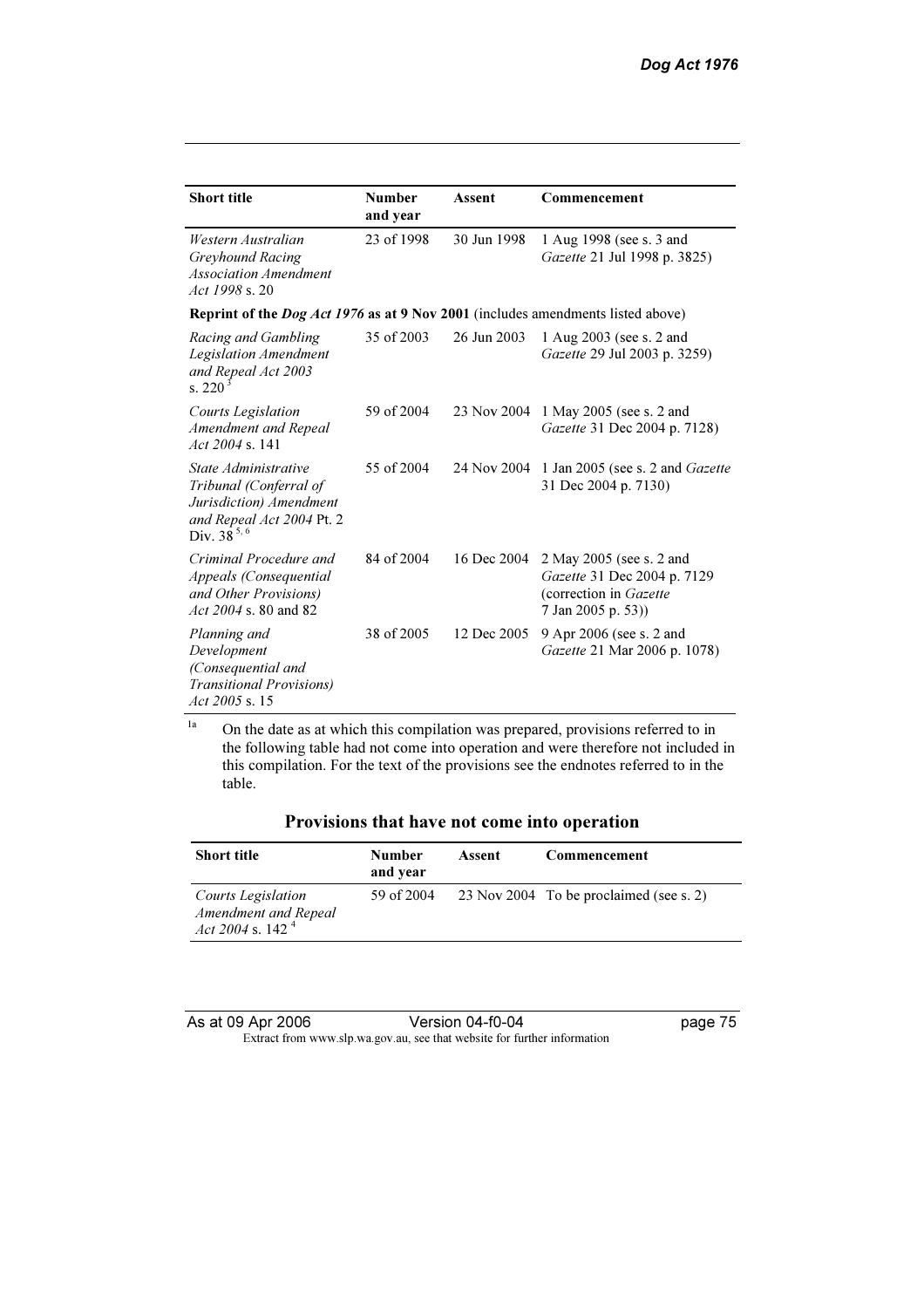| <b>Short title</b>                                                                                                        | <b>Number</b><br>and year | Assent      | Commencement                                                                                            |
|---------------------------------------------------------------------------------------------------------------------------|---------------------------|-------------|---------------------------------------------------------------------------------------------------------|
| Western Australian<br>Greyhound Racing<br><b>Association Amendment</b><br>Act 1998 s. 20                                  | 23 of 1998                | 30 Jun 1998 | 1 Aug 1998 (see s. 3 and<br>Gazette 21 Jul 1998 p. 3825)                                                |
| Reprint of the <i>Dog Act 1976</i> as at 9 Nov 2001 (includes amendments listed above)                                    |                           |             |                                                                                                         |
| Racing and Gambling<br>Legislation Amendment<br>and Repeal Act 2003<br>s. 220                                             | 35 of 2003                | 26 Jun 2003 | 1 Aug 2003 (see s. 2 and<br>Gazette 29 Jul 2003 p. 3259)                                                |
| <b>Courts Legislation</b><br>Amendment and Repeal<br>$Act\ 2004$ s. 141                                                   | 59 of 2004                | 23 Nov 2004 | 1 May 2005 (see s. 2 and<br>Gazette 31 Dec 2004 p. 7128)                                                |
| State Administrative<br>Tribunal (Conferral of<br>Jurisdiction) Amendment<br>and Repeal Act 2004 Pt. 2<br>Div. $38^{5,6}$ | 55 of 2004                | 24 Nov 2004 | 1 Jan 2005 (see s. 2 and <i>Gazette</i><br>31 Dec 2004 p. 7130)                                         |
| Criminal Procedure and<br>Appeals (Consequential<br>and Other Provisions)<br>Act 2004 s. 80 and 82                        | 84 of 2004                | 16 Dec 2004 | 2 May 2005 (see s. 2 and<br>Gazette 31 Dec 2004 p. 7129<br>(correction in Gazette<br>7 Jan 2005 p. 53)) |
| Planning and<br>Development<br>(Consequential and<br><b>Transitional Provisions</b> )<br>Act 2005 s. 15                   | 38 of 2005                | 12 Dec 2005 | 9 Apr 2006 (see s. 2 and<br>Gazette 21 Mar 2006 p. 1078)                                                |

<sup>1a</sup> On the date as at which this compilation was prepared, provisions referred to in the following table had not come into operation and were therefore not included in this compilation. For the text of the provisions see the endnotes referred to in the table.

| Provisions that have not come into operation |
|----------------------------------------------|
|----------------------------------------------|

| <b>Short title</b>                                                | Number<br>and year | Assent | Commencement                            |
|-------------------------------------------------------------------|--------------------|--------|-----------------------------------------|
| Courts Legislation<br>Amendment and Repeal<br>Act 2004 s. 142 $4$ | 59 of 2004         |        | 23 Nov 2004 To be proclaimed (see s. 2) |

As at 09 Apr 2006 Version 04-f0-04 page 75 Extract from www.slp.wa.gov.au, see that website for further information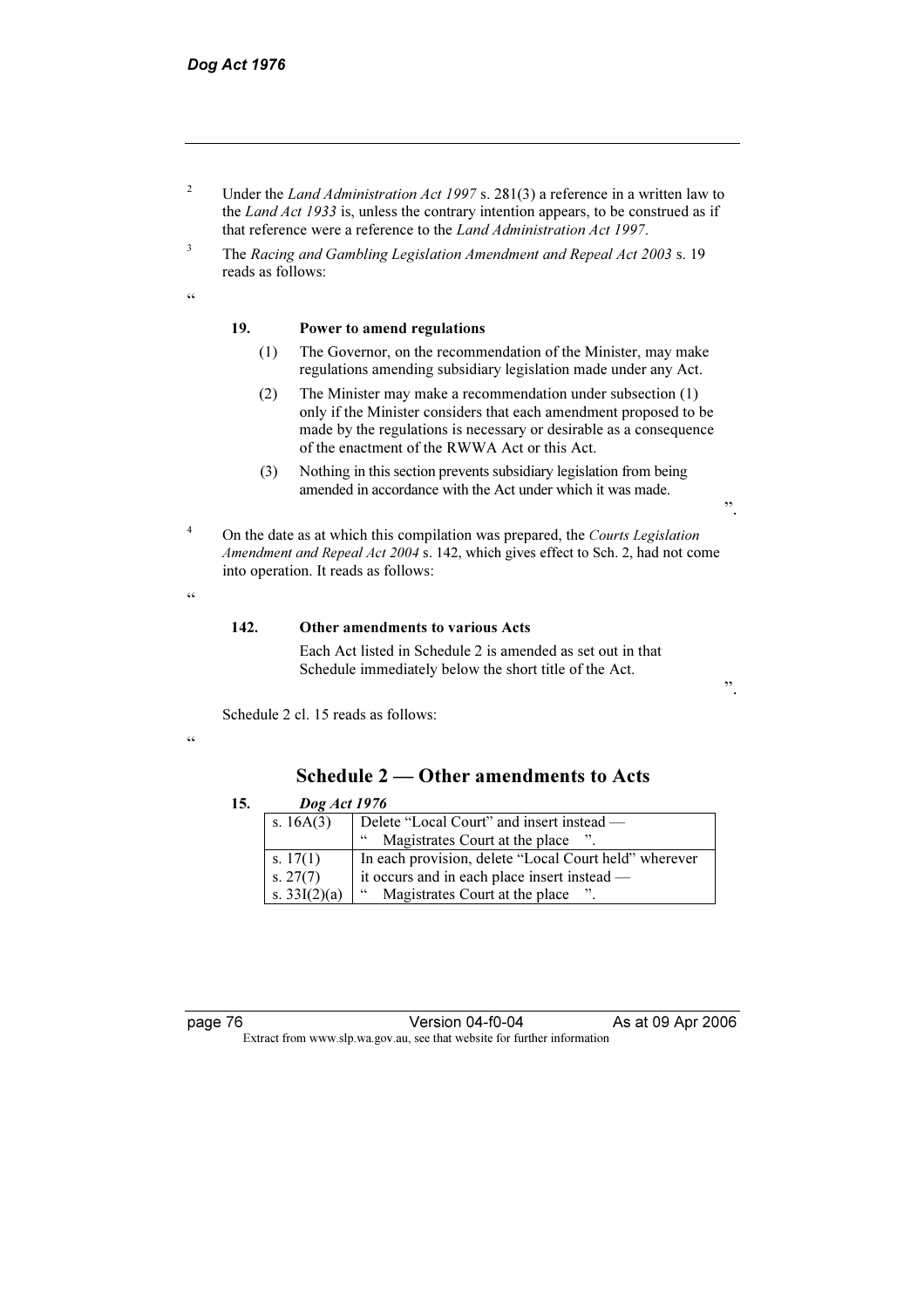- 2 Under the Land Administration Act 1997 s. 281(3) a reference in a written law to the Land Act 1933 is, unless the contrary intention appears, to be construed as if that reference were a reference to the Land Administration Act 1997.
- 3 The Racing and Gambling Legislation Amendment and Repeal Act 2003 s. 19 reads as follows:

#### .<br>44

#### 19. Power to amend regulations

- (1) The Governor, on the recommendation of the Minister, may make regulations amending subsidiary legislation made under any Act.
- (2) The Minister may make a recommendation under subsection (1) only if the Minister considers that each amendment proposed to be made by the regulations is necessary or desirable as a consequence of the enactment of the RWWA Act or this Act.
- (3) Nothing in this section prevents subsidiary legislation from being amended in accordance with the Act under which it was made.
- 4 On the date as at which this compilation was prepared, the Courts Legislation Amendment and Repeal Act 2004 s. 142, which gives effect to Sch. 2, had not come into operation. It reads as follows:
	- 142. Other amendments to various Acts

 Each Act listed in Schedule 2 is amended as set out in that Schedule immediately below the short title of the Act.

Schedule 2 cl. 15 reads as follows:

 $\epsilon$ 

 $\epsilon$ 

# Schedule 2 — Other amendments to Acts

| 15. |                                                            | Dog Act 1976                                          |  |  |
|-----|------------------------------------------------------------|-------------------------------------------------------|--|--|
|     | s. $16A(3)$<br>Delete "Local Court" and insert instead -   |                                                       |  |  |
|     | Magistrates Court at the place ".<br>66                    |                                                       |  |  |
|     | s. $17(1)$                                                 | In each provision, delete "Local Court held" wherever |  |  |
|     | s. $27(7)$<br>it occurs and in each place insert instead — |                                                       |  |  |
|     | s. $33I(2)(a)$                                             | Magistrates Court at the place ".<br>66               |  |  |

page 76 **Version 04-f0-04** As at 09 Apr 2006 Extract from www.slp.wa.gov.au, see that website for further information

".

".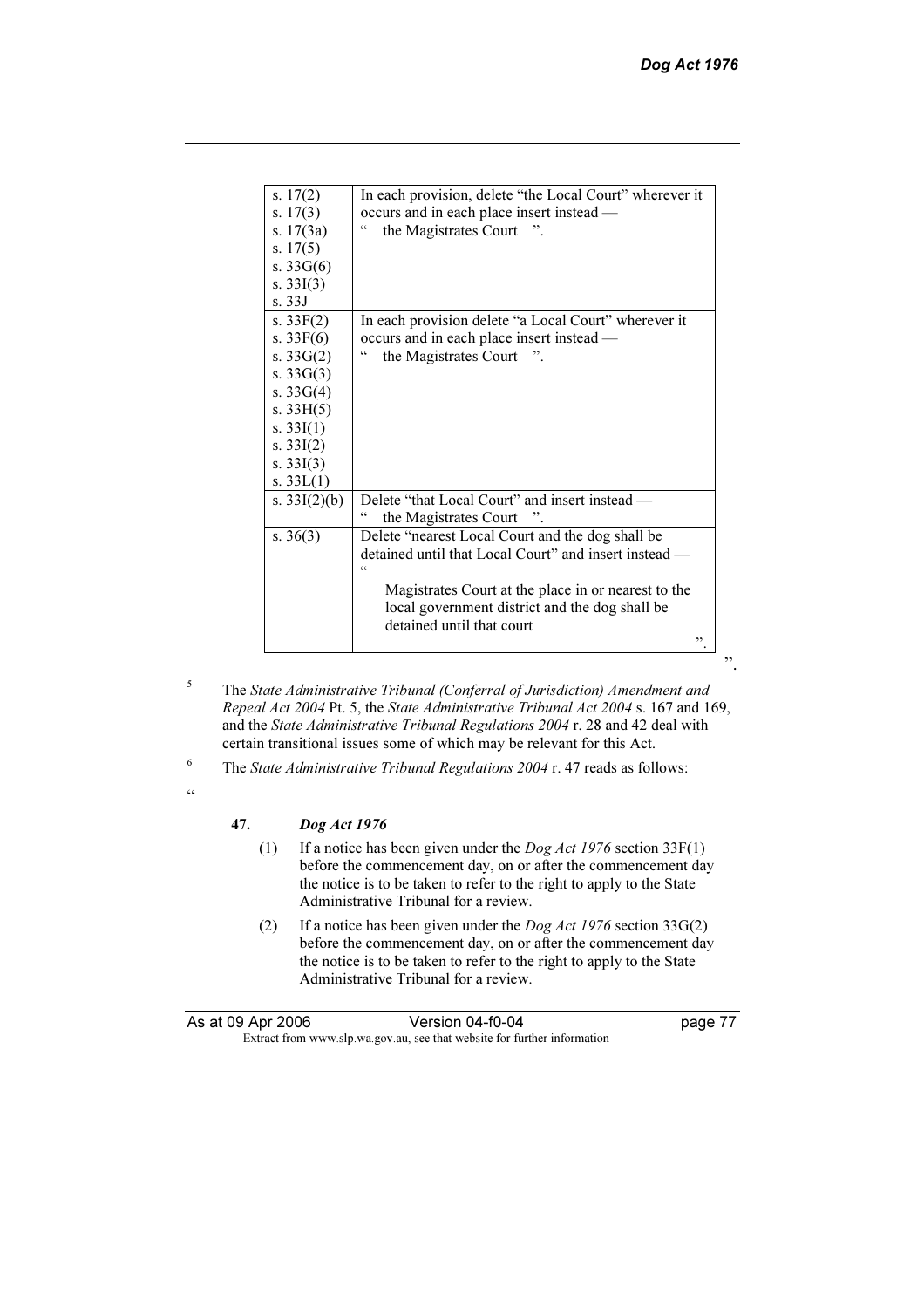| s. $17(2)$     | In each provision, delete "the Local Court" wherever it |
|----------------|---------------------------------------------------------|
| s. $17(3)$     | occurs and in each place insert instead —               |
| s. $17(3a)$    | 66<br>the Magistrates Court ".                          |
| s. $17(5)$     |                                                         |
| s. $33G(6)$    |                                                         |
| s. $33I(3)$    |                                                         |
| s.33J          |                                                         |
| s. $33F(2)$    | In each provision delete "a Local Court" wherever it    |
| s. $33F(6)$    | occurs and in each place insert instead —               |
| s. $33G(2)$    | 44<br>the Magistrates Court                             |
| s. $33G(3)$    |                                                         |
| s. $33G(4)$    |                                                         |
| s. $33H(5)$    |                                                         |
| s. $33I(1)$    |                                                         |
| s. $33I(2)$    |                                                         |
| s. $33I(3)$    |                                                         |
| s. $33L(1)$    |                                                         |
| s. $33I(2)(b)$ | Delete "that Local Court" and insert instead —          |
|                | the Magistrates Court                                   |
| s. $36(3)$     | Delete "nearest Local Court and the dog shall be        |
|                | detained until that Local Court" and insert instead —   |
|                | $\epsilon$                                              |
|                | Magistrates Court at the place in or nearest to the     |
|                | local government district and the dog shall be          |
|                | detained until that court                               |
|                | ,,                                                      |

- 5 The State Administrative Tribunal (Conferral of Jurisdiction) Amendment and Repeal Act 2004 Pt. 5, the State Administrative Tribunal Act 2004 s. 167 and 169, and the State Administrative Tribunal Regulations 2004 r. 28 and 42 deal with certain transitional issues some of which may be relevant for this Act.
- 6 The State Administrative Tribunal Regulations 2004 r. 47 reads as follows:
- $\alpha$

# 47.  $\log Act 1976$ <br>(1) If a notice has

- If a notice has been given under the  $Dog Act$  1976 section 33F(1) before the commencement day, on or after the commencement day the notice is to be taken to refer to the right to apply to the State Administrative Tribunal for a review.
- (2) If a notice has been given under the  $Dog Act$  1976 section 33G(2) before the commencement day, on or after the commencement day the notice is to be taken to refer to the right to apply to the State Administrative Tribunal for a review.

| As at 09 Apr 2006                                                        | Version 04-f0-04 | page 77 |
|--------------------------------------------------------------------------|------------------|---------|
| Extract from www.slp.wa.gov.au, see that website for further information |                  |         |